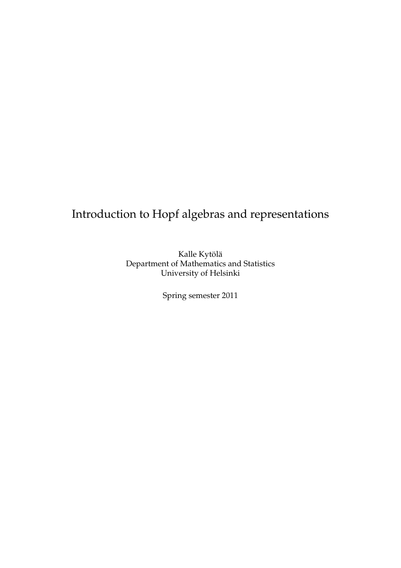# Introduction to Hopf algebras and representations

Kalle Kytölä Department of Mathematics and Statistics University of Helsinki

Spring semester 2011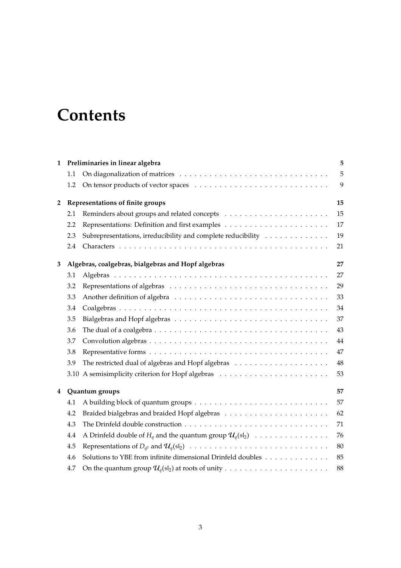# **Contents**

| 1              |     | Preliminaries in linear algebra                                                                                 | 5  |  |  |  |  |
|----------------|-----|-----------------------------------------------------------------------------------------------------------------|----|--|--|--|--|
|                | 1.1 |                                                                                                                 | 5  |  |  |  |  |
|                | 1.2 |                                                                                                                 | 9  |  |  |  |  |
| $\overline{2}$ |     | Representations of finite groups                                                                                | 15 |  |  |  |  |
|                | 2.1 |                                                                                                                 | 15 |  |  |  |  |
|                | 2.2 |                                                                                                                 | 17 |  |  |  |  |
|                | 2.3 | Subrepresentations, irreducibility and complete reducibility                                                    | 19 |  |  |  |  |
|                | 2.4 |                                                                                                                 | 21 |  |  |  |  |
| 3              |     | Algebras, coalgebras, bialgebras and Hopf algebras                                                              | 27 |  |  |  |  |
|                | 3.1 |                                                                                                                 | 27 |  |  |  |  |
|                | 3.2 |                                                                                                                 | 29 |  |  |  |  |
|                | 3.3 |                                                                                                                 | 33 |  |  |  |  |
|                | 3.4 |                                                                                                                 | 34 |  |  |  |  |
|                | 3.5 |                                                                                                                 | 37 |  |  |  |  |
|                | 3.6 | The dual of a coalgebra $\ldots \ldots \ldots \ldots \ldots \ldots \ldots \ldots \ldots \ldots \ldots \ldots$   | 43 |  |  |  |  |
|                | 3.7 |                                                                                                                 | 44 |  |  |  |  |
|                | 3.8 |                                                                                                                 | 47 |  |  |  |  |
|                | 3.9 |                                                                                                                 | 48 |  |  |  |  |
|                |     |                                                                                                                 | 53 |  |  |  |  |
| 4              |     | Quantum groups                                                                                                  |    |  |  |  |  |
|                | 4.1 |                                                                                                                 | 57 |  |  |  |  |
|                | 4.2 |                                                                                                                 | 62 |  |  |  |  |
|                | 4.3 |                                                                                                                 | 71 |  |  |  |  |
|                | 4.4 | A Drinfeld double of $H_q$ and the quantum group $\mathcal{U}_q(\mathfrak{sl}_2) \dots \dots \dots \dots \dots$ | 76 |  |  |  |  |
|                | 4.5 |                                                                                                                 | 80 |  |  |  |  |
|                | 4.6 | Solutions to YBE from infinite dimensional Drinfeld doubles                                                     | 85 |  |  |  |  |
|                | 4.7 |                                                                                                                 | 88 |  |  |  |  |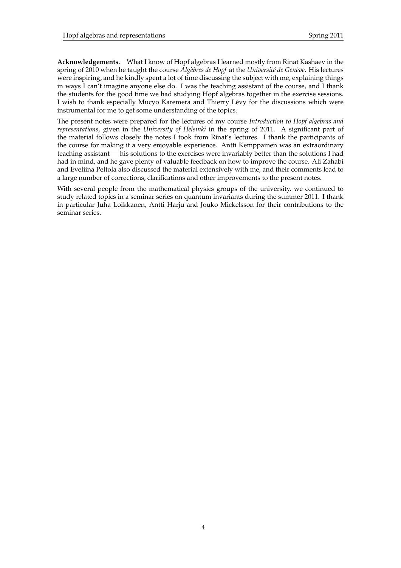**Acknowledgements.** What I know of Hopf algebras I learned mostly from Rinat Kashaev in the spring of 2010 when he taught the course *Algèbres de Hopf* at the *Université de Genève*. His lectures were inspiring, and he kindly spent a lot of time discussing the subject with me, explaining things in ways I can't imagine anyone else do. I was the teaching assistant of the course, and I thank the students for the good time we had studying Hopf algebras together in the exercise sessions. I wish to thank especially Mucyo Karemera and Thierry Levy for the discussions which were ´ instrumental for me to get some understanding of the topics.

The present notes were prepared for the lectures of my course *Introduction to Hopf algebras and representations*, given in the *University of Helsinki* in the spring of 2011. A significant part of the material follows closely the notes I took from Rinat's lectures. I thank the participants of the course for making it a very enjoyable experience. Antti Kemppainen was an extraordinary teaching assistant — his solutions to the exercises were invariably better than the solutions I had had in mind, and he gave plenty of valuable feedback on how to improve the course. Ali Zahabi and Eveliina Peltola also discussed the material extensively with me, and their comments lead to a large number of corrections, clarifications and other improvements to the present notes.

With several people from the mathematical physics groups of the university, we continued to study related topics in a seminar series on quantum invariants during the summer 2011. I thank in particular Juha Loikkanen, Antti Harju and Jouko Mickelsson for their contributions to the seminar series.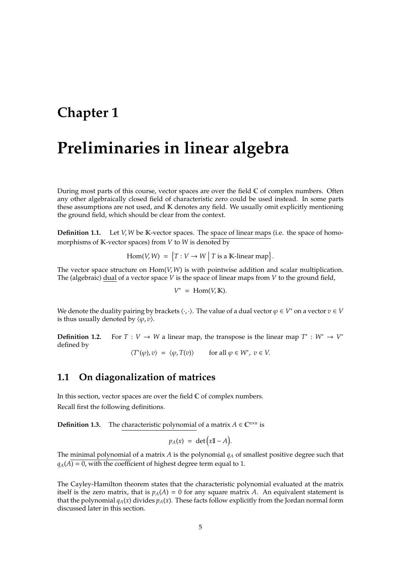## **Chapter 1**

# **Preliminaries in linear algebra**

During most parts of this course, vector spaces are over the field  $\mathbb C$  of complex numbers. Often any other algebraically closed field of characteristic zero could be used instead. In some parts these assumptions are not used, and K denotes any field. We usually omit explicitly mentioning the ground field, which should be clear from the context.

**Definition 1.1.** Let *V*, *W* be K-vector spaces. The space of linear maps (i.e. the space of homomorphisms of  $K$ -vector spaces) from  $V$  to  $W$  is denoted by

$$
Hom(V, W) = \{T: V \to W \mid T \text{ is a } \mathbb{K}\text{-linear map}\}.
$$

The vector space structure on Hom(*V*, *W*) is with pointwise addition and scalar multiplication. The (algebraic) dual of a vector space *V* is the space of linear maps from *V* to the ground field,

$$
V^* = \text{Hom}(V, \mathbb{K}).
$$

We denote the duality pairing by brackets  $\langle \cdot, \cdot \rangle$ . The value of a dual vector  $\varphi \in V^*$  on a vector  $v \in V$ is thus usually denoted by  $\langle \varphi, v \rangle$ .

**Definition 1.2.** For  $T: V \to W$  a linear map, the transpose is the linear map  $T^* : W^* \to V^*$ defined by

 $\langle T^*(\varphi), v \rangle = \langle \varphi, T(v) \rangle$  for all  $\varphi \in W^*, v \in V$ .

## **1.1 On diagonalization of matrices**

In this section, vector spaces are over the field  $\mathbb C$  of complex numbers. Recall first the following definitions.

**Definition 1.3.** The characteristic polynomial of a matrix  $A \in \mathbb{C}^{n \times n}$  is

$$
p_A(x) = \det\big(x\mathbb{I} - A\big).
$$

The minimal polynomial of a matrix *A* is the polynomial *q<sup>A</sup>* of smallest positive degree such that  $q_A(A) = 0$ , with the coefficient of highest degree term equal to 1.

The Cayley-Hamilton theorem states that the characteristic polynomial evaluated at the matrix itself is the zero matrix, that is  $p_A(A) = 0$  for any square matrix A. An equivalent statement is that the polynomial  $q_A(x)$  divides  $p_A(x)$ . These facts follow explicitly from the Jordan normal form discussed later in this section.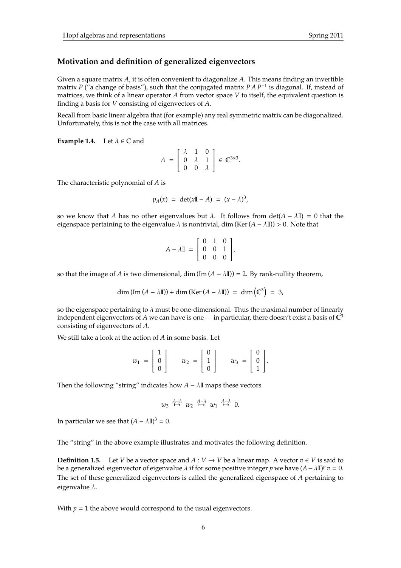## **Motivation and definition of generalized eigenvectors**

Given a square matrix *A*, it is often convenient to diagonalize *A*. This means finding an invertible matrix *P* ("a change of basis"), such that the conjugated matrix *P A P*−<sup>1</sup> is diagonal. If, instead of matrices, we think of a linear operator *A* from vector space *V* to itself, the equivalent question is finding a basis for *V* consisting of eigenvectors of *A*.

Recall from basic linear algebra that (for example) any real symmetric matrix can be diagonalized. Unfortunately, this is not the case with all matrices.

**Example 1.4.** Let  $\lambda \in \mathbb{C}$  and

$$
A = \left[ \begin{array}{ccc} \lambda & 1 & 0 \\ 0 & \lambda & 1 \\ 0 & 0 & \lambda \end{array} \right] \in \mathbb{C}^{3 \times 3}.
$$

The characteristic polynomial of *A* is

$$
p_A(x) = \det(x\mathbb{I} - A) = (x - \lambda)^3,
$$

so we know that *A* has no other eigenvalues but  $\lambda$ . It follows from det( $A - \lambda I$ ) = 0 that the eigenspace pertaining to the eigenvalue  $\lambda$  is nontrivial, dim (Ker( $A - \lambda I$ )) > 0. Note that

$$
A - \lambda \mathbb{I} = \begin{bmatrix} 0 & 1 & 0 \\ 0 & 0 & 1 \\ 0 & 0 & 0 \end{bmatrix},
$$

so that the image of *A* is two dimensional, dim (Im  $(A - \lambda I)$ ) = 2. By rank-nullity theorem,

$$
\dim (\text{Im} (A - \lambda \mathbb{I})) + \dim (\text{Ker} (A - \lambda \mathbb{I})) = \dim (\mathbb{C}^3) = 3,
$$

so the eigenspace pertaining to  $\lambda$  must be one-dimensional. Thus the maximal number of linearly independent eigenvectors of A we can have is one — in particular, there doesn't exist a basis of  $\mathbb{C}^3$ consisting of eigenvectors of *A*.

We still take a look at the action of *A* in some basis. Let

$$
w_1 = \begin{bmatrix} 1 \\ 0 \\ 0 \end{bmatrix} \qquad w_2 = \begin{bmatrix} 0 \\ 1 \\ 0 \end{bmatrix} \qquad w_3 = \begin{bmatrix} 0 \\ 0 \\ 1 \end{bmatrix}.
$$

Then the following "string" indicates how  $A - \lambda I$  maps these vectors

$$
w_3 \stackrel{A-\lambda}{\mapsto} w_2 \stackrel{A-\lambda}{\mapsto} w_1 \stackrel{A-\lambda}{\mapsto} 0.
$$

In particular we see that  $(A - \lambda \mathbb{I})^3 = 0$ .

The "string" in the above example illustrates and motivates the following definition.

**Definition 1.5.** Let *V* be a vector space and  $A: V \to V$  be a linear map. A vector  $v \in V$  is said to be a generalized eigenvector of eigenvalue  $\lambda$  if for some positive integer  $p$  we have  $(A - \lambda I\!\!I)^p v = 0$ . The set of these generalized eigenvectors is called the generalized eigenspace of *A* pertaining to eigenvalue  $\lambda$ .

With  $p = 1$  the above would correspond to the usual eigenvectors.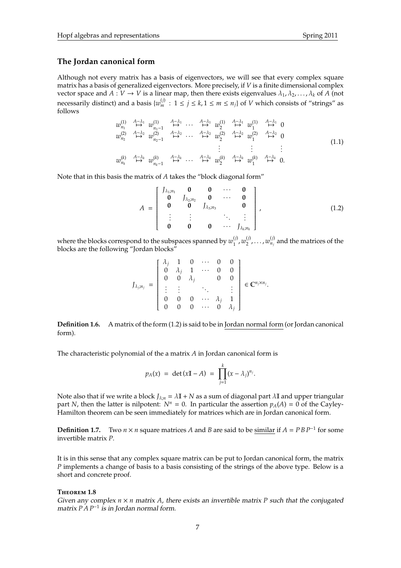## **The Jordan canonical form**

Although not every matrix has a basis of eigenvectors, we will see that every complex square matrix has a basis of generalized eigenvectors. More precisely, if *V* is a finite dimensional complex vector space and  $A: V \to V$  is a linear map, then there exists eigenvalues  $\lambda_1, \lambda_2, \ldots, \lambda_k$  of A (not necessarily distinct) and a basis  $\{w_m^{(j)}: 1 \le j \le k, 1 \le m \le n_j\}$  of  $V$  which consists of "strings" as follows

$$
w_{n_1}^{(1)} \stackrel{A-\lambda_1}{\mapsto} w_{n_1-1}^{(1)} \stackrel{A-\lambda_1}{\mapsto} \cdots \stackrel{A-\lambda_1}{\mapsto} w_2^{(1)} \stackrel{A-\lambda_1}{\mapsto} w_1^{(1)} \stackrel{A-\lambda_1}{\mapsto} 0
$$
  
\n
$$
w_{n_2}^{(2)} \stackrel{A-\lambda_2}{\mapsto} w_{n_2-1}^{(2)} \stackrel{A-\lambda_2}{\mapsto} \cdots \stackrel{A-\lambda_2}{\mapsto} w_2^{(2)} \stackrel{A-\lambda_2}{\mapsto} w_1^{(2)} \stackrel{A-\lambda_2}{\mapsto} 0
$$
  
\n
$$
\vdots \qquad \vdots \qquad \vdots
$$
  
\n
$$
w_{n_k}^{(k)} \stackrel{A-\lambda_k}{\mapsto} w_{n_k-1}^{(k)} \stackrel{A-\lambda_k}{\mapsto} \cdots \stackrel{A-\lambda_k}{\mapsto} w_2^{(k)} \stackrel{A-\lambda_k}{\mapsto} w_1^{(k)} \stackrel{A-\lambda_k}{\mapsto} 0.
$$
  
\n(1.1)

Note that in this basis the matrix of *A* takes the "block diagonal form"

$$
A = \begin{bmatrix} J_{\lambda_1; n_1} & \mathbf{0} & \mathbf{0} & \cdots & \mathbf{0} \\ \mathbf{0} & J_{\lambda_2; n_2} & \mathbf{0} & \cdots & \mathbf{0} \\ \mathbf{0} & \mathbf{0} & J_{\lambda_3; n_3} & \mathbf{0} \\ \vdots & \vdots & \ddots & \vdots \\ \mathbf{0} & \mathbf{0} & \mathbf{0} & \cdots & J_{\lambda_k; n_k} \end{bmatrix},
$$
(1.2)

where the blocks correspond to the subspaces spanned by  $w_1^{(j)}$  $w_1^{(j)}$ ,  $w_2^{(j)}$  $\mathcal{L}_2^{(j)}, \ldots$  ,  $w_{n_j}^{(j)}$  and the matrices of the blocks are the following "Jordan blocks"

$$
J_{\lambda_j; n_j} = \begin{bmatrix} \lambda_j & 1 & 0 & \cdots & 0 & 0 \\ 0 & \lambda_j & 1 & \cdots & 0 & 0 \\ 0 & 0 & \lambda_j & & 0 & 0 \\ \vdots & \vdots & & \ddots & & \vdots \\ 0 & 0 & 0 & \cdots & \lambda_j & 1 \\ 0 & 0 & 0 & \cdots & 0 & \lambda_j \end{bmatrix} \in \mathbb{C}^{n_j \times n_j}.
$$

**Definition 1.6.** A matrix of the form (1.2) is said to be in Jordan normal form (or Jordan canonical form).

The characteristic polynomial of the a matrix *A* in Jordan canonical form is

$$
p_A(x) = \det(xI\!I - A) = \prod_{j=1}^k (x - \lambda_j)^{n_j}.
$$

Note also that if we write a block  $J_{\lambda;n} = \lambda \mathbb{I} + N$  as a sum of diagonal part  $\lambda \mathbb{I}$  and upper triangular part *N*, then the latter is nilpotent:  $N^n = 0$ . In particular the assertion  $p_A(A) = 0$  of the Cayley-Hamilton theorem can be seen immediately for matrices which are in Jordan canonical form.

**Definition 1.7.** Two  $n \times n$  square matrices *A* and *B* are said to be similar if  $A = P B P^{-1}$  for some invertible matrix *P*.

It is in this sense that any complex square matrix can be put to Jordan canonical form, the matrix *P* implements a change of basis to a basis consisting of the strings of the above type. Below is a short and concrete proof.

## **T**heorem **1.8**

Given any complex  $n \times n$  matrix A, there exists an invertible matrix P such that the conjugated matrix *P A P*<sup>−</sup><sup>1</sup> is in Jordan normal form.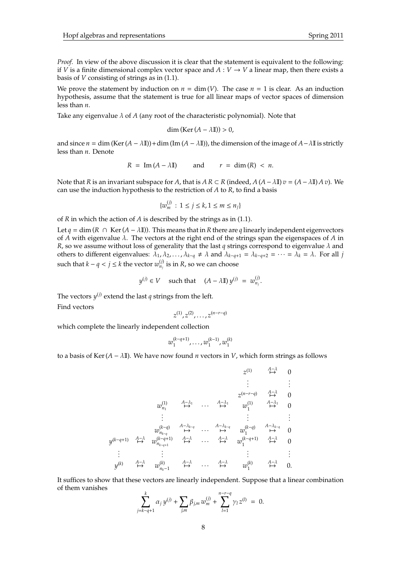*Proof.* In view of the above discussion it is clear that the statement is equivalent to the following: if *V* is a finite dimensional complex vector space and  $A: V \rightarrow V$  a linear map, then there exists a basis of *V* consisting of strings as in (1.1).

We prove the statement by induction on  $n = \dim(V)$ . The case  $n = 1$  is clear. As an induction hypothesis, assume that the statement is true for all linear maps of vector spaces of dimension less than *n*.

Take any eigenvalue  $\lambda$  of  $A$  (any root of the characteristic polynomial). Note that

$$
\dim\left(\mathrm{Ker}\left(A-\lambda\mathbb{I}\right)\right)>0,
$$

and since  $n = \dim (\text{Ker}(A - \lambda I\mathbb{I})) + \dim (\text{Im}(A - \lambda I\mathbb{I}))$ , the dimension of the image of  $A - \lambda I\mathbb{I}$  is strictly less than *n*. Denote

$$
R = \text{Im}(A - \lambda \mathbb{I}) \qquad \text{and} \qquad r = \text{dim}(R) < n.
$$

Note that *R* is an invariant subspace for *A*, that is  $AR \subset R$  (indeed,  $A(A - \lambda I) v = (A - \lambda I) A v$ ). We can use the induction hypothesis to the restriction of *A* to *R*, to find a basis

$$
\{w_m^{(j)} : 1 \le j \le k, 1 \le m \le n_j\}
$$

of *R* in which the action of *A* is described by the strings as in (1.1).

Let *q* = dim (*R* ∩ Ker(*A* −  $\lambda$ II)). This means that in *R* there are *q* linearly independent eigenvectors of *A* with eigenvalue  $\lambda$ . The vectors at the right end of the strings span the eigenspaces of *A* in *R*, so we assume without loss of generality that the last *q* strings correspond to eigenvalue λ and others to different eigenvalues:  $\lambda_1, \lambda_2, ..., \lambda_{k-q} \neq \lambda$  and  $\lambda_{k-q+1} = \lambda_{k-q+2} = ... = \lambda_k = \lambda$ . For all *j* such that  $k - q < j \leq k$  the vector  $w_{n_j}^{(j)}$  is in  $R$ , so we can choose

$$
y^{(j)} \in V \quad \text{ such that } \quad (A - \lambda \mathbb{I}) \, y^{(j)} = w_{n_j}^{(j)}.
$$

The vectors  $y^{(j)}$  extend the last  $q$  strings from the left.

Find vectors

$$
z^{(1)}, z^{(2)}, \ldots, z^{(n-r-q)}
$$

which complete the linearly independent collection

$$
w_1^{(k-q+1)}, \ldots, w_1^{(k-1)}, w_1^{(k)}
$$

to a basis of Ker( $A - \lambda I$ ). We have now found *n* vectors in *V*, which form strings as follows

$$
y^{(k-q+1)} \xrightarrow{A-\lambda} w_{n_{k-q}}^{(k)} \xrightarrow{A-\lambda} \cdots \xrightarrow{A-\lambda_{k-q}} w_1^{(k-q+1)} \xrightarrow{A-\lambda} w_1^{(k-q+1)} \xrightarrow{A-\lambda_{k-q}} w_1^{(k-q)} \xrightarrow{A-\lambda_{k-q}} w_1^{(k-q+1)} \xrightarrow{A-\lambda} w_{n_{k-q+1}}^{(k-q+1)} \xrightarrow{A-\lambda} \cdots \xrightarrow{A-\lambda} w_1^{(k-q+1)} \xrightarrow{A-\lambda} 0
$$
\n
$$
\vdots \qquad \vdots \qquad \vdots \qquad \vdots \qquad \vdots \qquad \vdots \qquad \vdots \qquad \vdots \qquad \vdots \qquad \vdots \qquad \vdots \qquad \vdots \qquad \vdots \qquad \vdots \qquad \vdots \qquad \vdots \qquad \vdots \qquad \vdots \qquad \vdots \qquad \vdots \qquad \vdots \qquad \vdots \qquad \vdots \qquad \vdots \qquad \vdots \qquad \vdots \qquad \vdots \qquad \vdots \qquad \vdots \qquad \vdots \qquad \vdots \qquad \vdots \qquad \vdots \qquad \vdots \qquad \vdots \qquad \vdots \qquad \vdots \qquad \vdots \qquad \vdots \qquad \vdots \qquad \vdots \qquad \vdots \qquad \vdots \qquad \vdots \qquad \vdots \qquad \vdots \qquad \vdots \qquad \vdots \qquad \vdots \qquad \vdots \qquad \vdots \qquad \vdots \qquad \vdots \qquad \vdots \qquad \vdots \qquad \vdots \qquad \vdots \qquad \vdots \qquad \vdots \qquad \vdots \qquad \vdots \qquad \vdots \qquad \vdots \qquad \vdots \qquad \vdots \qquad \vdots \qquad \vdots \qquad \vdots \qquad \vdots \qquad \vdots \qquad \vdots \qquad \vdots \qquad \vdots \qquad \vdots \qquad \vdots \qquad \vdots \qquad \vdots \qquad \vdots \qquad \vdots \qquad \vdots \qquad \vdots \qquad \vdots \qquad \vdots \qquad \vdots \qquad \vdots \qquad \vdots \qquad \vdots \qquad \vdots \qquad \vdots \qquad \vdots \qquad \vdots \qquad \vdots \qquad \vdots \qquad \vdots \qquad \vdots \qquad
$$

It suffices to show that these vectors are linearly independent. Suppose that a linear combination of them vanishes

$$
\sum_{j=k-q+1}^k \alpha_j y^{(j)} + \sum_{j,m} \beta_{j,m} w_m^{(j)} + \sum_{l=1}^{n-r-q} \gamma_l z^{(l)} = 0.
$$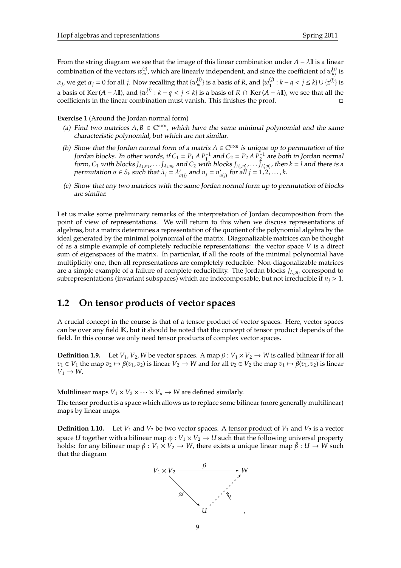From the string diagram we see that the image of this linear combination under  $A - \lambda I$  is a linear combination of the vectors  $w_m^{(j)}$ , which are linearly independent, and since the coefficient of  $w_{n_j}^{(j)}$  is  $\alpha_j$ , we get  $\alpha_j = 0$  for all *j*. Now recalling that  $\{w_m^{(j)}\}$  is a basis of *R*, and  $\{w_1^{(j)}\}$  $\binom{1}{1}$  :  $k - q < j \leq k$   $\cup \{z^{(l)}\}$  is a basis of Ker (*A* –  $\lambda$ II), and { $w_1^{(j)}$  $\binom{n}{1}$  :  $k - q < j \le k$ } is a basis of  $R \cap \text{Ker}(A - \lambda I)$ , we see that all the coefficients in the linear combination must vanish. This finishes the proof.

**Exercise 1** (Around the Jordan normal form)

- (a) Find two matrices  $A, B \in \mathbb{C}^{n \times n}$ , which have the same minimal polynomial and the same characteristic polynomial, but which are not similar.
- (b) Show that the Jordan normal form of a matrix  $A \in \mathbb{C}^{n \times n}$  is unique up to permutation of the Jordan blocks. In other words, if  $C_1 = P_1 A P_1^{-1}$  and  $C_2 = P_2 A P_2^{-1}$  are both in Jordan normal form, C<sub>1</sub> with blocks  $J_{\lambda_1,n_1},...,J_{\lambda_k,n_k}$  and C<sub>2</sub> with blocks  $J_{\lambda'_1,n'_1},...,J_{\lambda'_l,n'_l}$ , then  $k = l$  and there is a permutation  $\sigma \in S_k$  such that  $\lambda_j = \lambda'_k$  $\int_{\sigma(j)}$  and  $n_j = n'_j$ σ(*j*) for all *j* = 1, 2, . . . , *k*.
- (c) Show that any two matrices with the same Jordan normal form up to permutation of blocks are similar.

Let us make some preliminary remarks of the interpretation of Jordan decomposition from the point of view of representations. We will return to this when we discuss representations of algebras, but a matrix determines a representation of the quotient of the polynomial algebra by the ideal generated by the minimal polynomial of the matrix. Diagonalizable matrices can be thought of as a simple example of completely reducible representations: the vector space *V* is a direct sum of eigenspaces of the matrix. In particular, if all the roots of the minimal polynomial have multiplicity one, then all representations are completely reducible. Non-diagonalizable matrices are a simple example of a failure of complete reducibility. The Jordan blocks *J*<sup>λ</sup>*<sup>j</sup>* ;*n<sup>j</sup>* correspond to subrepresentations (invariant subspaces) which are indecomposable, but not irreducible if  $n_j > 1$ .

## **1.2 On tensor products of vector spaces**

A crucial concept in the course is that of a tensor product of vector spaces. Here, vector spaces can be over any field K, but it should be noted that the concept of tensor product depends of the field. In this course we only need tensor products of complex vector spaces.

**Definition 1.9.** Let  $V_1$ ,  $V_2$ , *W* be vector spaces. A map  $\beta: V_1 \times V_2 \rightarrow W$  is called bilinear if for all  $v_1 \in V_1$  the map  $v_2 \mapsto \beta(v_1, v_2)$  is linear  $V_2 \to W$  and for all  $v_2 \in V_2$  the map  $v_1 \mapsto \beta(v_1, v_2)$  is linear  $V_1 \rightarrow W$ .

Multilinear maps  $V_1 \times V_2 \times \cdots \times V_n \to W$  are defined similarly.

The tensor product is a space which allows us to replace some bilinear (more generally multilinear) maps by linear maps.

**Definition 1.10.** Let  $V_1$  and  $V_2$  be two vector spaces. A tensor product of  $V_1$  and  $V_2$  is a vector space *U* together with a bilinear map  $\phi: V_1 \times V_2 \rightarrow U$  such that the following universal property holds: for any bilinear map  $\beta : V_1 \times V_2 \to W$ , there exists a unique linear map  $\bar{\beta} : U \to W$  such that the diagram

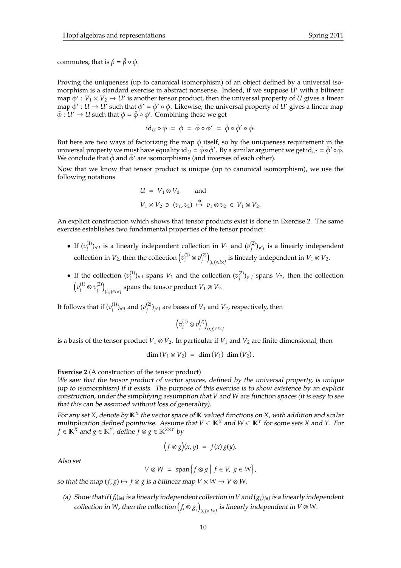commutes, that is  $\beta = \bar{\beta} \circ \phi$ .

Proving the uniqueness (up to canonical isomorphism) of an object defined by a universal isomorphism is a standard exercise in abstract nonsense. Indeed, if we suppose *U'* with a bilinear map  $\phi' : V_1 \times V_2 \to U'$  is another tensor product, then the universal property of *U* gives a linear map  $\bar{\phi}' : U \to U'$  such that  $\phi' = \bar{\phi}' \circ \phi$ . Likewise, the universal property of  $\dot{U}'$  gives a linear map  $\bar{\phi} : U' \to U$  such that  $\phi = \bar{\phi} \circ \phi'$  . Combining these we get

$$
id_{U} \circ \phi = \phi = \bar{\phi} \circ \phi' = \bar{\phi} \circ \bar{\phi}' \circ \phi.
$$

But here are two ways of factorizing the map  $\phi$  itself, so by the uniqueness requirement in the universal property we must have equality id $_u$  =  $\bar{\phi} \circ \bar{\phi}'$ . By a similar argument we get id $_{U'} = \bar{\phi}' \circ \bar{\phi}$ . We conclude that  $\bar{\phi}$  and  $\bar{\phi}'$  are isomorphisms (and inverses of each other).

Now that we know that tensor product is unique (up to canonical isomorphism), we use the following notations

$$
U = V_1 \otimes V_2 \quad \text{and}
$$
  

$$
V_1 \times V_2 \ni (v_1, v_2) \stackrel{\phi}{\mapsto} v_1 \otimes v_2 \in V_1 \otimes V_2.
$$

An explicit construction which shows that tensor products exist is done in Exercise 2. The same exercise establishes two fundamental properties of the tensor product:

- If  $(v_i^{(1)}$  $(v_i^{(1)})_{i \in I}$  is a linearly independent collection in *V*<sub>1</sub> and  $(v_j^{(2)})$ *j* )*j*∈*<sup>J</sup>* is a linearly independent collection in  $V_2$ , then the collection  $\left(v_i^{(1)}\right)$  $v^{(1)}_i\otimes v^{(2)}_j$ *j*  $(i,j) \in I \times J$  is linearly independent in  $V_1 ⊗ V_2$ .
- If the collection  $(v_i^{(1)})$  $\binom{1}{i}$ <sub>*i*∈*I*</sub> spans *V*<sub>1</sub> and the collection (*v*<sup>(2)</sup><sub>*j*</sub>  $j^{(2)}$ <sub>*j*</sub> $\in$ *J* spans *V*<sub>2</sub>, then the collection  $\left(v_i^{(1)}\right)$  $v^{(1)}_i\otimes v^{(2)}_j$ *j*  $(i,j) \in I \times J$  spans the tensor product  $V_1 ⊗ V_2$ .

It follows that if  $(v_i^{(1)})$  $\binom{(1)}{i}$ *i*∈*I* and  $\binom{v^{(2)}_i}{i}$  $J_j^{(2)}$ )<sub>*j*∈*J*</sub> are bases of  $V_1$  and  $V_2$ , respectively, then

$$
\left(v_i^{(1)}\otimes v_j^{(2)}\right)_{(i,j)\in I\times J}
$$

is a basis of the tensor product  $V_1 \otimes V_2$ . In particular if  $V_1$  and  $V_2$  are finite dimensional, then

 $\dim (V_1 \otimes V_2) = \dim (V_1) \dim (V_2)$ .

## **Exercise 2** (A construction of the tensor product)

We saw that the tensor product of vector spaces, defined by the universal property, is unique (up to isomorphism) if it exists. The purpose of this exercise is to show existence by an explicit construction, under the simplifying assumption that *V* and *W* are function spaces (it is easy to see that this can be assumed without loss of generality).

For any set *X*, denote by K*<sup>X</sup>* the vector space of K valued functions on *X*, with addition and scalar multiplication defined pointwise. Assume that *V* ⊂ K*<sup>X</sup>* and *W* ⊂ K*<sup>Y</sup>* for some sets *X* and *Y*. For *f* ∈  $\mathbb{K}^X$  and  $g \in \mathbb{K}^Y$ , define  $f \otimes g \in \mathbb{K}^{X \times Y}$  by

$$
(f \otimes g)(x, y) = f(x) g(y).
$$

Also set

$$
V \otimes W = \text{span}\left\{f \otimes g \mid f \in V, g \in W\right\},\
$$

so that the map  $(f, g) \mapsto f \otimes g$  is a bilinear map  $V \times W \to V \otimes W$ .

(a) Show that if  $(f_i)_{i\in I}$  is a linearly independent collection in V and  $(g_j)_{j\in J}$  is a linearly independent collection in *W*, then the collection  $(f_i \otimes g_j)$ (*i*,*j*)∈*I*×*J* is linearly independent in *V* ⊗ *W*.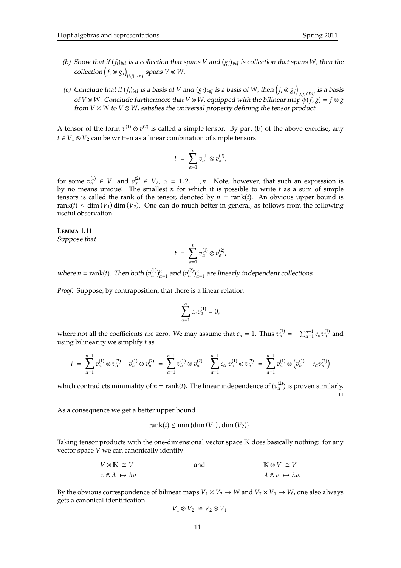- (b) Show that if  $(f_i)_{i\in I}$  is a collection that spans *V* and  $(g_j)_{j\in J}$  is collection that spans *W*, then the  $\text{collection}\left(f_i \otimes g_j\right)$ (*i*,*j*)∈*I*×*J* spans *V* ⊗ *W*.
- (c) Conclude that if  $(f_i)_{i \in I}$  is a basis of V and  $(g_j)_{j \in J}$  is a basis of W, then  $(f_i \otimes g_j)$ (*i*,*j*)∈*I*×*J* is a basis of  $V \otimes W$ . Conclude furthermore that  $V \otimes W$ , equipped with the bilinear map  $\phi(f, g) = f \otimes g$ from *V* × *W* to *V* ⊗ *W*, satisfies the universal property defining the tensor product.

A tensor of the form  $v^{(1)} \otimes v^{(2)}$  is called a simple tensor. By part (b) of the above exercise, any *t* ∈ *V*<sub>1</sub> ⊗ *V*<sub>2</sub> can be written as a linear combination of simple tensors

$$
t = \sum_{\alpha=1}^n v_{\alpha}^{(1)} \otimes v_{\alpha}^{(2)},
$$

for some  $v_\alpha^{(1)} \in V_1$  and  $v_\alpha^{(2)} \in V_2$ ,  $\alpha = 1, 2, ..., n$ . Note, however, that such an expression is by no means unique! The smallest *n* for which it is possible to write *t* as a sum of simple tensors is called the rank of the tensor, denoted by  $n = \text{rank}(t)$ . An obvious upper bound is rank(*t*)  $\leq$  dim (*V*<sub>1</sub>) dim (*V*<sub>2</sub>). One can do much better in general, as follows from the following useful observation.

### **L**emma **1.11**

Suppose that

$$
t = \sum_{\alpha=1}^n v_{\alpha}^{(1)} \otimes v_{\alpha}^{(2)},
$$

where  $n = \text{rank}(t)$ . Then both  $(v_\alpha^{(1)})_{\alpha=1}^n$  and  $(v_\alpha^{(2)})_{\alpha=1}^n$  are linearly independent collections.

*Proof.* Suppose, by contraposition, that there is a linear relation

$$
\sum_{\alpha=1}^n c_\alpha v_\alpha^{(1)} = 0,
$$

where not all the coefficients are zero. We may assume that  $c_n = 1$ . Thus  $v_n^{(1)} = -\sum_{\alpha=1}^{n-1} c_\alpha v_\alpha^{(1)}$  and using bilinearity we simplify *t* as

$$
t = \sum_{\alpha=1}^{n-1} v_{\alpha}^{(1)} \otimes v_{\alpha}^{(2)} + v_{n}^{(1)} \otimes v_{n}^{(2)} = \sum_{\alpha=1}^{n-1} v_{\alpha}^{(1)} \otimes v_{\alpha}^{(2)} - \sum_{\alpha=1}^{n-1} c_{\alpha} v_{\alpha}^{(1)} \otimes v_{n}^{(2)} = \sum_{\alpha=1}^{n-1} v_{\alpha}^{(1)} \otimes (v_{\alpha}^{(1)} - c_{\alpha} v_{n}^{(2)})
$$

which contradicts minimality of  $n = \text{rank}(t)$ . The linear independence of  $(v_\alpha^{(2)})$  is proven similarly.  $\Box$ 

As a consequence we get a better upper bound

$$
rank(t) \leq min \{ dim(V_1), dim(V_2) \}.
$$

Taking tensor products with the one-dimensional vector space K does basically nothing: for any vector space *V* we can canonically identify

$$
V \otimes \mathbb{K} \cong V
$$
 and 
$$
v \otimes \lambda \mapsto \lambda v
$$
 and 
$$
\mathbb{K} \otimes V \cong V
$$

$$
\lambda \otimes v \mapsto \lambda v.
$$

By the obvious correspondence of bilinear maps  $V_1 \times V_2 \to W$  and  $V_2 \times V_1 \to W$ , one also always gets a canonical identification

$$
V_1\otimes V_2\ \cong V_2\otimes V_1.
$$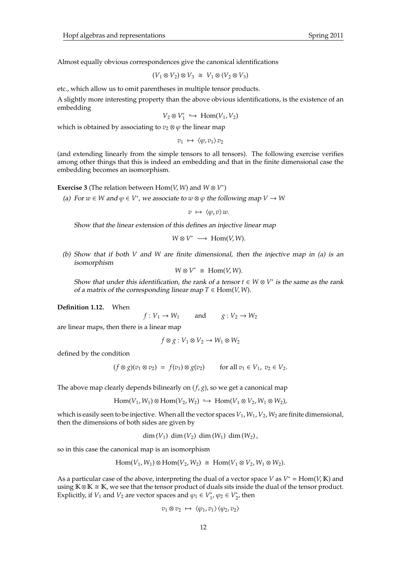Almost equally obvious correspondences give the canonical identifications

$$
(V_1 \otimes V_2) \otimes V_3 \cong V_1 \otimes (V_2 \otimes V_3)
$$

etc., which allow us to omit parentheses in multiple tensor products.

A slightly more interesting property than the above obvious identifications, is the existence of an embedding

$$
V_2 \otimes V_1^* \hookrightarrow \text{Hom}(V_1, V_2)
$$

which is obtained by associating to  $v_2 \otimes \varphi$  the linear map

 $v_1 \mapsto \langle \varphi, v_1 \rangle v_2$ 

(and extending linearly from the simple tensors to all tensors). The following exercise verifies among other things that this is indeed an embedding and that in the finite dimensional case the embedding becomes an isomorphism.

**Exercise 3** (The relation between  $Hom(V, W)$  and  $W \otimes V^*$ )

(a) For  $w \in W$  and  $\varphi \in V^*$ , we associate to  $w \otimes \varphi$  the following map  $V \to W$ 

 $v \mapsto \langle \varphi, v \rangle w$ .

Show that the linear extension of this defines an injective linear map

 $W \otimes V^* \longrightarrow \text{Hom}(V, W)$ .

(b) Show that if both *V* and *W* are finite dimensional, then the injective map in (a) is an isomorphism

 $W \otimes V^* \cong \text{Hom}(V, W)$ .

Show that under this identification, the rank of a tensor  $t \in W \otimes V^*$  is the same as the rank of a matrix of the corresponding linear map  $T \in Hom(V, W)$ .

**Definition 1.12.** When

$$
f: V_1 \to W_1
$$
 and  $g: V_2 \to W_2$ 

are linear maps, then there is a linear map

$$
f \otimes g : V_1 \otimes V_2 \to W_1 \otimes W_2
$$

defined by the condition

$$
(f \otimes g)(v_1 \otimes v_2) = f(v_1) \otimes g(v_2) \quad \text{for all } v_1 \in V_1, v_2 \in V_2.
$$

The above map clearly depends bilinearly on (*f*, *g*), so we get a canonical map

 $\text{Hom}(V_1, W_1) \otimes \text{Hom}(V_2, W_2) \hookrightarrow \text{Hom}(V_1 \otimes V_2, W_1 \otimes W_2),$ 

which is easily seen to be injective. When all the vector spaces  $V_1$ ,  $W_1$ ,  $V_2$ ,  $W_2$  are finite dimensional, then the dimensions of both sides are given by

dim  $(V_1)$  dim  $(V_2)$  dim  $(W_1)$  dim  $(W_2)$ ,

so in this case the canonical map is an isomorphism

$$
\text{Hom}(V_1, W_1) \otimes \text{Hom}(V_2, W_2) \cong \text{Hom}(V_1 \otimes V_2, W_1 \otimes W_2).
$$

As a particular case of the above, interpreting the dual of a vector space *V* as *V* <sup>∗</sup> = Hom(*V*, K) and using  $K \otimes K \cong K$ , we see that the tensor product of duals sits inside the dual of the tensor product. Explicitly, if  $V_1$  and  $V_2$  are vector spaces and  $\varphi_1 \in V_1^*$ <sup>\*</sup><sub>1</sub>,  $φ_2$  ∈  $V_2^*$  $_2^*$ , then

$$
v_1 \otimes v_2 \ \mapsto \ \langle \varphi_1, v_1 \rangle \langle \varphi_2, v_2 \rangle
$$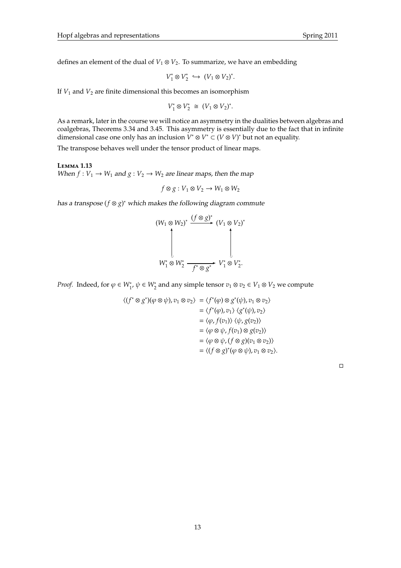defines an element of the dual of  $V_1 \otimes V_2$ . To summarize, we have an embedding

$$
V_1^* \otimes V_2^* \hookrightarrow (V_1 \otimes V_2)^*.
$$

If *V*<sup>1</sup> and *V*<sup>2</sup> are finite dimensional this becomes an isomorphism

$$
V_1^* \otimes V_2^* \cong (V_1 \otimes V_2)^*.
$$

As a remark, later in the course we will notice an asymmetry in the dualities between algebras and coalgebras, Theorems 3.34 and 3.45. This asymmetry is essentially due to the fact that in infinite dimensional case one only has an inclusion  $\tilde{V}^* \otimes V^* \subset (V \otimes V)^*$  but not an equality.

The transpose behaves well under the tensor product of linear maps.

**L**emma **1.13** When  $f: V_1 \to W_1$  and  $g: V_2 \to W_2$  are linear maps, then the map

$$
f \otimes g : V_1 \otimes V_2 \to W_1 \otimes W_2
$$

has a transpose (*f* ⊗ *g*) <sup>∗</sup> which makes the following diagram commute

$$
(W_1 \otimes W_2)^* \xrightarrow{\left(f \otimes g\right)^*} (V_1 \otimes V_2)^*
$$
\n
$$
W_1^* \otimes W_2^* \xrightarrow{f^* \otimes g^*} V_1^* \otimes V_2^*.
$$

*Proof.* Indeed, for  $\varphi \in W_1^*$ ,  $\psi \in W_2^*$  and any simple tensor  $v_1 \otimes v_2 \in V_1 \otimes V_2$  we compute

$$
\langle (f^* \otimes g^*)(\varphi \otimes \psi), v_1 \otimes v_2 \rangle = \langle f^*(\varphi) \otimes g^*(\psi), v_1 \otimes v_2 \rangle
$$
  

$$
= \langle f^*(\varphi), v_1 \rangle \langle g^*(\psi), v_2 \rangle
$$
  

$$
= \langle \varphi, f(v_1) \rangle \langle \psi, g(v_2) \rangle
$$
  

$$
= \langle \varphi \otimes \psi, f(v_1) \otimes g(v_2) \rangle
$$
  

$$
= \langle \varphi \otimes \psi, (f \otimes g)(v_1 \otimes v_2) \rangle
$$
  

$$
= \langle (f \otimes g)^*(\varphi \otimes \psi), v_1 \otimes v_2 \rangle.
$$

 $\Box$ 

13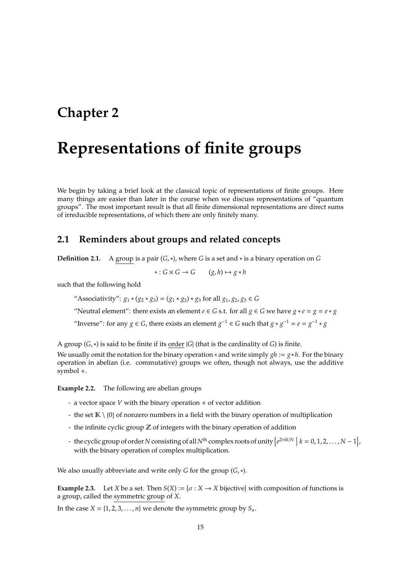## **Chapter 2**

# **Representations of finite groups**

We begin by taking a brief look at the classical topic of representations of finite groups. Here many things are easier than later in the course when we discuss representations of "quantum groups". The most important result is that all finite dimensional representations are direct sums of irreducible representations, of which there are only finitely many.

## **2.1 Reminders about groups and related concepts**

**Definition 2.1.** A group is a pair (*G*,∗), where *G* is a set and ∗ is a binary operation on *G*

 $\ast$  : *G* × *G* → *G* (*g*, *h*)  $\mapsto$  *g*  $\ast$  *h* 

such that the following hold

"Associativity":  $g_1 * (g_2 * g_3) = (g_1 * g_2) * g_3$  for all  $g_1, g_2, g_3 \in G$ 

"Neutral element": there exists an element  $e \in G$  s.t. for all  $g \in G$  we have  $g * e = g = e * g$ 

"Inverse": for any *g*  $\in$  *G*, there exists an element *g*<sup>-1</sup>  $\in$  *G* such that *g* \* *g*<sup>-1</sup> = *e* = *g*<sup>-1</sup> \* *g* 

A group (*G*,∗) is said to be finite if its order |*G*| (that is the cardinality of *G*) is finite.

We usually omit the notation for the binary operation ∗ and write simply *gh* := *g*∗*h*. For the binary operation in abelian (i.e. commutative) groups we often, though not always, use the additive symbol +.

**Example 2.2.** The following are abelian groups

- a vector space *V* with the binary operation + of vector addition
- the set  $\mathbb{K} \setminus \{0\}$  of nonzero numbers in a field with the binary operation of multiplication
- the infinite cyclic group  $\mathbb Z$  of integers with the binary operation of addition
- the cyclic group of order *N* consisting of all *N*<sup>th</sup> complex roots of unity  $\left\{e^{2\pi ik/N} \mid k = 0, 1, 2, ..., N-1\right\}$ with the binary operation of complex multiplication.

We also usually abbreviate and write only *G* for the group (*G*,∗).

**Example 2.3.** Let *X* be a set. Then  $S(X) := \{ \sigma : X \to X \text{ bijective} \}$  with composition of functions is a group, called the symmetric group of *X*.

In the case  $X = \{1, 2, 3, \ldots, n\}$  we denote the symmetric group by  $S_n$ .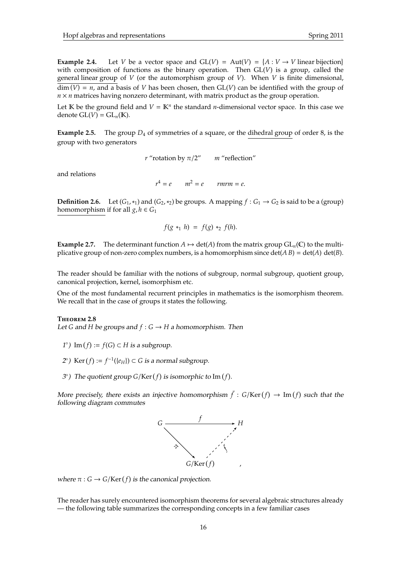Let  $K$  be the ground field and  $V = K^n$  the standard *n*-dimensional vector space. In this case we denote  $GL(V) = GL<sub>n</sub>(K)$ .

**Example 2.5.** The group  $D_4$  of symmetries of a square, or the dihedral group of order 8, is the group with two generators

*r* "rotation by  $\pi/2$ " *m* "reflection"

and relations

 $r^4 = e$   $m^2 = e$  *rmrm* = *e*.

**Definition 2.6.** Let  $(G_1, *_1)$  and  $(G_2, *_2)$  be groups. A mapping  $f : G_1 \to G_2$  is said to be a (group) homomorphism if for all  $g, h \in G_1$ 

$$
f(g *_{1} h) = f(g) *_{2} f(h).
$$

**Example 2.7.** The determinant function  $A \mapsto \det(A)$  from the matrix group  $GL_n(\mathbb{C})$  to the multiplicative group of non-zero complex numbers, is a homomorphism since  $\det(A B) = \det(A) \det(B)$ .

The reader should be familiar with the notions of subgroup, normal subgroup, quotient group, canonical projection, kernel, isomorphism etc.

One of the most fundamental recurrent principles in mathematics is the isomorphism theorem. We recall that in the case of groups it states the following.

#### **T**heorem **2.8**

Let *G* and *H* be groups and  $f: G \rightarrow H$  a homomorphism. Then

- *1*°) Im (*f*) := *f*(*G*) ⊂ *H* is a subgroup.
- 2°) Ker (*f*) :=  $f^{-1}$ ({*e<sub>H</sub>*}) ⊂ *G* is a normal subgroup.
- 3°) The quotient group  $G/Ker(f)$  is isomorphic to Im(f).

More precisely, there exists an injective homomorphism  $\bar{f}: G/Ker(f) \to Im(f)$  such that the following diagram commutes



where  $\pi$  :  $G \rightarrow G/Ker(f)$  is the canonical projection.

The reader has surely encountered isomorphism theorems for several algebraic structures already — the following table summarizes the corresponding concepts in a few familiar cases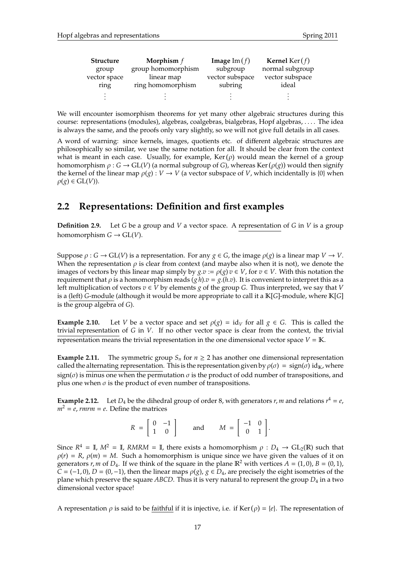| <b>Structure</b> | Morphism $f$       | <b>Image</b> Im $(f)$ | <b>Kernel</b> Ker( $f$ ) |
|------------------|--------------------|-----------------------|--------------------------|
| group            | group homomorphism | subgroup              | normal subgroup          |
| vector space     | linear map         | vector subspace       | vector subspace          |
| ring             | ring homomorphism  | subring               | ideal                    |
|                  |                    |                       |                          |
|                  |                    |                       |                          |

We will encounter isomorphism theorems for yet many other algebraic structures during this course: representations (modules), algebras, coalgebras, bialgebras, Hopf algebras, . . . . The idea is always the same, and the proofs only vary slightly, so we will not give full details in all cases.

A word of warning: since kernels, images, quotients etc. of different algebraic structures are philosophically so similar, we use the same notation for all. It should be clear from the context what is meant in each case. Usually, for example,  $\text{Ker}(\rho)$  would mean the kernel of a group homomorphism  $\rho : G \to GL(V)$  (a normal subgroup of *G*), whereas Ker ( $\rho(g)$ ) would then signify the kernel of the linear map  $\rho(g) : V \to V$  (a vector subspace of *V*, which incidentally is {0} when  $\rho(g) \in GL(V)$ ).

## **2.2 Representations: Definition and first examples**

**Definition 2.9.** Let *G* be a group and *V* a vector space. A representation of *G* in *V* is a group homomorphism  $G \to GL(V)$ .

Suppose  $\rho : G \to GL(V)$  is a representation. For any  $g \in G$ , the image  $\rho(g)$  is a linear map  $V \to V$ . When the representation  $\rho$  is clear from context (and maybe also when it is not), we denote the images of vectors by this linear map simply by  $g.v := \rho(g)v \in V$ , for  $v \in V$ . With this notation the requirement that  $\rho$  is a homomorphism reads  $(g h).v = g.(h.v).$  It is convenient to interpret this as a left multiplication of vectors *v* ∈ *V* by elements *g* of the group *G*. Thus interpreted, we say that *V* is a (left) *G*-module (although it would be more appropriate to call it a K[*G*]-module, where K[*G*] is the group algebra of *G*).

**Example 2.10.** Let *V* be a vector space and set  $\rho(g) = id_V$  for all  $g \in G$ . This is called the trivial representation of *G* in *V*. If no other vector space is clear from the context, the trivial representation means the trivial representation in the one dimensional vector space  $V = K$ .

**Example 2.11.** The symmetric group  $S_n$  for  $n \geq 2$  has another one dimensional representation called the alternating representation. This is the representation given by  $\rho(\sigma) = \text{sign}(\sigma) \text{ id}_{\mathbb{K}}$ , where sign( $\sigma$ ) is minus one when the permutation  $\sigma$  is the product of odd number of transpositions, and plus one when  $\sigma$  is the product of even number of transpositions.

**Example 2.12.** Let  $D_4$  be the dihedral group of order 8, with generators  $r$ ,  $m$  and relations  $r^4 = e$ ,  $m^2 = e$ , *rmrm* = *e*. Define the matrices

| $\overline{R}$<br>- |   | $\blacksquare$<br>- 1 | and | M<br>$=$ | $-1$                                           |  |
|---------------------|---|-----------------------|-----|----------|------------------------------------------------|--|
|                     | 1 |                       |     |          | $\begin{bmatrix} 1 & 1 \\ 0 & 1 \end{bmatrix}$ |  |

Since  $R^4 = \mathbb{I}$ ,  $M^2 = \mathbb{I}$ ,  $RMRM = \mathbb{I}$ , there exists a homomorphism  $\rho : D_4 \to GL_2(\mathbb{R})$  such that  $\rho(r) = R$ ,  $\rho(m) = M$ . Such a homomorphism is unique since we have given the values of it on generators *r*, *m* of  $D_4$ . If we think of the square in the plane  $\mathbb{R}^2$  with vertices  $A = (1,0)$ ,  $B = (0,1)$ ,  $C = (-1, 0)$ ,  $D = (0, -1)$ , then the linear maps  $\rho(g)$ ,  $g \in D_4$ , are precisely the eight isometries of the plane which preserve the square *ABCD*. Thus it is very natural to represent the group *D*<sup>4</sup> in a two dimensional vector space!

A representation  $\rho$  is said to be <u>faithful</u> if it is injective, i.e. if Ker ( $\rho$ ) = {*e*}. The representation of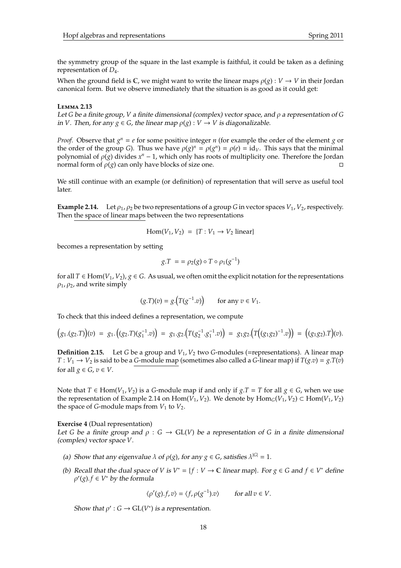the symmetry group of the square in the last example is faithful, it could be taken as a defining representation of *D*4.

When the ground field is  $\mathbb{C}$ , we might want to write the linear maps  $\rho(g): V \to V$  in their Jordan canonical form. But we observe immediately that the situation is as good as it could get:

#### **L**emma **2.13**

Let *G* be a finite group, *V* a finite dimensional (complex) vector space, and ρ a representation of *G* in *V*. Then, for any  $g \in G$ , the linear map  $\rho(g): V \to V$  is diagonalizable.

*Proof.* Observe that  $g^n = e$  for some positive integer *n* (for example the order of the element *g* or the order of the group *G*). Thus we have  $\rho(g)^n = \rho(g^n) = \rho(e) = id_V$ . This says that the minimal polynomial of  $\rho(g)$  divides  $x^n - 1$ , which only has roots of multiplicity one. Therefore the Jordan normal form of  $\rho(g)$  can only have blocks of size one.

We still continue with an example (or definition) of representation that will serve as useful tool later.

**Example 2.14.** Let  $\rho_1$ ,  $\rho_2$  be two representations of a group *G* in vector spaces  $V_1$ ,  $V_2$ , respectively. Then the space of linear maps between the two representations

$$
Hom(V_1, V_2) = \{T: V_1 \rightarrow V_2 \text{ linear}\}\
$$

becomes a representation by setting

$$
g.T = \rho_2(g) \circ T \circ \rho_1(g^{-1})
$$

for all  $T \in Hom(V_1, V_2)$ ,  $g \in G$ . As usual, we often omit the explicit notation for the representations  $\rho_1$ ,  $\rho_2$ , and write simply

$$
(g.T)(v) = g.(T(g^{-1}.v))
$$
 for any  $v \in V_1$ .

To check that this indeed defines a representation, we compute

$$
(g_1.(g_2.T))(v) = g_1.\big((g_2.T)(g_1^{-1}.v)\big) = g_1.g_2.\big(T(g_2^{-1}.g_1^{-1}.v)\big) = g_1g_2.\big(T\big((g_1g_2)^{-1}.v\big)\big) = \big((g_1g_2).T\big)(v).
$$

**Definition 2.15.** Let *G* be a group and *V*1, *V*<sup>2</sup> two *G*-modules (=representations). A linear map *T* :  $V_1 \rightarrow V_2$  is said to be a *G*-module map (sometimes also called a *G*-linear map) if  $T(g.v) = g.T(v)$ for all  $g \in G$ ,  $v \in V$ .

Note that *T* ∈ Hom(*V*<sub>1</sub>, *V*<sub>2</sub>) is a *G*-module map if and only if *g*.*T* = *T* for all *g* ∈ *G*, when we use the representation of Example 2.14 on Hom $(V_1, V_2)$ . We denote by  $\text{Hom}_G(V_1, V_2) \subset \text{Hom}(V_1, V_2)$ the space of *G*-module maps from  $V_1$  to  $V_2$ .

## **Exercise 4** (Dual representation)

Let *G* be a finite group and  $\rho : G \to GL(V)$  be a representation of *G* in a finite dimensional (complex) vector space *V*.

- (a) Show that any eigenvalue  $\lambda$  of  $\rho(g)$ , for any  $g \in G$ , satisfies  $\lambda^{|G|} = 1$ .
- (b) Recall that the dual space of *V* is  $V^* = \{f : V \to \mathbb{C} \text{ linear map}\}\)$ . For  $g \in G$  and  $f \in V^*$  define  $\rho'(g) \cdot f \in V^*$  by the formula

$$
\langle \rho'(g) \cdot f, v \rangle = \langle f, \rho(g^{-1}) \cdot v \rangle \qquad \text{for all } v \in V.
$$

Show that  $\rho'$  :  $G \to GL(V^*)$  is a representation.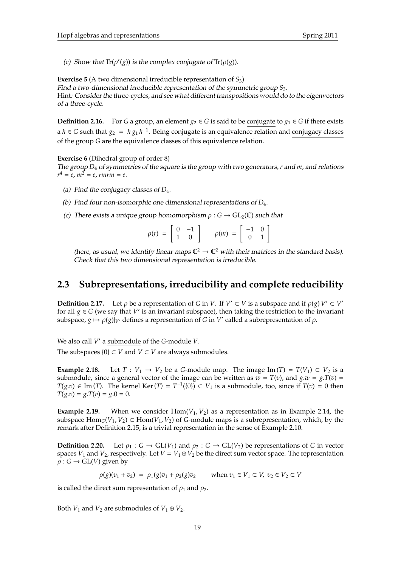(c) Show that  $\text{Tr}(\rho'(g))$  is the complex conjugate of  $\text{Tr}(\rho(g))$ .

**Exercise 5** (A two dimensional irreducible representation of *S*3) Find a two-dimensional irreducible representation of the symmetric group *S*3. Hint: Consider the three-cycles, and see what different transpositions would do to the eigenvectors of a three-cycle.

**Definition 2.16.** For *G* a group, an element  $g_2 \in G$  is said to be conjugate to  $g_1 \in G$  if there exists a *h* ∈ *G* such that  $g_2 = h g_1 h^{-1}$ . Being conjugate is an equivalence relation and conjugacy classes of the group *G* are the equivalence classes of this equivalence relation.

## **Exercise 6** (Dihedral group of order 8)

The group *D*<sup>4</sup> of symmetries of the square is the group with two generators, *r* and *m*, and relations  $r^4 = e$ ,  $m^2 = e$ , rmrm =  $e$ .

- (a) Find the conjugacy classes of *D*4.
- (b) Find four non-isomorphic one dimensional representations of *D*4.
- (c) There exists a unique group homomorphism  $\rho : G \to GL_2(\mathbb{C})$  such that

| $\rho(r) = \left[ \begin{array}{cc} 0 & -1 \\ 1 & 0 \end{array} \right]$ |  |  |  | $\rho(m) \; = \; \left[ \begin{array}{cc} -1 & 0 \\ 0 & 1 \end{array} \right]$ |  |  |
|--------------------------------------------------------------------------|--|--|--|--------------------------------------------------------------------------------|--|--|
|--------------------------------------------------------------------------|--|--|--|--------------------------------------------------------------------------------|--|--|

(here, as usual, we identify linear maps  $\mathbb{C}^2 \to \mathbb{C}^2$  with their matrices in the standard basis). Check that this two dimensional representation is irreducible.

## **2.3 Subrepresentations, irreducibility and complete reducibility**

**Definition 2.17.** Let  $\rho$  be a representation of *G* in *V*. If  $V' \subset V$  is a subspace and if  $\rho(g) V' \subset V'$ for all  $g \in G$  (we say that  $V'$  is an invariant subspace), then taking the restriction to the invariant subspace,  $g \mapsto \rho(g)|_{V'}$  defines a representation of *G* in *V'* called a subrepresentation of  $\rho$ .

We also call V' a submodule of the *G*-module V.

The subspaces  $\{0\} \subset V$  and  $V \subset V$  are always submodules.

**Example 2.18.** Let  $T: V_1 \to V_2$  be a *G*-module map. The image Im  $(T) = T(V_1) \subset V_2$  is a submodule, since a general vector of the image can be written as  $w = T(v)$ , and  $g.w = g.T(v)$ *T*(*g*.*v*) ∈ Im (*T*). The kernel Ker(*T*) =  $T^{-1}(\{0\})$  ⊂  $V_1$  is a submodule, too, since if  $T(v) = 0$  then  $T(g.v) = g \cdot T(v) = g \cdot 0 = 0.$ 

**Example 2.19.** When we consider  $Hom(V_1, V_2)$  as a representation as in Example 2.14, the subspace  $\text{Hom}_G(V_1, V_2) \subset \text{Hom}(V_1, V_2)$  of *G*-module maps is a subrepresentation, which, by the remark after Definition 2.15, is a trivial representation in the sense of Example 2.10.

**Definition 2.20.** Let  $\rho_1 : G \to GL(V_1)$  and  $\rho_2 : G \to GL(V_2)$  be representations of *G* in vector spaces  $V_1$  and  $V_2$ , respectively. Let  $V = V_1 \oplus V_2$  be the direct sum vector space. The representation  $\rho: G \to GL(V)$  given by

 $\rho(g)(v_1 + v_2) = \rho_1(g)v_1 + \rho_2(g)v_2$  when  $v_1 \in V_1 \subset V$ ,  $v_2 \in V_2 \subset V$ 

is called the direct sum representation of  $\rho_1$  and  $\rho_2$ .

Both *V*<sub>1</sub> and *V*<sub>2</sub> are submodules of *V*<sub>1</sub>  $\oplus$  *V*<sub>2</sub>.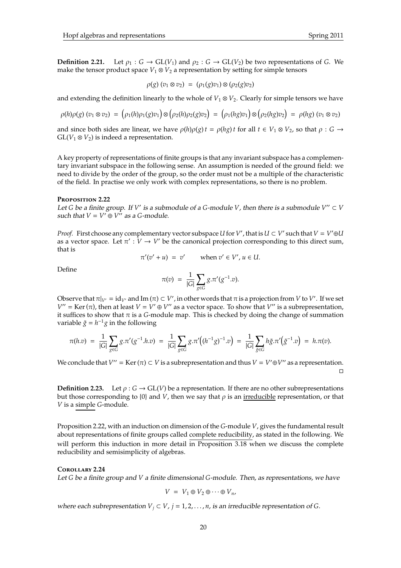**Definition 2.21.** Let  $\rho_1 : G \to GL(V_1)$  and  $\rho_2 : G \to GL(V_2)$  be two representations of *G*. We make the tensor product space  $V_1 \otimes V_2$  a representation by setting for simple tensors

$$
\rho(g) (v_1 \otimes v_2) = (\rho_1(g)v_1) \otimes (\rho_2(g)v_2)
$$

and extending the definition linearly to the whole of  $V_1 \otimes V_2$ . Clearly for simple tensors we have

$$
\rho(h)\rho(g) (v_1 \otimes v_2) = (\rho_1(h)\rho_1(g)v_1) \otimes (\rho_2(h)\rho_2(g)v_2) = (\rho_1(hg)v_1) \otimes (\rho_2(hg)v_2) = \rho(hg) (v_1 \otimes v_2)
$$

and since both sides are linear, we have  $\rho(h)\rho(g)t = \rho(hg)t$  for all  $t \in V_1 \otimes V_2$ , so that  $\rho : G \to$  $GL(V_1 \otimes V_2)$  is indeed a representation.

A key property of representations of finite groups is that any invariant subspace has a complementary invariant subspace in the following sense. An assumption is needed of the ground field: we need to divide by the order of the group, so the order must not be a multiple of the characteristic of the field. In practise we only work with complex representations, so there is no problem.

#### **P**roposition **2.22**

Let *G* be a finite group. If *V'* is a submodule of a *G*-module *V*, then there is a submodule  $V'' \subset V$ such that  $V = V' \oplus V''$  as a *G*-module.

*Proof.* First choose any complementary vector subspace U for *V'*, that is  $U \subset V'$  such that  $V = V' \oplus U$ as a vector space. Let  $\pi' : V \to V'$  be the canonical projection corresponding to this direct sum, that is

$$
\pi'(v'+u) = v' \quad \text{when } v' \in V', u \in U.
$$

Define

$$
\pi(v) \; = \; \frac{1}{|G|} \sum_{g \in G} g.\pi'(g^{-1}.v).
$$

Observe that  $\pi|_{V'} = id_{V'}$  and Im  $(\pi) \subset V'$ , in other words that  $\pi$  is a projection from *V* to *V'*. If we set  $V'' = \text{Ker}(\pi)$ , then at least  $V = V' \oplus V''$  as a vector space. To show that  $V''$  is a subrepresentation, it suffices to show that  $\pi$  is a *G*-module map. This is checked by doing the change of summation variable  $\tilde{g} = h^{-1}g$  in the following

$$
\pi(h.v) = \frac{1}{|G|} \sum_{g \in G} g \cdot \pi'(g^{-1} \cdot h.v) = \frac{1}{|G|} \sum_{g \in G} g \cdot \pi'\big((h^{-1}g)^{-1} \cdot v\big) = \frac{1}{|G|} \sum_{\tilde{g} \in G} h\tilde{g} \cdot \pi'\big(\tilde{g}^{-1} \cdot v\big) = h \cdot \pi(v).
$$

We conclude that  $V'' = \text{Ker}(\pi) \subset V$  is a subrepresentation and thus  $V = V' \oplus V''$  as a representation.  $\Box$ 

**Definition 2.23.** Let  $\rho$  :  $G \to GL(V)$  be a representation. If there are no other subrepresentations but those corresponding to  $\{0\}$  and *V*, then we say that  $\rho$  is an irreducible representation, or that *V* is a simple *G*-module.

Proposition 2.22, with an induction on dimension of the *G*-module *V*, gives the fundamental result about representations of finite groups called complete reducibility, as stated in the following. We will perform this induction in more detail in Proposition 3.18 when we discuss the complete reducibility and semisimplicity of algebras.

## **C**orollary **2.24**

Let *G* be a finite group and *V* a finite dimensional *G*-module. Then, as representations, we have

$$
V = V_1 \oplus V_2 \oplus \cdots \oplus V_n,
$$

where each subrepresentation  $V_j \subset V$ ,  $j = 1, 2, ..., n$ , is an irreducible representation of *G*.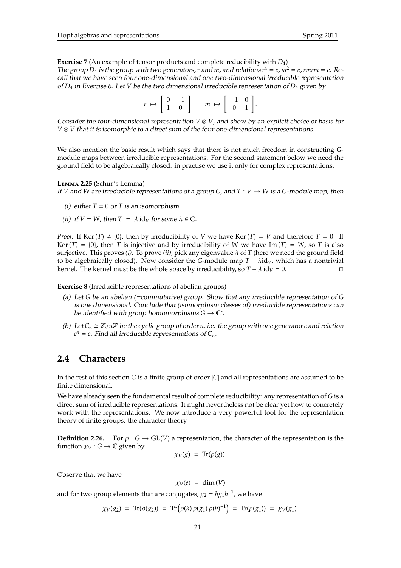**Exercise 7** (An example of tensor products and complete reducibility with *D*4) The group  $D_4$  is the group with two generators, *r* and *m*, and relations  $r^4 = e$ ,  $m^2 = e$ , rmrm =  $e$ . Recall that we have seen four one-dimensional and one two-dimensional irreducible representation of *D*<sup>4</sup> in Exercise 6. Let *V* be the two dimensional irreducible representation of *D*<sup>4</sup> given by

| $r \mapsto \left[ \begin{array}{cc} 0 & -1 \\ 1 & 0 \end{array} \right]$ |  | $m \mapsto \begin{bmatrix} -1 & 0 \\ 0 & 1 \end{bmatrix}$ . |  |  |
|--------------------------------------------------------------------------|--|-------------------------------------------------------------|--|--|

Consider the four-dimensional representation  $V \otimes V$ , and show by an explicit choice of basis for *V* ⊗ *V* that it is isomorphic to a direct sum of the four one-dimensional representations.

We also mention the basic result which says that there is not much freedom in constructing *G*module maps between irreducible representations. For the second statement below we need the ground field to be algebraically closed: in practise we use it only for complex representations.

**L**emma **2.25** (Schur's Lemma) If *V* and *W* are irreducible representations of a group *G*, and  $T: V \rightarrow W$  is a *G*-module map, then

- (i) either  $T = 0$  or  $T$  is an isomorphism
- (ii) if  $V = W$ , then  $T = \lambda \text{ id}_V$  for some  $\lambda \in \mathbb{C}$ .

*Proof.* If Ker(*T*)  $\neq$  {0}, then by irreducibility of *V* we have Ker(*T*) = *V* and therefore *T* = 0. If Ker(*T*) = {0}, then *T* is injective and by irreducibility of *W* we have Im(*T*) = *W*, so *T* is also surjective. This proves *(i)*. To prove *(ii)*, pick any eigenvalue  $\lambda$  of *T* (here we need the ground field to be algebraically closed). Now consider the *G*-module map  $T - \lambda id_V$ , which has a nontrivial kernel. The kernel must be the whole space by irreducibility, so  $T - \lambda i d_V = 0$ . □

**Exercise 8** (Irreducible representations of abelian groups)

- (a) Let *G* be an abelian (=commutative) group. Show that any irreducible representation of *G* is one dimensional. Conclude that (isomorphism classes of) irreducible representations can be identified with group homomorphisms  $G \to \mathbb{C}^*$ .
- (b) Let  $C_n \cong \mathbb{Z}/n\mathbb{Z}$  be the cyclic group of order *n*, i.e. the group with one generator *c* and relation  $c^n = e$ . Find all irreducible representations of  $C_n$ .

## **2.4 Characters**

In the rest of this section *G* is a finite group of order |*G*| and all representations are assumed to be finite dimensional.

We have already seen the fundamental result of complete reducibility: any representation of *G* is a direct sum of irreducible representations. It might nevertheless not be clear yet how to concretely work with the representations. We now introduce a very powerful tool for the representation theory of finite groups: the character theory.

**Definition 2.26.** For  $\rho$  :  $G \rightarrow GL(V)$  a representation, the character of the representation is the function  $\chi_V : G \to \mathbb{C}$  given by

$$
\chi_V(g) = \text{Tr}(\rho(g)).
$$

Observe that we have

 $\chi_V(e) = \dim(V)$ 

and for two group elements that are conjugates,  $g_2 = h g_1 h^{-1}$ , we have

$$
\chi_V(g_2) = \text{Tr}(\rho(g_2)) = \text{Tr}(\rho(h)\rho(g_1)\rho(h)^{-1}) = \text{Tr}(\rho(g_1)) = \chi_V(g_1).
$$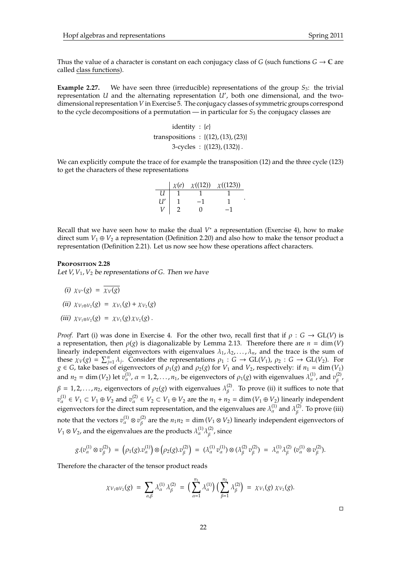Thus the value of a character is constant on each conjugacy class of *G* (such functions  $G \to \mathbb{C}$  are called class functions).

**Example 2.27.** We have seen three (irreducible) representations of the group  $S_3$ : the trivial representation *U* and the alternating representation  $U'$ , both one dimensional, and the twodimensional representation *V* in Exercise 5. The conjugacy classes of symmetric groups correspond to the cycle decompositions of a permutation — in particular for  $S_3$  the conjugacy classes are

> identity : {*e*} transpositions :  $\{(12), (13), (23)\}$  $3$ -cycles :  $\{(123), (132)\}\.$

We can explicitly compute the trace of for example the transposition (12) and the three cycle (123) to get the characters of these representations

|    | $\chi(e)$ | $\chi((12)) \quad \chi((123))$ |  |
|----|-----------|--------------------------------|--|
| и  |           |                                |  |
| U′ |           |                                |  |
|    |           |                                |  |

Recall that we have seen how to make the dual *V*<sup>\*</sup> a representation (Exercise 4), how to make direct sum  $V_1 \oplus V_2$  a representation (Definition 2.20) and also how to make the tensor product a representation (Definition 2.21). Let us now see how these operations affect characters.

## **P**roposition **2.28**

Let  $V, V_1, V_2$  be representations of *G*. Then we have

- (i)  $\chi_{V^*}(g) = \overline{\chi_V(g)}$
- (*ii*)  $\chi_{V_1 \oplus V_2}(g) = \chi_{V_1}(g) + \chi_{V_2}(g)$
- (*iii*)  $\chi_{V_1 \otimes V_2}(g) = \chi_{V_1}(g) \chi_{V_2}(g)$ .

*Proof.* Part (i) was done in Exercise 4. For the other two, recall first that if  $\rho : G \to GL(V)$  is a representation, then  $\rho(g)$  is diagonalizable by Lemma 2.13. Therefore there are  $n = \dim(V)$ linearly independent eigenvectors with eigenvalues  $\lambda_1, \lambda_2, \ldots, \lambda_n$ , and the trace is the sum of these  $\chi_V(g) = \sum_{j=1}^n \lambda_j$ . Consider the representations  $\rho_1 : G \to GL(V_1)$ ,  $\rho_2 : G \to GL(V_2)$ . For  $g \in G$ , take bases of eigenvectors of  $\rho_1(g)$  and  $\rho_2(g)$  for  $V_1$  and  $V_2$ , respectively: if  $n_1 = \dim(V_1)$ and  $n_2 = \dim(V_2)$  let  $v_\alpha^{(1)}$ ,  $\alpha = 1, 2, ..., n_1$ , be eigenvectors of  $\rho_1(g)$  with eigenvalues  $\lambda_\alpha^{(1)}$ , and  $v_\beta^{(2)}$ ,<sup>(2)</sup>,<br>β  $\beta = 1, 2, \ldots, n_2$ , eigenvectors of  $\rho_2(g)$  with eigenvalues  $\lambda_{\beta}^{(2)}$  $\beta$ . To prove (ii) it suffices to note that  $v_\alpha^{(1)} \in V_1 \subset V_1 \oplus V_2$  and  $v_\alpha^{(2)} \in V_2 \subset V_1 \oplus V_2$  are the  $n_1 + n_2 = \dim(V_1 \oplus V_2)$  linearly independent eigenvectors for the direct sum representation, and the eigenvalues are  $\lambda^{(1)}_\alpha$  and  $\lambda^{(2)}_\beta$  $\beta^{(2)}$ . To prove (iii) note that the vectors  $v_\alpha^{(1)}\otimes v_\beta^{(2)}$  $\binom{2}{\beta}$  are the  $n_1 n_2 = \dim (V_1 \otimes V_2)$  linearly independent eigenvectors of  $V_1 \otimes V_2$ , and the eigenvalues are the products  $\lambda_{\alpha}^{(1)} \lambda_{\beta}^{(2)}$  $\int_{\beta}^{(2)}$ , since

$$
g.(v_\alpha^{(1)} \otimes v_\beta^{(2)}) \; = \; \left(\rho_1(g).v_\alpha^{(1)}\right) \otimes \left(\rho_2(g).v_\beta^{(2)}\right) \; = \; (\lambda_\alpha^{(1)}\,v_\alpha^{(1)}) \otimes (\lambda_\beta^{(2)}\,v_\beta^{(2)}) \; = \; \lambda_\alpha^{(1)}\lambda_\beta^{(2)} \; (v_\alpha^{(1)} \otimes v_\beta^{(2)}).
$$

Therefore the character of the tensor product reads

$$
\chi_{V_1 \otimes V_2}(g) = \sum_{\alpha, \beta} \lambda_{\alpha}^{(1)} \lambda_{\beta}^{(2)} = \Big(\sum_{\alpha=1}^{n_1} \lambda_{\alpha}^{(1)}\Big) \Big(\sum_{\beta=1}^{n_2} \lambda_{\beta}^{(2)}\Big) = \chi_{V_1}(g) \chi_{V_2}(g).
$$

 $\Box$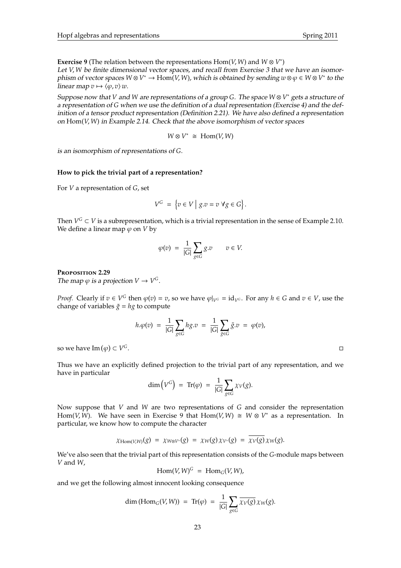**Exercise 9** (The relation between the representations  $Hom(V, W)$  and  $W \otimes V^*$ ) Let *V*, *W* be finite dimensional vector spaces, and recall from Exercise 3 that we have an isomorphism of vector spaces  $W \otimes V^* \to \text{Hom}^2(V,W)$ , which is obtained by sending  $w \otimes \varphi \in W \otimes V^*$  to the linear map  $v \mapsto \langle \varphi, v \rangle w$ .

Suppose now that *V* and *W* are representations of a group *G*. The space *W* ⊗ *V* <sup>∗</sup> gets a structure of a representation of *G* when we use the definition of a dual representation (Exercise 4) and the definition of a tensor product representation (Definition 2.21). We have also defined a representation on Hom(*V*, *W*) in Example 2.14. Check that the above isomorphism of vector spaces

$$
W\otimes V^*\ \cong\ \mathrm{Hom}(V,W)
$$

is an isomorphism of representations of *G*.

## **How to pick the trivial part of a representation?**

For *V* a representation of *G*, set

$$
V^G = \{ v \in V \mid g.v = v \; \forall g \in G \}.
$$

Then  $V^G \subset V$  is a subrepresentation, which is a trivial representation in the sense of Example 2.10. We define a linear map  $\varphi$  on *V* by

$$
\varphi(v) = \frac{1}{|G|} \sum_{g \in G} g.v \qquad v \in V.
$$

#### **P**roposition **2.29**

The map  $\varphi$  is a projection  $V \to V^G$ .

*Proof.* Clearly if  $v \in V^G$  then  $\varphi(v) = v$ , so we have  $\varphi|_{V^G} = id_{V^G}$ . For any  $h \in G$  and  $v \in V$ , use the change of variables  $\tilde{g} = hg$  to compute

$$
h.\varphi(v) = \frac{1}{|G|} \sum_{g \in G} hg.v = \frac{1}{|G|} \sum_{\tilde{g} \in G} \tilde{g}.v = \varphi(v),
$$

so we have  $\text{Im}(\varphi) \subset V$ *<sup>G</sup>*.

Thus we have an explicitly defined projection to the trivial part of any representation, and we have in particular

$$
\dim\left(V^G\right) \ = \ \mathrm{Tr}(\varphi) \ = \ \frac{1}{|G|} \sum_{g \in G} \chi_V(g).
$$

Now suppose that *V* and *W* are two representations of *G* and consider the representation Hom(*V*, *W*). We have seen in Exercise 9 that Hom(*V*, *W*)  $\cong$  *W*  $\otimes$  *V*<sup>\*</sup> as a representation. In particular, we know how to compute the character

$$
\chi_{\text{Hom}(V,W)}(g) = \chi_{W \otimes V^*}(g) = \chi_W(g) \chi_{V^*}(g) = \chi_V(g) \chi_W(g).
$$

We've also seen that the trivial part of this representation consists of the *G*-module maps between *V* and *W*,

$$
Hom(V, W)^G = Hom_G(V, W),
$$

and we get the following almost innocent looking consequence

$$
\dim\left(\mathrm{Hom}_G(V,W)\right) \;=\; \mathrm{Tr}(\varphi) \;=\; \frac{1}{|G|}\sum_{g\in G}\overline{\chi_V(g)}\,\chi_W(g).
$$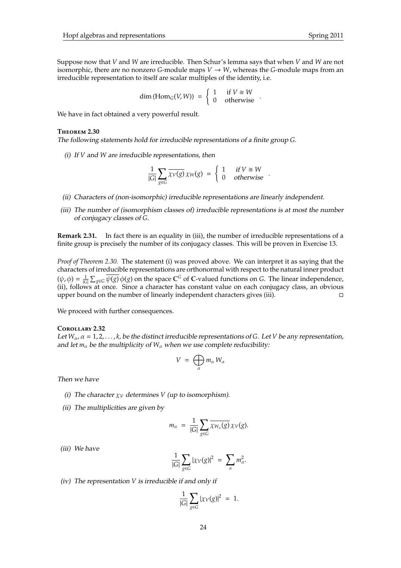Suppose now that *V* and *W* are irreducible. Then Schur's lemma says that when *V* and *W* are not isomorphic, there are no nonzero *G*-module maps  $V \rightarrow W$ , whereas the *G*-module maps from an irreducible representation to itself are scalar multiples of the identity, i.e.

$$
\dim\left(\mathrm{Hom}_G(V,W)\right) = \begin{cases} 1 & \text{if } V \cong W \\ 0 & \text{otherwise} \end{cases}.
$$

We have in fact obtained a very powerful result.

#### **T**heorem **2.30**

The following statements hold for irreducible representations of a finite group *G*.

(i) If *V* and *W* are irreducible representations, then

$$
\frac{1}{|G|} \sum_{g \in G} \overline{\chi_V(g)} \chi_W(g) = \begin{cases} 1 & \text{if } V \cong W \\ 0 & \text{otherwise} \end{cases}.
$$

- (ii) Characters of (non-isomorphic) irreducible representations are linearly independent.
- (iii) The number of (isomorphism classes of) irreducible representations is at most the number of conjugacy classes of *G*.

**Remark 2.31.** In fact there is an equality in (iii), the number of irreducible representations of a finite group is precisely the number of its conjugacy classes. This will be proven in Exercise 13.

*Proof of Theorem 2.30.* The statement (i) was proved above. We can interpret it as saying that the characters of irreducible representations are orthonormal with respect to the natural inner product  $(\psi, \phi) = \frac{1}{|G|} \sum_{g \in G} \overline{\psi(g)} \phi(g)$  on the space  $\mathbb{C}^G$  of C-valued functions on *G*. The linear independence, (ii), follows at once. Since a character has constant value on each conjugacy class, an obvious upper bound on the number of linearly independent characters gives (iii).

We proceed with further consequences.

#### **C**orollary **2.32**

Let  $W_\alpha$ ,  $\alpha = 1, 2, \ldots, k$ , be the distinct irreducible representations of *G*. Let *V* be any representation, and let  $m_\alpha$  be the multiplicity of  $W_\alpha$  when we use complete reducibility:

$$
V\;=\; \bigoplus_\alpha m_\alpha\, W_\alpha
$$

Then we have

- (i) The character  $\chi_V$  determines *V* (up to isomorphism).
- (ii) The multiplicities are given by

$$
m_{\alpha} = \frac{1}{|G|} \sum_{g \in G} \overline{\chi_{W_{\alpha}}(g)} \chi_{V}(g).
$$

(iii) We have

$$
\frac{1}{|G|}\sum_{g\in G}|\chi_V(g)|^2\ =\ \sum_{\alpha}m_{\alpha}^2.
$$

(iv) The representation *V* is irreducible if and only if

$$
\frac{1}{|G|}\sum_{g\in G}|\chi_V(g)|^2 = 1.
$$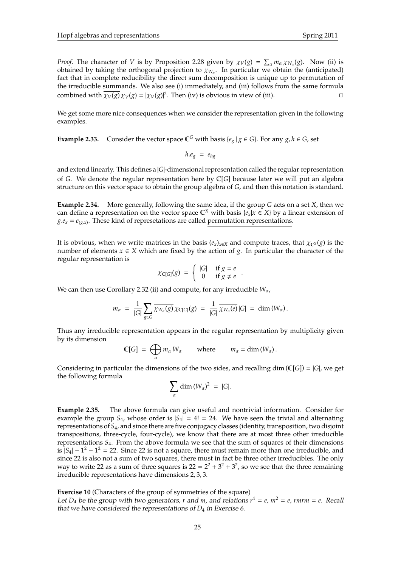*Proof.* The character of *V* is by Proposition 2.28 given by  $\chi_V(g) = \sum_{\alpha} m_{\alpha} \chi_{W_{\alpha}}(g)$ . Now (ii) is obtained by taking the orthogonal projection to  $\chi_{W_\alpha}.$  In particular we obtain the (anticipated) fact that in complete reducibility the direct sum decomposition is unique up to permutation of the irreducible summands. We also see (i) immediately, and (iii) follows from the same formula combined with  $\overline{\chi_V(g)} \chi_V(g) = |\chi_V(g)|^2$ . Then (iv) is obvious in view of (iii).

We get some more nice consequences when we consider the representation given in the following examples.

**Example 2.33.** Consider the vector space  $\mathbb{C}^G$  with basis { $e_g | g \in G$ }. For any  $g, h \in G$ , set

$$
h.e_{g} = e_{hg}
$$

and extend linearly. This defines a |*G*|-dimensional representation called the regular representation of *G*. We denote the regular representation here by C[*G*] because later we will put an algebra structure on this vector space to obtain the group algebra of *G*, and then this notation is standard.

**Example 2.34.** More generally, following the same idea, if the group *G* acts on a set *X*, then we can define a representation on the vector space  $\mathbb{C}^X$  with basis  $\{e_x | x \in X\}$  by a linear extension of  $g.e<sub>x</sub> = e<sub>(g.x)</sub>$ . These kind of represetations are called permutation representations.

It is obvious, when we write matrices in the basis  $(e_x)_{x\in X}$  and compute traces, that  $\chi_{\mathbb{C}^X}(g)$  is the number of elements  $x \in X$  which are fixed by the action of *g*. In particular the character of the regular representation is

$$
\chi_{\mathbb{C}[G]}(g) \;=\; \left\{ \begin{array}{cl} |G| & \text{ if } g=e \\ 0 & \text{ if } g\neq e \end{array} \right..
$$

We can then use Corollary 2.32 (ii) and compute, for any irreducible *W*α,

$$
m_\alpha = \frac{1}{|G|} \sum_{g \in G} \overline{\chi_{W_\alpha}(g)} \chi_{C[G]}(g) = \frac{1}{|G|} \overline{\chi_{W_\alpha}(e)} |G| = \dim(W_\alpha).
$$

Thus any irreducible representation appears in the regular representation by multiplicity given by its dimension

$$
\mathbb{C}[G] = \bigoplus_{\alpha} m_{\alpha} W_{\alpha} \quad \text{where} \quad m_{\alpha} = \dim(W_{\alpha}).
$$

Considering in particular the dimensions of the two sides, and recalling dim  $(\mathbb{C}[G]) = |G|$ , we get the following formula

$$
\sum_{\alpha} \dim (W_{\alpha})^2 = |G|.
$$

**Example 2.35.** The above formula can give useful and nontrivial information. Consider for example the group  $S_4$ , whose order is  $|S_4| = 4! = 24$ . We have seen the trivial and alternating representations of *S*4, and since there are five conjugacy classes (identity, transposition, two disjoint transpositions, three-cycle, four-cycle), we know that there are at most three other irreducible representations *S*4. From the above formula we see that the sum of squares of their dimensions is  $|S_4| - 1^2 - 1^2 = 22$ . Since 22 is not a square, there must remain more than one irreducible, and since 22 is also not a sum of two squares, there must in fact be three other irreducibles. The only way to write 22 as a sum of three squares is  $22 = 2^2 + 3^2 + 3^2$ , so we see that the three remaining irreducible representations have dimensions 2, 3, 3.

**Exercise 10** (Characters of the group of symmetries of the square)

Let  $D_4$  be the group with two generators, *r* and *m*, and relations  $r^4 = e$ ,  $m^2 = e$ , rmrm = *e*. Recall that we have considered the representations of  $D_4$  in Exercise 6.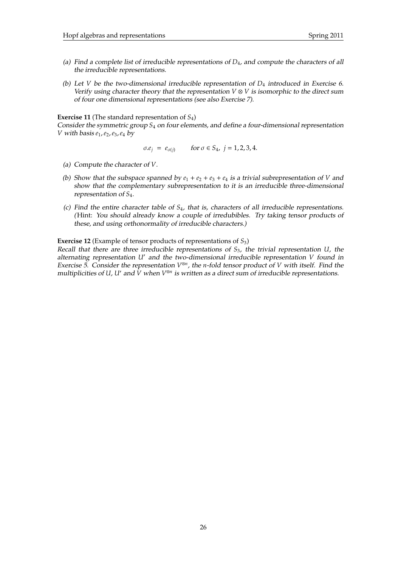- (a) Find a complete list of irreducible representations of *D*4, and compute the characters of all the irreducible representations.
- (b) Let *V* be the two-dimensional irreducible representation of *D*<sup>4</sup> introduced in Exercise 6. Verify using character theory that the representation  $V \otimes V$  is isomorphic to the direct sum of four one dimensional representations (see also Exercise 7).

**Exercise 11** (The standard representation of *S*4)

Consider the symmetric group *S*<sup>4</sup> on four elements, and define a four-dimensional representation *V* with basis *e*1,*e*2,*e*3,*e*<sup>4</sup> by

$$
\sigma e_j = e_{\sigma(j)}
$$
 for  $\sigma \in S_4$ ,  $j = 1, 2, 3, 4$ .

- (a) Compute the character of *V*.
- (b) Show that the subspace spanned by  $e_1 + e_2 + e_3 + e_4$  is a trivial subrepresentation of *V* and show that the complementary subrepresentation to it is an irreducible three-dimensional representation of *S*4.
- (c) Find the entire character table of *S*4, that is, characters of all irreducible representations. (Hint: You should already know a couple of irredubibles. Try taking tensor products of these, and using orthonormality of irreducible characters.)

**Exercise 12** (Example of tensor products of representations of *S*3)

Recall that there are three irreducible representations of *S*3, the trivial representation *U*, the alternating representation *U'* and the two-dimensional irreducible representation *V* found in Exercise 5. Consider the representation  $V^{\otimes n}$ , the *n*-fold tensor product of *V* with itself. Find the multiplicities of U, U' and  $\dot{V}$  when  $V^{\otimes n}$  is written as a direct sum of irreducible representations.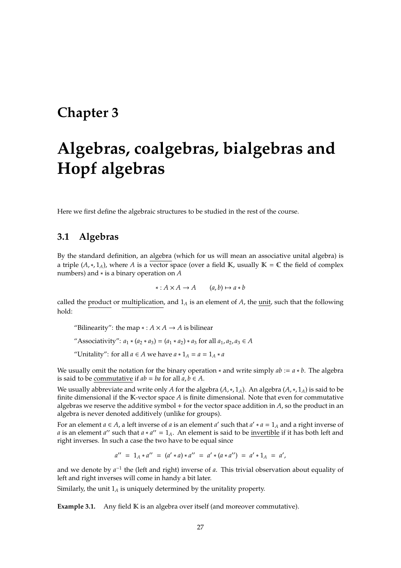## **Chapter 3**

# **Algebras, coalgebras, bialgebras and Hopf algebras**

Here we first define the algebraic structures to be studied in the rest of the course.

## **3.1 Algebras**

By the standard definition, an algebra (which for us will mean an associative unital algebra) is a triple  $(A,*,1_A)$ , where *A* is a vector space (over a field K, usually K = C the field of complex numbers) and ∗ is a binary operation on *A*

$$
*: A \times A \to A \qquad (a, b) \mapsto a * b
$$

called the product or multiplication, and  $1_A$  is an element of  $A$ , the unit, such that the following hold:

"Bilinearity": the map  $* : A \times A \rightarrow A$  is bilinear

"Associativity":  $a_1 * (a_2 * a_3) = (a_1 * a_2) * a_3$  for all  $a_1, a_2, a_3 \in A$ 

"Unitality": for all  $a \in A$  we have  $a * 1_A = a = 1_A * a$ 

We usually omit the notation for the binary operation ∗ and write simply *ab* := *a* ∗ *b*. The algebra is said to be commutative if  $ab = ba$  for all  $a, b \in A$ .

We usually abbreviate and write only *A* for the algebra  $(A, *, 1_A)$ . An algebra  $(A, *, 1_A)$  is said to be finite dimensional if the  $K$ -vector space  $A$  is finite dimensional. Note that even for commutative algebras we reserve the additive symbol + for the vector space addition in *A*, so the product in an algebra is never denoted additively (unlike for groups).

For an element  $a \in A$ , a left inverse of  $a$  is an element  $a'$  such that  $a' * a = 1_A$  and a right inverse of *a* is an element *a*<sup>*''*</sup> such that  $a * a' = 1_A$ . An element is said to be <u>invertible</u> if it has both left and right inverses. In such a case the two have to be equal since

$$
a'' = 1_A * a'' = (a' * a) * a'' = a' * (a * a'') = a' * 1_A = a',
$$

and we denote by  $a^{-1}$  the (left and right) inverse of *a*. This trivial observation about equality of left and right inverses will come in handy a bit later.

Similarly, the unit  $1_A$  is uniquely determined by the unitality property.

**Example 3.1.** Any field K is an algebra over itself (and moreover commutative).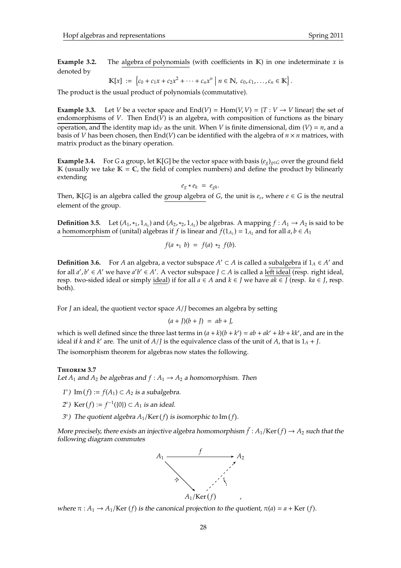**Example 3.2.** The algebra of polynomials (with coefficients in  $K$ ) in one indeterminate  $x$  is denoted by

$$
\mathbb{K}[x] := \{c_0 + c_1 x + c_2 x^2 + \cdots + c_n x^n \mid n \in \mathbb{N}, \ c_0, c_1, \ldots, c_n \in \mathbb{K}\}.
$$

The product is the usual product of polynomials (commutative).

**Example 3.3.** Let *V* be a vector space and  $End(V) = Hom(V, V) = \{T : V \rightarrow V \text{ linear}\}\)$  the set of endomorphisms of *V*. Then  $\text{End}(\bar{V})$  is an algebra, with composition of functions as the binary operation, and the identity map id<sub>*V*</sub> as the unit. When *V* is finite dimensional, dim (*V*) = *n*, and a basis of *V* has been chosen, then  $End(V)$  can be identified with the algebra of  $n \times n$  matrices, with matrix product as the binary operation.

**Example 3.4.** For *G* a group, let K[*G*] be the vector space with basis  $(e_g)_{g \in G}$  over the ground field K (usually we take  $K = \mathbb{C}$ , the field of complex numbers) and define the product by bilinearly extending

 $e_g * e_h = e_{gh}$ .

Then,  $\mathbb{K}[G]$  is an algebra called the group algebra of *G*, the unit is  $e_e$ , where  $e \in G$  is the neutral element of the group.

**Definition 3.5.** Let  $(A_1, *_1, 1_{A_1})$  and  $(A_2, *_2, 1_{A_2})$  be algebras. A mapping  $f : A_1 \to A_2$  is said to be a homomorphism of (unital) algebras if *f* is linear and  $f(1_{A_1}) = 1_{A_2}$  and for all  $a, b \in A_1$ 

$$
f(a *_{1} b) = f(a) *_{2} f(b).
$$

**Definition 3.6.** For *A* an algebra, a vector subspace  $A' \subset A$  is called a subalgebra if  $1_A \in A'$  and for all  $a'$ ,  $b' \in A'$  we have  $a'b' \in A'$ . A vector subspace  $J \subset A$  is called a left ideal (resp. right ideal, resp. two-sided ideal or simply ideal) if for all  $a \in A$  and  $k \in J$  we have  $ak \in J$  (resp.  $ka \in J$ , resp. both).

For *J* an ideal, the quotient vector space *A*/*J* becomes an algebra by setting

$$
(a+J)(b+J) = ab+J,
$$

which is well defined since the three last terms in  $(a + k)(b + k') = ab + ak' + kb + kk'$ , and are in the ideal if *k* and *k*' are. The unit of *A*/*J* is the equivalence class of the unit of *A*, that is  $1_A + J$ .

The isomorphism theorem for algebras now states the following.

## **T**heorem **3.7**

Let  $A_1$  and  $A_2$  be algebras and  $f : A_1 \rightarrow A_2$  a homomorphism. Then

- 1°) Im  $(f) := f(A_1)$  ⊂  $A_2$  *is a subalgebra.*
- 2°) Ker(*f*) := *f*<sup>−1</sup>({0}) ⊂ *A*<sub>1</sub> is an ideal.
- $3^{\circ}$ ) The quotient algebra  $A_1$ /Ker( $f$ ) is isomorphic to Im( $f$ ).

More precisely, there exists an injective algebra homomorphism  $\bar{f}$  :  $A_1$ /Ker $(f) \to A_2$  such that the following diagram commutes



where  $\pi$  :  $A_1 \rightarrow A_1$ /Ker (*f*) is the canonical projection to the quotient,  $\pi$ (*a*) = *a* + Ker (*f*).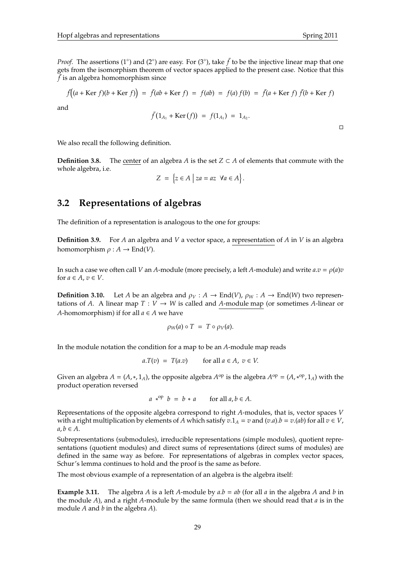*Proof.* The assertions (1<sup>°</sup>) and (2<sup>°</sup>) are easy. For (3<sup>°</sup>), take  $\bar{f}$  to be the injective linear map that one gets from the isomorphism theorem of vector spaces applied to the present case. Notice that this  $\bar{f}$  is an algebra homomorphism since

$$
\bar{f}((a + \text{Ker } f)(b + \text{Ker } f)) = \bar{f}(ab + \text{Ker } f) = f(ab) = f(a)f(b) = \bar{f}(a + \text{Ker } f)\bar{f}(b + \text{Ker } f)
$$

and

$$
\bar{f}(1_{A_1} + \text{Ker}(f)) = f(1_{A_1}) = 1_{A_2}.
$$

 $\Box$ 

We also recall the following definition.

**Definition 3.8.** The center of an algebra *A* is the set  $Z \subset A$  of elements that commute with the whole algebra, i.e.

$$
Z = \{ z \in A \mid za = az \ \forall a \in A \}.
$$

## **3.2 Representations of algebras**

The definition of a representation is analogous to the one for groups:

**Definition 3.9.** For *A* an algebra and *V* a vector space, a representation of *A* in *V* is an algebra homomorphism  $\rho : A \to \text{End}(V)$ .

In such a case we often call *V* an *A*-module (more precisely, a left *A*-module) and write  $a.v = \rho(a)v$ for  $a \in A$ ,  $v \in V$ .

**Definition 3.10.** Let *A* be an algebra and  $\rho_V : A \to \text{End}(V)$ ,  $\rho_W : A \to \text{End}(W)$  two representations of *A*. A linear map  $T: V \to W$  is called and *A*-module map (or sometimes *A*-linear or *A*-homomorphism) if for all  $a \in A$  we have

$$
\rho_W(a) \circ T = T \circ \rho_V(a).
$$

In the module notation the condition for a map to be an *A*-module map reads

$$
a.T(v) = T(a.v) \qquad \text{for all } a \in A, \ v \in V.
$$

Given an algebra  $A = (A, *, 1_A)$ , the opposite algebra  $A^{op}$  is the algebra  $A^{op} = (A, *^{op}, 1_A)$  with the product operation reversed

$$
a *^{op} b = b * a
$$
 for all  $a, b \in A$ .

Representations of the opposite algebra correspond to right *A*-modules, that is, vector spaces *V* with a right multiplication by elements of *A* which satisfy  $v \cdot 1_A = v$  and  $(v.a).b = v.(ab)$  for all  $v \in V$ ,  $a, b \in A$ .

Subrepresentations (submodules), irreducible representations (simple modules), quotient representations (quotient modules) and direct sums of representations (direct sums of modules) are defined in the same way as before. For representations of algebras in complex vector spaces, Schur's lemma continues to hold and the proof is the same as before.

The most obvious example of a representation of an algebra is the algebra itself:

**Example 3.11.** The algebra *A* is a left *A*-module by  $a.b = ab$  (for all  $a$  in the algebra *A* and *b* in the module *A*), and a right *A*-module by the same formula (then we should read that *a* is in the module *A* and *b* in the algebra *A*).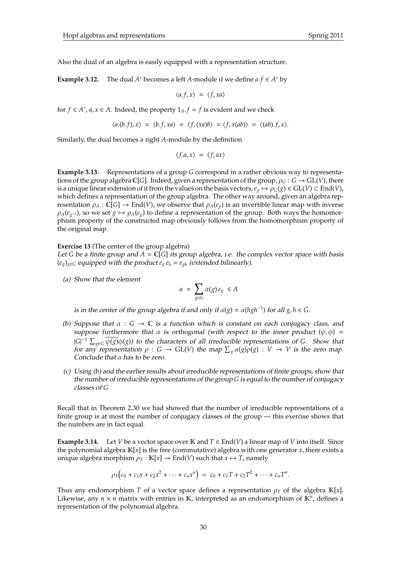Also the dual of an algebra is easily equipped with a representation structure.

**Example 3.12.** The dual  $A^*$  becomes a left  $A$ -module if we define  $a.f \in A^*$  by

$$
\langle a.f, x \rangle = \langle f, xa \rangle
$$

for *f*  $\in$  *A*<sup>\*</sup>, *a*, *x*  $\in$  *A*. Indeed, the property  $1_A$ . *f* = *f* is evident and we check

$$
\langle a.(b.f), x \rangle = \langle b.f, xa \rangle = \langle f, (xa)b \rangle = \langle f, x(ab) \rangle = \langle (ab).f, x \rangle.
$$

Similarly, the dual becomes a right *A*-module by the definition

$$
\langle f.a, x \rangle = \langle f, ax \rangle
$$

**Example 3.13.** Representations of a group *G* correspond in a rather obvious way to representations of the group algebra C[*G*]. Indeed, given a representation of the group,  $\rho_G : G \to GL(V)$ , there is a unique linear extension of it from the values on the basis vectors,  $e_g \mapsto \rho_G(g) \in GL(V) \subset End(V)$ , which defines a representation of the group algebra. The other way around, given an algebra representation  $\rho_A : \mathbb{C}[G] \to \text{End}(V)$ , we observe that  $\rho_A(e_g)$  is an invertible linear map with inverse  $\rho_A(e_{g^{-1}})$ , so we set  $g \mapsto \rho_A(e_g)$  to define a representation of the group. Both ways the homomorphism property of the constructed map obviously follows from the homomorphism property of the original map.

## **Exercise 13** (The center of the group algebra)

Let *G* be a finite group and  $A = \mathbb{C}[G]$  its group algebra, i.e. the complex vector space with basis  $(e_g)_{g \in G}$  equipped with the product  $e_g e_h = e_{gh}$  (extended bilinearly).

(a) Show that the element

$$
a = \sum_{g \in G} \alpha(g) e_g \in A
$$

is in the center of the group algebra if and only if  $\alpha(g) = \alpha(hgh^{-1})$  for all  $g, h \in G$ .

- (b) Suppose that  $\alpha : G \to \mathbb{C}$  is a function which is constant on each conjugacy class, and suppose furthermore that  $\alpha$  is orthogonal (with respect to the inner product ( $\psi$ , $\phi$ ) =  $|G|^{-1}$   $\sum_{g\in G} \overline{\psi(g)}\phi(g)$  to the characters of all irreducible representations of *G*. Show that for any representation  $\rho : G \to GL(V)$  the map  $\sum_g \alpha(g)\rho(g) : V \to V$  is the zero map. Conclude that  $\alpha$  has to be zero.
- (c) Using (b) and the earlier results about irreducible representations of finite groups, show that the number of irreducible representations of the group *G* is equal to the number of conjugacy classes of *G*

Recall that in Theorem 2.30 we had showed that the number of irreducible representations of a finite group is at most the number of conjugacy classes of the group — this exercise shows that the numbers are in fact equal.

**Example 3.14.** Let *V* be a vector space over K and  $T \in End(V)$  a linear map of *V* into itself. Since the polynomial algebra  $\mathbb{K}[x]$  is the free (commutative) algebra with one generator x, there exists a unique algebra morphism  $\rho$ <sub>*T*</sub> : **K**[*x*]  $\rightarrow$  End(*V*) such that *x*  $\rightarrow$  *T*, namely

$$
\rho_T(c_0 + c_1x + c_2x^2 + \cdots + c_nx^n) = c_0 + c_1T + c_2T^2 + \cdots + c_nT^n.
$$

Thus any endomorphism *T* of a vector space defines a representation  $\rho_T$  of the algebra K[x]. Likewise, any  $n \times n$  matrix with entries in K, interpreted as an endomorphism of  $\mathbb{K}^n$ , defines a representation of the polynomial algebra.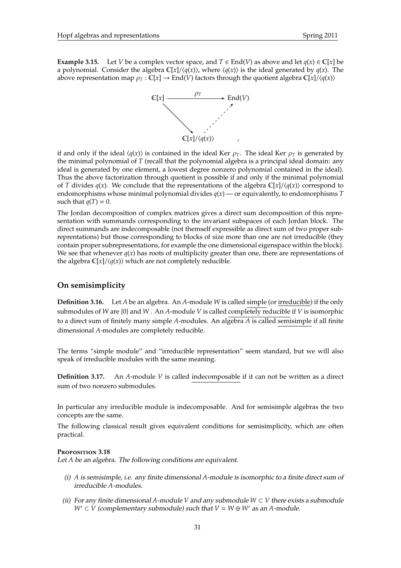

if and only if the ideal  $\langle q(x) \rangle$  is contained in the ideal Ker  $\rho_T$ . The ideal Ker  $\rho_T$  is generated by the minimal polynomial of *T* (recall that the polynomial algebra is a principal ideal domain: any ideal is generated by one element, a lowest degree nonzero polynomial contained in the ideal). Thus the above factorization through quotient is possible if and only if the minimal polynomial of *T* divides  $q(x)$ . We conclude that the representations of the algebra  $\mathbb{C}[x]/\langle q(x) \rangle$  correspond to endomorphisms whose minimal polynomial divides *q*(*x*) — or equivalently, to endomorphisms *T* such that  $q(T) = 0$ .

The Jordan decomposition of complex matrices gives a direct sum decomposition of this representation with summands corresponding to the invariant subspaces of each Jordan block. The direct summands are indecomposable (not themself expressible as direct sum of two proper subreprentations) but those corresponding to blocks of size more than one are not irreducible (they contain proper subrepresentations, for example the one dimensional eigenspace within the block). We see that whenever  $q(x)$  has roots of multiplicity greater than one, there are representations of the algebra  $\mathbb{C}[x]/\langle q(x) \rangle$  which are not completely reducible.

## **On semisimplicity**

**Definition 3.16.** Let *A* be an algebra. An *A*-module *W* is called simple (or irreducible) if the only submodules of *W* are {0} and *W* . An *A*-module *V* is called completely reducible if *V* is isomorphic to a direct sum of finitely many simple *A*-modules. An algebra *A* is called semisimple if all finite dimensional *A*-modules are completely reducible.

The terms "simple module" and "irreducible representation" seem standard, but we will also speak of irreducible modules with the same meaning.

**Definition 3.17.** An *A*-module *V* is called indecomposable if it can not be written as a direct sum of two nonzero submodules.

In particular any irreducible module is indecomposable. And for semisimple algebras the two concepts are the same.

The following classical result gives equivalent conditions for semisimplicity, which are often practical.

## **P**roposition **3.18**

Let *A* be an algebra. The following conditions are equivalent.

- (i) *A* is semisimple, i.e. any finite dimensional *A*-module is isomorphic to a finite direct sum of irreducible *A*-modules.
- (ii) For any finite dimensional A-module *V* and any submodule  $W \subset V$  there exists a submodule *W*<sup> $′$ </sup> ⊂ *V* (complementary submodule) such that  $V = W ⊕ W'$  as an *A*-module.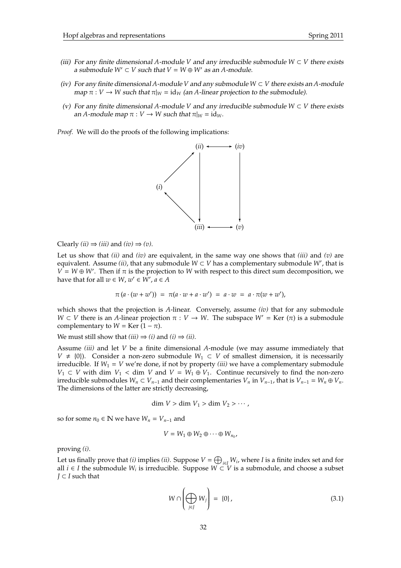- (iii) For any finite dimensional A-module *V* and any irreducible submodule  $W \subset V$  there exists a submodule  $W' \subset V$  such that  $V = W \oplus W'$  as an A-module.
- (iv) For any finite dimensional *A*-module *V* and any submodule  $W \subset V$  there exists an *A*-module map  $\pi : V \to W$  such that  $\pi|_W = id_W$  (an A-linear projection to the submodule).
- (v) For any finite dimensional *A*-module *V* and any irreducible submodule *W* ⊂ *V* there exists an *A*-module map  $\pi : V \to W$  such that  $\pi|_W = id_W$ .

*Proof.* We will do the proofs of the following implications:



Clearly *(ii)*  $\Rightarrow$  *(iii)* and *(iv)*  $\Rightarrow$  *(v)*.

Let us show that *(ii)* and *(iv)* are equivalent, in the same way one shows that *(iii)* and *(v)* are equivalent. Assume *(ii)*, that any submodule  $W \subset V$  has a complementary submodule W', that is  $V = W \oplus W'$ . Then if  $\pi$  is the projection to *W* with respect to this direct sum decomposition, we have that for all  $w \in W$ ,  $w' \in \overrightarrow{W'}$ ,  $a \in A$ 

$$
\pi (a \cdot (w + w')) = \pi (a \cdot w + a \cdot w') = a \cdot w = a \cdot \pi (w + w'),
$$

which shows that the projection is *A*-linear. Conversely, assume *(iv)* that for any submodule *W*  $\subset$  *V* there is an *A*-linear projection  $\pi$  : *V*  $\rightarrow$  *W*. The subspace *W'* = Ker ( $\pi$ ) is a submodule complementary to *W* = Ker  $(1 - \pi)$ .

We must still show that  $(iii) \Rightarrow (i)$  and  $(i) \Rightarrow (ii)$ .

Assume *(iii)* and let *V* be a finite dimensional *A*-module (we may assume immediately that *V* ≠ {0}). Consider a non-zero submodule  $W_1 \subset V$  of smallest dimension, it is necessarily irreducible. If  $W_1 = V$  we're done, if not by property *(iii)* we have a complementary submodule *V*<sub>1</sub> ⊂ *V* with dim *V*<sub>1</sub> < dim *V* and *V* =  $W_1 \oplus V_1$ . Continue recursively to find the non-zero irreducible submodules  $W_n$  ⊂  $V_{n-1}$  and their complementaries  $V_n$  in  $V_{n-1}$ , that is  $V_{n-1} = W_n \oplus V_n$ . The dimensions of the latter are strictly decreasing,

dim  $V > \dim V_1 > \dim V_2 > \cdots$ ,

so for some  $n_0 \in \mathbb{N}$  we have  $W_n = V_{n-1}$  and

$$
V = W_1 \oplus W_2 \oplus \cdots \oplus W_{n_0},
$$

proving *(i)*.

Let us finally prove that *(i)* implies *(ii)*. Suppose  $V = \bigoplus_{i \in I} W_i$ , where *I* is a finite index set and for all *i* ∈ *I* the submodule  $W_i$  is irreducible. Suppose  $W \subset V$  is a submodule, and choose a subset *J* ⊂ *I* such that

$$
W \cap \left(\bigoplus_{j \in J} W_j\right) = \{0\},\tag{3.1}
$$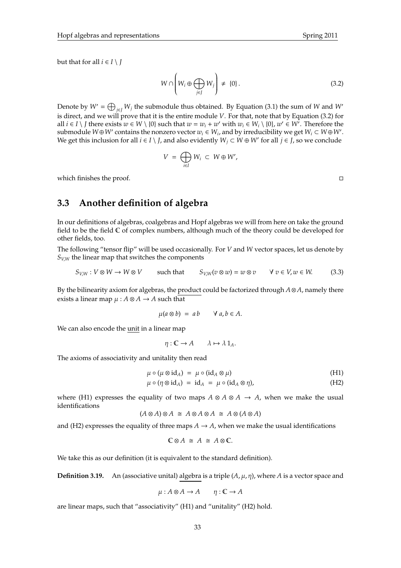but that for all  $i \in I \setminus J$ 

$$
W \cap \left(W_i \oplus \bigoplus_{j \in J} W_j\right) \neq \{0\}.
$$
 (3.2)

Denote by  $W' = \bigoplus_{j \in J} W_j$  the submodule thus obtained. By Equation (3.1) the sum of *W* and *W*<sup>*n*</sup> is direct, and we will prove that it is the entire module *V*. For that, note that by Equation (3.2) for all  $i \in I \setminus J$  there exists  $w \in W \setminus \{0\}$  such that  $w = w_i + w'$  with  $w_i \in W_i \setminus \{0\}$ ,  $w' \in W'$ . Therefore the submodule  $W \oplus W'$  contains the nonzero vector  $w_i \in W_i$ , and by irreducibility we get  $W_i \subset W \oplus W'$ . We get this inclusion for all  $i \in I \setminus J$ , and also evidently  $W_j \subset W \oplus W'$  for all  $j \in J$ , so we conclude

$$
V = \bigoplus_{i \in I} W_i \subset W \oplus W',
$$

which finishes the proof.

## **3.3 Another definition of algebra**

In our definitions of algebras, coalgebras and Hopf algebras we will from here on take the ground field to be the field  $\mathbb C$  of complex numbers, although much of the theory could be developed for other fields, too.

The following "tensor flip" will be used occasionally. For *V* and *W* vector spaces, let us denote by  $S_{V,W}$  the linear map that switches the components

$$
S_{V,W}: V \otimes W \to W \otimes V \qquad \text{such that} \qquad S_{V,W}(v \otimes w) = w \otimes v \qquad \forall \ v \in V, w \in W. \tag{3.3}
$$

By the bilinearity axiom for algebras, the product could be factorized through *A*⊗*A*, namely there exists a linear map  $\mu$  :  $A \otimes A \rightarrow A$  such that

$$
\mu(a\otimes b) = ab \qquad \forall a, b \in A.
$$

We can also encode the unit in a linear map

 $\eta: \mathbb{C} \to A \quad \lambda \mapsto \lambda \mathbb{1}_A.$ 

The axioms of associativity and unitality then read

$$
\mu \circ (\mu \otimes id_A) = \mu \circ (id_A \otimes \mu) \tag{H1}
$$

$$
\mu \circ (\eta \otimes id_A) = id_A = \mu \circ (id_A \otimes \eta), \tag{H2}
$$

where (H1) expresses the equality of two maps  $A \otimes A \otimes A \rightarrow A$ , when we make the usual identifications

$$
(A \otimes A) \otimes A \cong A \otimes A \otimes A \cong A \otimes (A \otimes A)
$$

and (H2) expresses the equality of three maps  $A \rightarrow A$ , when we make the usual identifications

$$
\mathbb{C}\otimes A \cong A \cong A\otimes \mathbb{C}.
$$

We take this as our definition (it is equivalent to the standard definition).

**Definition 3.19.** An (associative unital) algebra is a triple (*A*, µ, η), where *A* is a vector space and

$$
\mu: A \otimes A \to A \qquad \eta: \mathbb{C} \to A
$$

are linear maps, such that "associativity" (H1) and "unitality" (H2) hold.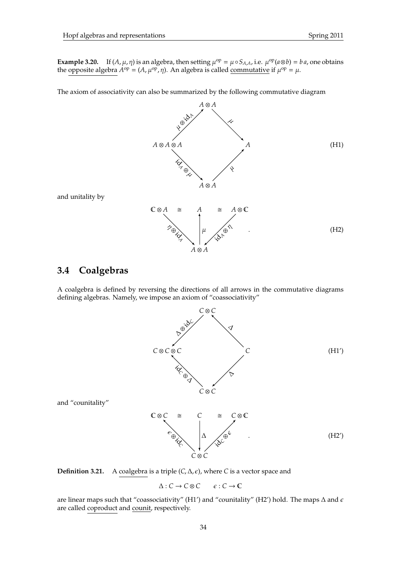**Example 3.20.** If  $(A, \mu, \eta)$  is an algebra, then setting  $\mu^{op} = \mu \circ S_{A,A}$ , i.e.  $\mu^{op}(a \otimes b) = ba$ , one obtains the opposite algebra  $A^{\text{op}} = (A, \mu^{\text{op}}, \eta)$ . An algebra is called <u>commutative</u> if  $\mu^{\text{op}} = \mu$ .

The axiom of associativity can also be summarized by the following commutative diagram



and unitality by

## **3.4 Coalgebras**

A coalgebra is defined by reversing the directions of all arrows in the commutative diagrams defining algebras. Namely, we impose an axiom of "coassociativity"



and "counitality"



**Definition 3.21.** A coalgebra is a triple  $(C, \Delta, \epsilon)$ , where *C* is a vector space and

 $\Delta$  : *C* → *C* ⊗ *C*  $\epsilon$  : *C* → *C* 

are linear maps such that "coassociativity" (H1') and "counitality" (H2') hold. The maps  $\Delta$  and  $\epsilon$ are called coproduct and counit, respectively.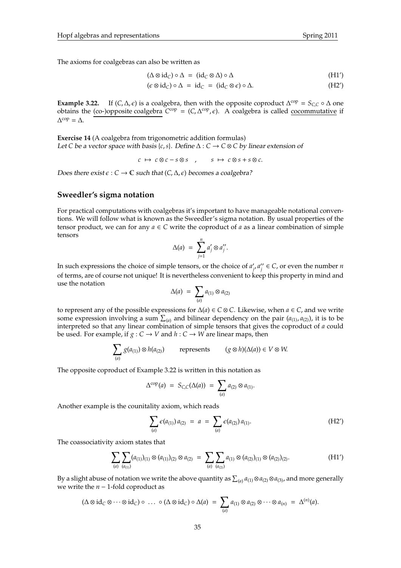The axioms for coalgebras can also be written as

$$
(\Delta \otimes id_C) \circ \Delta = (id_C \otimes \Delta) \circ \Delta \tag{H1'}
$$

$$
(\epsilon \otimes id_C) \circ \Delta = id_C = (id_C \otimes \epsilon) \circ \Delta.
$$
 (H2')

**Example 3.22.** If  $(C, \Delta, \epsilon)$  is a coalgebra, then with the opposite coproduct  $\Delta^{\text{cop}} = S_{C,C} \circ \Delta$  one obtains the (co-)opposite coalgebra  $C^{cop} = (C, \Delta^{cop}, \epsilon)$ . A coalgebra is called <u>cocommutative</u> if  $\Delta^{\text{cop}} = \Delta.$ 

**Exercise 14** (A coalgebra from trigonometric addition formulas) Let *C* be a vector space with basis {*c*, *s*}. Define ∆ : *C* → *C* ⊗ *C* by linear extension of

 $c \mapsto c \otimes c - s \otimes s$ ,  $s \mapsto c \otimes s + s \otimes c$ .

Does there exist  $\epsilon$  :  $C$  →  $\mathbb C$  such that  $(C, \Delta, \epsilon)$  becomes a coalgebra?

## **Sweedler's sigma notation**

For practical computations with coalgebras it's important to have manageable notational conventions. We will follow what is known as the Sweedler's sigma notation. By usual properties of the tensor product, we can for any  $a \in C$  write the coproduct of a as a linear combination of simple tensors

$$
\Delta(a) = \sum_{j=1}^n a'_j \otimes a''_j.
$$

In such expressions the choice of simple tensors, or the choice of *a*<sup>2</sup>  $'_{i'}$  $a''_{j}$  $f_i'' \in C$ , or even the number *n* of terms, are of course not unique! It is nevertheless convenient to keep this property in mind and use the notation

$$
\Delta(a) = \sum_{(a)} a_{(1)} \otimes a_{(2)}
$$

to represent any of the possible expressions for ∆(*a*) ∈ *C* ⊗ *C*. Likewise, when *a* ∈ *C*, and we write some expression involving a sum  $\sum_{(a)}$  and bilinear dependency on the pair  $(a_{(1)}, a_{(2)})$ , it is to be interpreted so that any linear combination of simple tensors that gives the coproduct of *a* could be used. For example, if  $g: C \to V$  and  $h: C \to W$  are linear maps, then

$$
\sum_{(a)} g(a_{(1)}) \otimes h(a_{(2)}) \qquad \text{represents} \qquad (g \otimes h)(\Delta(a)) \in V \otimes W.
$$

The opposite coproduct of Example 3.22 is written in this notation as

$$
\Delta^{\text{cop}}(a) = S_{C,C}(\Delta(a)) = \sum_{(a)} a_{(2)} \otimes a_{(1)}.
$$

Another example is the counitality axiom, which reads

$$
\sum_{(a)} \epsilon(a_{(1)}) a_{(2)} = a = \sum_{(a)} \epsilon(a_{(2)}) a_{(1)}.
$$
 (H2')

The coassociativity axiom states that

$$
\sum_{(a)} \sum_{(a_{(1)})} (a_{(1)})_{(1)} \otimes (a_{(1)})_{(2)} \otimes a_{(2)} = \sum_{(a)} \sum_{(a_{(2)})} a_{(1)} \otimes (a_{(2)})_{(1)} \otimes (a_{(2)})_{(2)}.
$$
 (H1')

By a slight abuse of notation we write the above quantity as  $\sum_{(a)} a_{(1)} \otimes a_{(2)} \otimes a_{(3)}$ , and more generally we write the *n* − 1-fold coproduct as

$$
(\Delta \otimes id_C \otimes \cdots \otimes id_C) \circ \ldots \circ (\Delta \otimes id_C) \circ \Delta(a) = \sum_{(a)} a_{(1)} \otimes a_{(2)} \otimes \cdots \otimes a_{(n)} = \Delta^{(n)}(a).
$$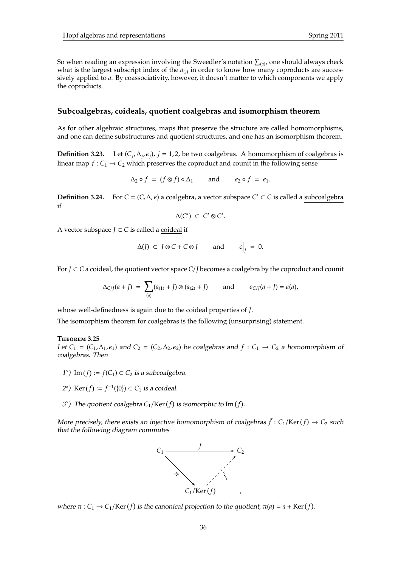So when reading an expression involving the Sweedler's notation  $\sum_{(a)}$ , one should always check what is the largest subscript index of the *a*(*j*) in order to know how many coproducts are successively applied to *a*. By coassociativity, however, it doesn't matter to which components we apply the coproducts.

## **Subcoalgebras, coideals, quotient coalgebras and isomorphism theorem**

As for other algebraic structures, maps that preserve the structure are called homomorphisms, and one can define substructures and quotient structures, and one has an isomorphism theorem.

**Definition 3.23.** Let  $(C_i, \Delta_i, \epsilon_i)$ ,  $j = 1, 2$ , be two coalgebras. A homomorphism of coalgebras is linear map  $f: C_1 \rightarrow C_2$  which preserves the coproduct and counit in the following sense

$$
\Delta_2 \circ f = (f \otimes f) \circ \Delta_1 \quad \text{and} \quad \epsilon_2 \circ f = \epsilon_1.
$$

**Definition 3.24.** For  $C = (C, \Delta, \epsilon)$  a coalgebra, a vector subspace  $C' \subset C$  is called a subcoalgebra if

$$
\Delta(C') \subset C' \otimes C'.
$$

A vector subspace *J* ⊂ *C* is called a coideal if

$$
\Delta(J) \subset J \otimes C + C \otimes J \quad \text{and} \quad \epsilon\big|_J = 0.
$$

For *J* ⊂ *C* a coideal, the quotient vector space *C*/*J* becomes a coalgebra by the coproduct and counit

$$
\Delta_{C/J}(a+J) = \sum_{(a)} (a_{(1)}+J) \otimes (a_{(2)}+J) \quad \text{and} \quad \epsilon_{C/J}(a+J) = \epsilon(a),
$$

whose well-definedness is again due to the coideal properties of *J*.

The isomorphism theorem for coalgebras is the following (unsurprising) statement.

#### **T**heorem **3.25**

Let  $C_1 = (C_1, \Delta_1, \epsilon_1)$  and  $C_2 = (C_2, \Delta_2, \epsilon_2)$  be coalgebras and  $f : C_1 \to C_2$  a homomorphism of coalgebras. Then

- 1°) Im  $(f)$  :=  $f$ (C<sub>1</sub>) ⊂ C<sub>2</sub> is a subcoalgebra.
- 2°) Ker (*f*) := *f*<sup>-1</sup>({0}) ⊂ *C*<sub>1</sub> is a coideal.
- $3^{\circ}$ ) The quotient coalgebra  $C_1$ /Ker( $f$ ) is isomorphic to Im( $f$ ).

More precisely, there exists an injective homomorphism of coalgebras  $\bar{f}: C_1/\text{Ker}(f) \to C_2$  such that the following diagram commutes



where  $\pi$  :  $C_1 \rightarrow C_1/Ker(f)$  is the canonical projection to the quotient,  $\pi(a) = a + Ker(f)$ .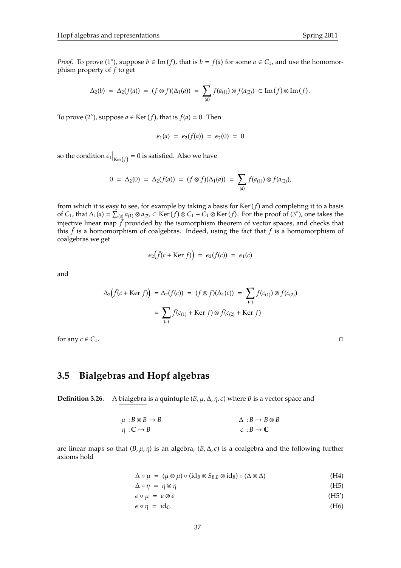*Proof.* To prove (1<sup>°</sup>), suppose  $b \in \text{Im}(f)$ , that is  $b = f(a)$  for some  $a \in C_1$ , and use the homomorphism property of *f* to get

$$
\Delta_2(b) = \Delta_2(f(a)) = (f \otimes f)(\Delta_1(a)) = \sum_{(a)} f(a_{(1)}) \otimes f(a_{(2)}) \subset \text{Im}(f) \otimes \text{Im}(f).
$$

To prove (2<sup>°</sup>), suppose  $a \in \text{Ker}(f)$ , that is  $f(a) = 0$ . Then

$$
\epsilon_1(a) = \epsilon_2(f(a)) = \epsilon_2(0) = 0
$$

so the condition  $\epsilon_1\big|_{\mathrm{Ker}(f)} = 0$  is satisfied. Also we have

$$
0 = \Delta_2(0) = \Delta_2(f(a)) = (f \otimes f)(\Delta_1(a)) = \sum_{(a)} f(a_{(1)}) \otimes f(a_{(2)}),
$$

from which it is easy to see, for example by taking a basis for  $\text{Ker}(f)$  and completing it to a basis of  $C_1$ , that  $\Delta_1(a) = \sum_{a=1}^{1} a_{(1)} \otimes a_{(2)} \subset \text{Ker}(f) \otimes C_1 + C_1 \otimes \text{Ker}(f)$ . For the proof of (3°), one takes the injective linear map  $\tilde{f}$  provided by the isomorphism theorem of vector spaces, and checks that this  $\bar{f}$  is a homomorphism of coalgebras. Indeed, using the fact that  $f$  is a homomorphism of coalgebras we get

$$
\epsilon_2(\bar{f}(c + \text{Ker } f)) = \epsilon_2(f(c)) = \epsilon_1(c)
$$

and

$$
\Delta_2(\bar{f}(c + \text{Ker } f)) = \Delta_2(f(c)) = (f \otimes f)(\Delta_1(c)) = \sum_{(c)} f(c_{(1)}) \otimes f(c_{(2)})
$$

$$
= \sum_{(c)} \bar{f}(c_{(1)} + \text{Ker } f) \otimes \bar{f}(c_{(2)} + \text{Ker } f)
$$

for any  $c \in C_1$ .

## **3.5 Bialgebras and Hopf algebras**

**Definition 3.26.** A bialgebra is a quintuple  $(B, \mu, \Delta, \eta, \epsilon)$  where *B* is a vector space and

$$
\mu : B \otimes B \to B
$$
  
\n
$$
\alpha : B \to B \otimes B
$$
  
\n
$$
\alpha : B \to \mathbb{C}
$$
  
\n
$$
\alpha : B \to \mathbb{C}
$$

are linear maps so that  $(B, \mu, \eta)$  is an algebra,  $(B, \Delta, \epsilon)$  is a coalgebra and the following further axioms hold

 $\Delta \circ \mu = (\mu \otimes \mu) \circ (\mathrm{id}_B \otimes S_{B,B} \otimes \mathrm{id}_B) \circ (\Delta \otimes \Delta)$  (H4)

$$
\Delta \circ \eta = \eta \otimes \eta \tag{H5}
$$

$$
\epsilon \circ \mu = \epsilon \otimes \epsilon \tag{H5'}\n\epsilon \circ \eta = id_{\mathbb{C}}.\n\tag{H6}
$$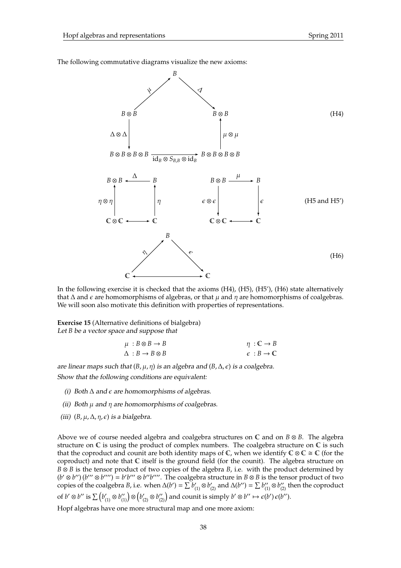The following commutative diagrams visualize the new axioms:



In the following exercise it is checked that the axioms (H4), (H5), (H5'), (H6) state alternatively that  $\Delta$  and  $\epsilon$  are homomorphisms of algebras, or that  $\mu$  and  $\eta$  are homomorphisms of coalgebras. We will soon also motivate this definition with properties of representations.

**Exercise 15** (Alternative definitions of bialgebra) Let *B* be a vector space and suppose that

$$
\begin{array}{ccc}\n\mu & : B \otimes B \to B \\
\Delta & : B \to B \otimes B\n\end{array}\n\qquad \qquad \begin{array}{ccc}\n\eta & : \mathbb{C} \to B \\
\epsilon & : B \to \mathbb{C}\n\end{array}
$$

are linear maps such that  $(B, \mu, \eta)$  is an algebra and  $(B, \Delta, \epsilon)$  is a coalgebra.

Show that the following conditions are equivalent:

- (i) Both  $\Delta$  and  $\epsilon$  are homomorphisms of algebras.
- (ii) Both  $\mu$  and  $\eta$  are homomorphisms of coalgebras.
- (iii)  $(B, \mu, \Delta, \eta, \epsilon)$  is a bialgebra.

Above we of course needed algebra and coalgebra structures on C and on *B* ⊗ *B*. The algebra structure on  $\mathbb C$  is using the product of complex numbers. The coalgebra structure on  $\mathbb C$  is such that the coproduct and counit are both identity maps of  $\mathbb C$ , when we identify  $\mathbb C\otimes\mathbb C\cong\mathbb C$  (for the coproduct) and note that  $\mathbb C$  itself is the ground field (for the counit). The algebra structure on *B* ⊗ *B* is the tensor product of two copies of the algebra *B*, i.e. with the product determined by  $(b' \otimes b'') (b''' \otimes b''') = b'b''' \otimes b''b''''$ . The coalgebra structure in  $B \otimes B$  is the tensor product of two copies of the coalgebra *B*, i.e. when  $\Delta(b') = \sum b'_{(1)} \otimes b'_{(2)}$  and  $\Delta(b'') = \sum b''_{(1)} \otimes b''_{(2)}$  then the coproduct of  $b' \otimes b''$  is  $\sum (b'_{(1)} \otimes b''_{(1)}) \otimes (b'_{(2)} \otimes b''_{(2)})$  and counit is simply  $b' \otimes b'' \mapsto \epsilon(b') \epsilon(b'').$ 

Hopf algebras have one more structural map and one more axiom: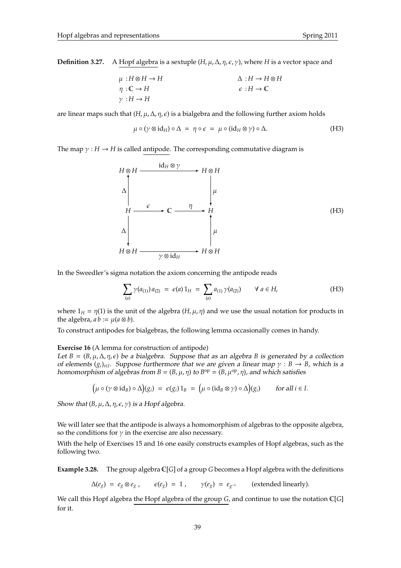**Definition 3.27.** A Hopf algebra is a sextuple  $(H, \mu, \Delta, \eta, \epsilon, \gamma)$ , where *H* is a vector space and

$$
\mu : H \otimes H \to H
$$
\n
$$
\eta : \mathbb{C} \to H
$$
\n
$$
\gamma : H \to H
$$
\n
$$
\epsilon : H \to \mathbb{C}
$$
\n
$$
\gamma : H \to H
$$

are linear maps such that  $(H, \mu, \Delta, \eta, \epsilon)$  is a bialgebra and the following further axiom holds

$$
\mu \circ (\gamma \otimes id_H) \circ \Delta = \eta \circ \epsilon = \mu \circ (id_H \otimes \gamma) \circ \Delta. \tag{H3}
$$

The map  $\gamma : H \to H$  is called antipode. The corresponding commutative diagram is

$$
H \otimes H \xrightarrow{\text{id}_H \otimes \gamma} H \otimes H
$$
\n
$$
\downarrow^{\text{H}} \xrightarrow{\epsilon} \mathbb{C} \xrightarrow{\eta} H
$$
\n
$$
\downarrow^{\text{H}} \xrightarrow{\epsilon} \mathbb{C} \xrightarrow{\eta} H
$$
\n
$$
\downarrow^{\text{H}} \xrightarrow{\text{H}} \mathbb{H}
$$
\n
$$
H \otimes H \xrightarrow{\gamma \otimes \text{id}_H} H \otimes H
$$
\n
$$
(H3)
$$

In the Sweedler's sigma notation the axiom concerning the antipode reads

$$
\sum_{(a)} \gamma(a_{(1)}) a_{(2)} = \epsilon(a) 1_H = \sum_{(a)} a_{(1)} \gamma(a_{(2)}) \qquad \forall a \in H,
$$
 (H3)

where  $1_H = \eta(1)$  is the unit of the algebra  $(H, \mu, \eta)$  and we use the usual notation for products in the algebra,  $ab := \mu(a \otimes b)$ .

To construct antipodes for bialgebras, the following lemma occasionally comes in handy.

### **Exercise 16** (A lemma for construction of antipode)

Let  $B = (B, \mu, \Delta, \eta, \epsilon)$  be a bialgebra. Suppose that as an algebra *B* is generated by a collection of elements  $(g_i)_{i\in I}$ . Suppose furthermore that we are given a linear map  $\gamma : B \to B$ , which is a homomorphism of algebras from  $B = (B, \mu, \eta)$  to  $B^{\rm op} = (B, \mu^{\rm op}, \eta)$ , and which satisfies

$$
\left(\mu \circ (\gamma \otimes id_B) \circ \Delta\right)(g_i) = \epsilon(g_i) 1_B = \left(\mu \circ (id_B \otimes \gamma) \circ \Delta\right)(g_i) \quad \text{for all } i \in I.
$$

Show that  $(B, \mu, \Delta, \eta, \epsilon, \gamma)$  is a Hopf algebra.

We will later see that the antipode is always a homomorphism of algebras to the opposite algebra, so the conditions for  $\gamma$  in the exercise are also necessary.

With the help of Exercises 15 and 16 one easily constructs examples of Hopf algebras, such as the following two.

**Example 3.28.** The group algebra C[*G*] of a group *G* becomes a Hopf algebra with the definitions

 $\Delta(e_g) = e_g \otimes e_g$ ,  $\epsilon(e_g) = 1$ ,  $\gamma(e_g) = e_{g^{-1}}$  (extended linearly).

We call this Hopf algebra the Hopf algebra of the group *G*, and continue to use the notation C[*G*] for it.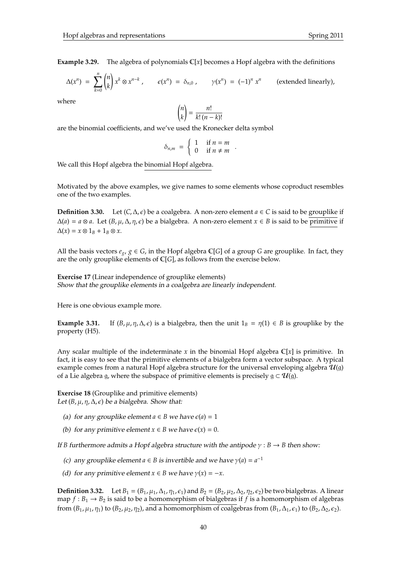**Example 3.29.** The algebra of polynomials C[*x*] becomes a Hopf algebra with the definitions

$$
\Delta(x^n) = \sum_{k=0}^n \binom{n}{k} x^k \otimes x^{n-k}, \qquad \epsilon(x^n) = \delta_{n,0}, \qquad \gamma(x^n) = (-1)^n x^n \qquad \text{(extended linearly)},
$$

where

$$
\binom{n}{k} = \frac{n!}{k!(n-k)!}
$$

are the binomial coefficients, and we've used the Kronecker delta symbol

$$
\delta_{n,m} = \begin{cases} 1 & \text{if } n = m \\ 0 & \text{if } n \neq m \end{cases}
$$

.

We call this Hopf algebra the binomial Hopf algebra.

Motivated by the above examples, we give names to some elements whose coproduct resembles one of the two examples.

**Definition 3.30.** Let  $(C, \Delta, \epsilon)$  be a coalgebra. A non-zero element  $a \in C$  is said to be grouplike if  $\Delta(a) = a \otimes a$ . Let  $(B, \mu, \Delta, \eta, \epsilon)$  be a bialgebra. A non-zero element  $x \in B$  is said to be primitive if  $\Delta(x) = x \otimes 1_B + 1_B \otimes x.$ 

All the basis vectors  $e_g$ ,  $g \in G$ , in the Hopf algebra  $\mathbb{C}[G]$  of a group *G* are grouplike. In fact, they are the only grouplike elements of C[*G*], as follows from the exercise below.

**Exercise 17** (Linear independence of grouplike elements) Show that the grouplike elements in a coalgebra are linearly independent.

Here is one obvious example more.

**Example 3.31.** If  $(B, \mu, \eta, \Delta, \epsilon)$  is a bialgebra, then the unit  $1_B = \eta(1) \in B$  is grouplike by the property (H5).

Any scalar multiple of the indeterminate x in the binomial Hopf algebra  $\mathbb{C}[x]$  is primitive. In fact, it is easy to see that the primitive elements of a bialgebra form a vector subspace. A typical example comes from a natural Hopf algebra structure for the universal enveloping algebra  $\mathcal{U}(g)$ of a Lie algebra g, where the subspace of primitive elements is precisely  $g \subset \mathcal{U}(g)$ .

**Exercise 18** (Grouplike and primitive elements) Let  $(B, \mu, \eta, \Delta, \epsilon)$  be a bialgebra. Show that:

- (a) for any grouplike element  $a \in B$  we have  $\varepsilon(a) = 1$
- (b) for any primitive element  $x \in B$  we have  $\varepsilon(x) = 0$ .

If *B* furthermore admits a Hopf algebra structure with the antipode  $\gamma : B \to B$  then show:

- (c) any grouplike element  $a \in B$  is invertible and we have  $\gamma(a) = a^{-1}$
- (d) for any primitive element  $x \in B$  we have  $\gamma(x) = -x$ .

**Definition 3.32.** Let  $B_1 = (B_1, \mu_1, \Delta_1, \eta_1, \epsilon_1)$  and  $B_2 = (B_2, \mu_2, \Delta_2, \eta_2, \epsilon_2)$  be two bialgebras. A linear map  $f : B_1 \to B_2$  is said to be a homomorphism of bialgebras if f is a homomorphism of algebras from  $(B_1, \mu_1, \eta_1)$  to  $(B_2, \mu_2, \eta_2)$ , and a homomorphism of coalgebras from  $(B_1, \Delta_1, \epsilon_1)$  to  $(B_2, \Delta_2, \epsilon_2)$ .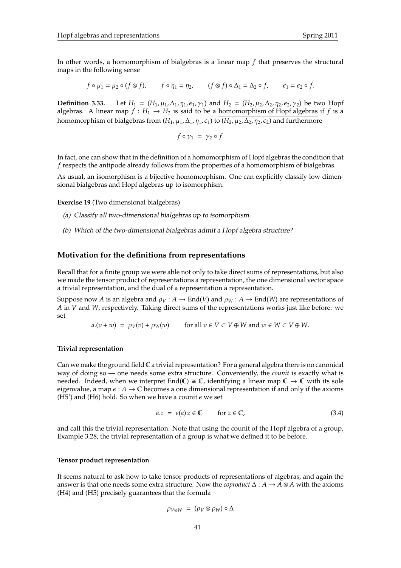In other words, a homomorphism of bialgebras is a linear map *f* that preserves the structural maps in the following sense

$$
f\circ \mu_1=\mu_2\circ (f\otimes f),\qquad f\circ \eta_1=\eta_2,\qquad (f\otimes f)\circ \Delta_1=\Delta_2\circ f,\qquad \epsilon_1=\epsilon_2\circ f.
$$

**Definition 3.33.** Let  $H_1 = (H_1, \mu_1, \Delta_1, \eta_1, \epsilon_1, \gamma_1)$  and  $H_2 = (H_2, \mu_2, \Delta_2, \eta_2, \epsilon_2, \gamma_2)$  be two Hopf algebras. A linear map  $f : H_1 \to H_2$  is said to be a homomorphism of Hopf algebras if f is a homomorphism of bialgebras from  $(H_1, \mu_1, \Delta_1, \eta_1, \epsilon_1)$  to  $(H_2, \mu_2, \Delta_2, \eta_2, \epsilon_2)$  and furthermore

$$
f\circ\gamma_1\;=\;\gamma_2\circ f.
$$

In fact, one can show that in the definition of a homomorphism of Hopf algebras the condition that *f* respects the antipode already follows from the properties of a homomorphism of bialgebras.

As usual, an isomorphism is a bijective homomorphism. One can explicitly classify low dimensional bialgebras and Hopf algebras up to isomorphism.

**Exercise 19** (Two dimensional bialgebras)

- (a) Classify all two-dimensional bialgebras up to isomorphism.
- (b) Which of the two-dimensional bialgebras admit a Hopf algebra structure?

### **Motivation for the definitions from representations**

Recall that for a finite group we were able not only to take direct sums of representations, but also we made the tensor product of representations a representation, the one dimensional vector space a trivial representation, and the dual of a representation a representation.

Suppose now *A* is an algebra and  $\rho_V : A \to \text{End}(V)$  and  $\rho_W : A \to \text{End}(W)$  are representations of *A* in *V* and *W*, respectively. Taking direct sums of the representations works just like before: we set

 $a.(v + w) = \rho_V(v) + \rho_W(w)$  for all  $v \in V \subset V \oplus W$  and  $w \in W \subset V \oplus W$ .

#### **Trivial representation**

Can we make the ground field  $\mathbb C$  a trivial representation? For a general algebra there is no canonical way of doing so — one needs some extra structure. Conveniently, the *counit* is exactly what is needed. Indeed, when we interpret End(C)  $\cong$  C, identifying a linear map  $\mathbb{C} \to \mathbb{C}$  with its sole eigenvalue, a map  $\epsilon : A \to \mathbb{C}$  becomes a one dimensional representation if and only if the axioms (H5') and (H6) hold. So when we have a counit  $\epsilon$  we set

$$
a.z = \epsilon(a) z \in \mathbb{C} \quad \text{for } z \in \mathbb{C}, \tag{3.4}
$$

and call this the trivial representation. Note that using the counit of the Hopf algebra of a group, Example 3.28, the trivial representation of a group is what we defined it to be before.

### **Tensor product representation**

It seems natural to ask how to take tensor products of representations of algebras, and again the answer is that one needs some extra structure. Now the *coproduct*  $\Delta : A \to A \otimes A$  with the axioms (H4) and (H5) precisely guarantees that the formula

$$
\rho_{V\otimes W} = (\rho_V \otimes \rho_W) \circ \Delta
$$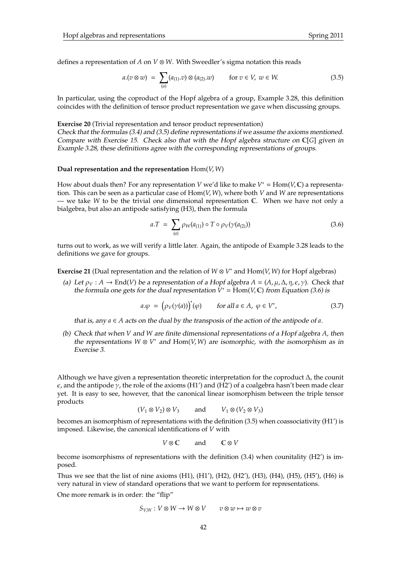defines a representation of *A* on *V* ⊗ *W*. With Sweedler's sigma notation this reads

$$
a.(v \otimes w) = \sum_{(a)} (a_{(1)}.v) \otimes (a_{(2)}.w) \quad \text{for } v \in V, w \in W.
$$
 (3.5)

In particular, using the coproduct of the Hopf algebra of a group, Example 3.28, this definition coincides with the definition of tensor product representation we gave when discussing groups.

**Exercise 20** (Trivial representation and tensor product representation) Check that the formulas (3.4) and (3.5) define representations if we assume the axioms mentioned. Compare with Exercise 15. Check also that with the Hopf algebra structure on C[*G*] given in Example 3.28, these definitions agree with the corresponding representations of groups.

### **Dual representation and the representation** Hom(*V*, *W*)

How about duals then? For any representation *V* we'd like to make *V*<sup>∗</sup> = Hom(*V*, **C**) a representation. This can be seen as a particular case of Hom(*V*, *W*), where both *V* and *W* are representations — we take *W* to be the trivial one dimensional representation C. When we have not only a bialgebra, but also an antipode satisfying (H3), then the formula

$$
a.T = \sum_{(a)} \rho_{W}(a_{(1)}) \circ T \circ \rho_{V}(\gamma(a_{(2)})) \tag{3.6}
$$

turns out to work, as we will verify a little later. Again, the antipode of Example 3.28 leads to the definitions we gave for groups.

**Exercise 21** (Dual representation and the relation of *W* ⊗ *V* <sup>∗</sup> and Hom(*V*, *W*) for Hopf algebras)

(a) Let  $\rho_V : A \to \text{End}(V)$  be a representation of a Hopf algebra  $A = (A, \mu, \Delta, \eta, \epsilon, \gamma)$ . Check that the formula one gets for the dual representation  $V^* = \text{Hom}(V, \mathbb{C})$  from Equation (3.6) is

$$
a.\varphi = (\rho_V(\gamma(a)))^*(\varphi) \qquad \text{for all } a \in A, \ \varphi \in V^*, \tag{3.7}
$$

that is, any  $a \in A$  acts on the dual by the transposis of the action of the antipode of  $a$ .

(b) Check that when *V* and *W* are finite dimensional representations of a Hopf algebra *A*, then the representations  $W \otimes V^*$  and  $\text{Hom}(V, W)$  are isomorphic, with the isomorphism as in Exercise 3.

Although we have given a representation theoretic interpretation for the coproduct  $\Delta$ , the counit  $\epsilon$ , and the antipode  $\gamma$ , the role of the axioms (H1') and (H2') of a coalgebra hasn't been made clear yet. It is easy to see, however, that the canonical linear isomorphism between the triple tensor products

$$
(V_1 \otimes V_2) \otimes V_3 \qquad \text{and} \qquad V_1 \otimes (V_2 \otimes V_3)
$$

becomes an isomorphism of representations with the definition (3.5) when coassociativity (H1') is imposed. Likewise, the canonical identifications of *V* with

$$
V\otimes\mathbb{C}\qquad\text{and}\qquad\mathbb{C}\otimes V
$$

become isomorphisms of representations with the definition (3.4) when counitality (H2') is imposed.

Thus we see that the list of nine axioms  $(H1)$ ,  $(H1')$ ,  $(H2)$ ,  $(H2')$ ,  $(H3)$ ,  $(H4)$ ,  $(H5)$ ,  $(H5')$ ,  $(H6)$  is very natural in view of standard operations that we want to perform for representations.

One more remark is in order: the "flip"

$$
S_{V,W}: V\otimes W\to W\otimes V \qquad v\otimes w\mapsto w\otimes v
$$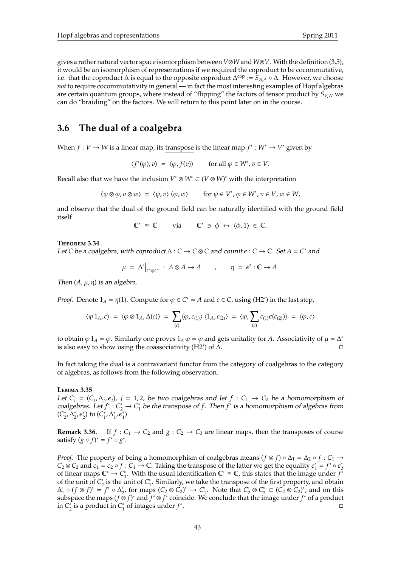gives a rather natural vector space isomorphism between *V*⊗*W* and *W*⊗*V*. With the definition (3.5), it would be an isomorphism of representations if we required the coproduct to be cocommutative, i.e. that the coproduct  $\Delta$  is equal to the opposite coproduct  $\Delta^{cop} := \hat{S}_{A,A} \circ \Delta$ . However, we choose *not* to require cocommutativity in general — in fact the most interesting examples of Hopf algebras are certain quantum groups, where instead of "flipping" the factors of tensor product by *SV*,*<sup>W</sup>* we can do "braiding" on the factors. We will return to this point later on in the course.

## **3.6 The dual of a coalgebra**

When  $f: V \to W$  is a linear map, its transpose is the linear map  $f^* : W^* \to V^*$  given by

$$
\langle f^*(\varphi), v \rangle = \langle \varphi, f(v) \rangle \quad \text{for all } \varphi \in W^*, v \in V.
$$

Recall also that we have the inclusion  $V^* \otimes W^* \subset (V \otimes W)^*$  with the interpretation

$$
\langle \psi \otimes \varphi, v \otimes w \rangle = \langle \psi, v \rangle \langle \varphi, w \rangle \quad \text{for } \psi \in V^*, \varphi \in W^*, v \in V, w \in W,
$$

and observe that the dual of the ground field can be naturally identified with the ground field itself

$$
\mathbb{C}^* \cong \mathbb{C} \quad \text{via} \quad \mathbb{C}^* \ni \phi \leftrightarrow \langle \phi, 1 \rangle \in \mathbb{C}.
$$

### **T**heorem **3.34**

Let *C* be a coalgebra, with coproduct  $\Delta : C \to C \otimes C$  and counit  $\epsilon : C \to \mathbb{C}$ . Set  $A = C^*$  and

$$
\mu = \Delta^*|_{C^*\otimes C^*} : A \otimes A \to A \qquad , \qquad \eta = \epsilon^* : C \to A.
$$

Then  $(A, \mu, \eta)$  is an algebra.

*Proof.* Denote  $1_A = \eta(1)$ . Compute for  $\varphi \in C^* = A$  and  $c \in C$ , using (H2') in the last step,

$$
\langle \varphi \, 1_A, c \rangle \; = \; \langle \varphi \otimes 1_A, \Delta(c) \rangle \; = \; \sum_{(c)} \langle \varphi, c_{(1)} \rangle \, \langle 1_A, c_{(2)} \rangle \; = \; \langle \varphi, \sum_{(c)} c_{(1)} \varepsilon(c_{(2)}) \rangle \; = \; \langle \varphi, c \rangle
$$

to obtain  $\varphi$  1<sub>*A*</sub> =  $\varphi$ . Similarly one proves 1<sub>*A*</sub>  $\varphi$  =  $\varphi$  and gets unitality for *A*. Associativity of  $\mu = \Delta^*$ is also easy to show using the coassociativity (H2') of  $\Delta$ .

In fact taking the dual is a contravariant functor from the category of coalgebras to the category of algebras, as follows from the following observation.

### **L**emma **3.35**

Let  $C_j = (C_j, \Delta_j, \epsilon_j)$ ,  $j = 1, 2$ , be two coalgebras and let  $f : C_1 \to C_2$  be a homomorphism of  $\text{coalgebras.}$  Let  $f^* : C_2^* \to C_1^*$ 1 be the transpose of *f*. Then *f* ∗ is a homomorphism of algebras from (*C* ∗  $\frac{1}{2}$ ,  $\Delta_2^*$ <sup>\*</sup><sub>2</sub>,  $\epsilon_2^*$ ) to  $(C_1^*$  $\sum_{1}^{*}$ ,  $\Delta_1^*$  $\sum_{1}^{4}$ ,  $\hat{\epsilon}_{1}^{*}$ )

**Remark 3.36.** If  $f: C_1 \to C_2$  and  $g: C_2 \to C_3$  are linear maps, then the transposes of course satisfy  $(g \circ f)^* = f^* \circ g^*$ .

*Proof.* The property of being a homomorphism of coalgebras means  $(f \otimes f) \circ \Delta_1 = \Delta_2 \circ f : C_1 \rightarrow$  $C_2 \otimes C_2$  and  $\epsilon_1 = \epsilon_2 \circ f : C_1 \to \mathbb{C}$ . Taking the transpose of the latter we get the equality  $\epsilon_1^*$  $f^* = f^* \circ \epsilon^*$ 2 of linear maps  $\mathbb{C}^* \to C_1^*$ <sup>\*</sup><sub>1</sub>. With the usual identification  $\mathbb{C}^* \cong \mathbb{C}$ , this states that the image under  $f^*$ of the unit of  $C_2^*$  $\frac{1}{2}$  is the unit of  $C_1^*$  $i<sub>1</sub>$ . Similarly, we take the transpose of the first property, and obtain  $\Delta_1^*$  $\frac{1}{1}$ **○**  $(f \otimes f)^* = f^*$  **○**  $\Delta_2^*$ <sup>∗</sup><sub>2</sub>, for maps  $(C_2 \otimes C_2)^*$  →  $C_1^*$ <sup>\*</sup><sub>1</sub>. Note that  $C_2^*$ 2 ⊗ *C* ∗  $C_2^* \subset (C_2 \otimes C_2)^*$ , and on this subspace the maps ( $f \otimes f$ )<sup>\*</sup> and  $f^* \otimes f^*$  coincide. We conclude that the image under  $f^*$  of a product in *C* ∗  $\frac{1}{2}$  is a product in  $C_1^*$ 1 of images under *f* ∗ .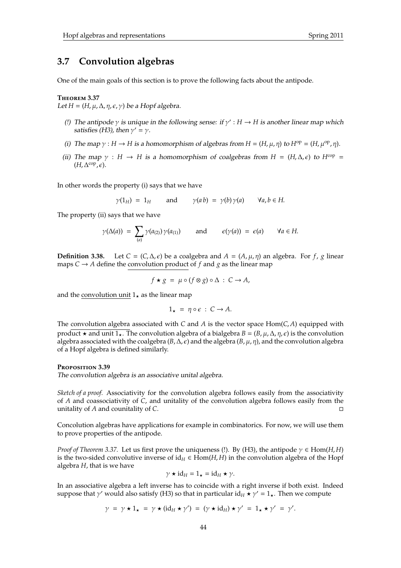## **3.7 Convolution algebras**

One of the main goals of this section is to prove the following facts about the antipode.

### **T**heorem **3.37**

Let  $H = (H, \mu, \Delta, \eta, \epsilon, \gamma)$  be a Hopf algebra.

- (!) The antipode  $\gamma$  is unique in the following sense: if  $\gamma' : H \to H$  is another linear map which satisfies (H3), then  $\gamma' = \gamma$ .
- (i) The map  $\gamma : H \to H$  is a homomorphism of algebras from  $H = (H, \mu, \eta)$  to  $H^{\text{op}} = (H, \mu^{\text{op}}, \eta)$ .
- (ii) The map  $\gamma$  : *H* → *H* is a homomorphism of coalgebras from *H* = (*H*,  $\Delta$ ,  $\epsilon$ ) to *H*<sup>cop</sup> =  $(H, \Delta^{\text{cop}}, \epsilon).$

In other words the property (i) says that we have

$$
\gamma(1_H) = 1_H
$$
 and  $\gamma(ab) = \gamma(b)\gamma(a)$   $\forall a, b \in H$ .

The property (ii) says that we have

$$
\gamma(\Delta(a)) = \sum_{(a)} \gamma(a_{(2)}) \gamma(a_{(1)})
$$
 and  $\epsilon(\gamma(a)) = \epsilon(a)$   $\forall a \in H.$ 

**Definition 3.38.** Let *C* = (*C*,  $\Delta$ , *c*) be a coalgebra and  $A = (A, \mu, \eta)$  an algebra. For *f*, *g* linear maps  $C \rightarrow A$  define the convolution product of f and g as the linear map

$$
f \star g = \mu \circ (f \otimes g) \circ \Delta : C \to A,
$$

and the convolution unit  $1<sub>\star</sub>$  as the linear map

$$
1_\star~=~\eta\circ\epsilon~:~C\to A.
$$

The convolution algebra associated with *C* and *A* is the vector space  $Hom(C, A)$  equipped with product  $\star$  and unit 1 $\star$ . The convolution algebra of a bialgebra  $B = (B, \mu, \Delta, \eta, \epsilon)$  is the convolution algebra associated with the coalgebra  $(B, \Delta, \epsilon)$  and the algebra  $(B, \mu, \eta)$ , and the convolution algebra of a Hopf algebra is defined similarly.

### **P**roposition **3.39**

The convolution algebra is an associative unital algebra.

*Sketch of a proof.* Associativity for the convolution algebra follows easily from the associativity of *A* and coassociativity of *C*, and unitality of the convolution algebra follows easily from the unitality of *A* and counitality of *C*.

Concolution algebras have applications for example in combinatorics. For now, we will use them to prove properties of the antipode.

*Proof of Theorem 3.37.* Let us first prove the uniqueness (!). By (H3), the antipode  $\gamma \in Hom(H, H)$ is the two-sided convolutive inverse of  $id_H \in Hom(H, H)$  in the convolution algebra of the Hopf algebra *H*, that is we have

$$
\gamma \star \mathrm{id}_H = 1_\star = \mathrm{id}_H \star \gamma.
$$

In an associative algebra a left inverse has to coincide with a right inverse if both exist. Indeed suppose that  $\gamma'$  would also satisfy (H3) so that in particular id<sub>H</sub>  $\star \gamma' = 1_{\star}$ . Then we compute

$$
\gamma = \gamma \star 1_{\star} = \gamma \star (\mathrm{id}_{H} \star \gamma') = (\gamma \star \mathrm{id}_{H}) \star \gamma' = 1_{\star} \star \gamma' = \gamma'.
$$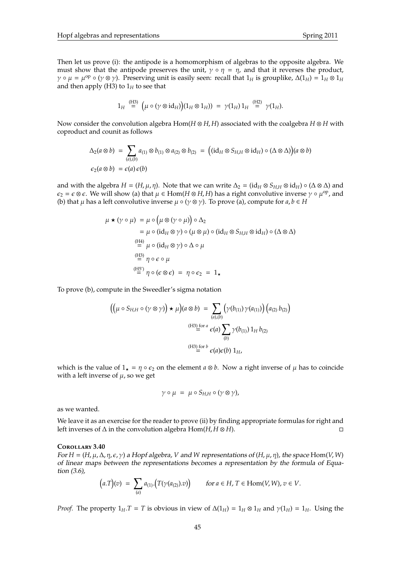Then let us prove (i): the antipode is a homomorphism of algebras to the opposite algebra. We must show that the antipode preserves the unit,  $\gamma \circ \eta = \eta$ , and that it reverses the product,  $\gamma \circ \mu = \mu^{\rm op} \circ (\gamma \otimes \gamma)$ . Preserving unit is easily seen: recall that  $1_H$  is grouplike,  $\Delta(1_H) = 1_H \otimes 1_H$ and then apply (H3) to  $1_H$  to see that

$$
1_H \stackrel{\text{(H3)}}{=} \big( \mu \circ (\gamma \otimes \text{id}_H) \big) (1_H \otimes 1_H) \big) \ = \ \gamma(1_H) \, 1_H \stackrel{\text{(H2)}}{=} \ \gamma(1_H).
$$

Now consider the convolution algebra Hom(*H* ⊗ *H*, *H*) associated with the coalgebra *H* ⊗ *H* with coproduct and counit as follows

$$
\Delta_2(a \otimes b) = \sum_{(a),(b)} a_{(1)} \otimes b_{(1)} \otimes a_{(2)} \otimes b_{(2)} = ((id_H \otimes S_{H,H} \otimes id_H) \circ (\Delta \otimes \Delta))(a \otimes b)
$$
  

$$
\epsilon_2(a \otimes b) = \epsilon(a) \epsilon(b)
$$

and with the algebra  $H = (H, \mu, \eta)$ . Note that we can write  $\Delta_2 = (\mathrm{id}_H \otimes S_{HH} \otimes \mathrm{id}_H) \circ (\Delta \otimes \Delta)$  and  $\epsilon_2 = \epsilon \otimes \epsilon$ . We will show (a) that  $\mu \in \text{Hom}(H \otimes H, H)$  has a right convolutive inverse  $\gamma \circ \mu^{\text{op}}$ , and (b) that  $\mu$  has a left convolutive inverse  $\mu \circ (\gamma \otimes \gamma)$ . To prove (a), compute for  $a, b \in H$ 

$$
\mu \star (\gamma \circ \mu) = \mu \circ (\mu \otimes (\gamma \circ \mu)) \circ \Delta_2
$$
  
\n
$$
= \mu \circ (id_H \otimes \gamma) \circ (\mu \otimes \mu) \circ (id_H \otimes S_{H,H} \otimes id_H) \circ (\Delta \otimes \Delta)
$$
  
\n
$$
\stackrel{(H4)}{=} \mu \circ (id_H \otimes \gamma) \circ \Delta \circ \mu
$$
  
\n
$$
\stackrel{(H3)}{=} \eta \circ \epsilon \circ \mu
$$
  
\n
$$
\stackrel{(H5')}{=} \eta \circ (\epsilon \otimes \epsilon) = \eta \circ \epsilon_2 = 1_{\star}
$$

To prove (b), compute in the Sweedler's sigma notation

$$
\left( \left( \mu \circ S_{H,H} \circ (\gamma \otimes \gamma) \right) \star \mu \right) (a \otimes b) = \sum_{(a),(b)} \left( \gamma(b_{(1)}) \gamma(a_{(1)}) \right) \left( a_{(2)} b_{(2)} \right)
$$
\n
$$
\xrightarrow{(H3) \text{ for } a} \epsilon(a) \sum_{(b)} \gamma(b_{(1)}) 1_H b_{(2)}
$$
\n
$$
\xrightarrow{(H3) \text{ for } b} \epsilon(a) \epsilon(b) 1_H,
$$

which is the value of  $1<sub>\star</sub> = \eta \circ \epsilon_2$  on the element  $a \otimes b$ . Now a right inverse of  $\mu$  has to coincide with a left inverse of  $\mu$ , so we get

$$
\gamma \circ \mu = \mu \circ S_{H,H} \circ (\gamma \otimes \gamma),
$$

as we wanted.

We leave it as an exercise for the reader to prove (ii) by finding appropriate formulas for right and left inverses of  $\Delta$  in the convolution algebra Hom(*H*, *H* ⊗ *H*).  $\Box$ 

### **C**orollary **3.40**

For  $H = (H, \mu, \Delta, \eta, \epsilon, \gamma)$  a Hopf algebra, *V* and *W* representations of  $(H, \mu, \eta)$ , the space Hom(*V*, *W*) of linear maps between the representations becomes a representation by the formula of Equation (3.6),

$$
\big(a.T\big)(v) \ = \ \sum_{(a)} a_{(1)}.\big(T(\gamma(a_{(2)}).v)\big) \qquad \text{for } a \in H, \, T \in \operatorname{Hom}(V,W), \, v \in V.
$$

*Proof.* The property  $1_H.T = T$  is obvious in view of  $\Delta(1_H) = 1_H \otimes 1_H$  and  $\gamma(1_H) = 1_H$ . Using the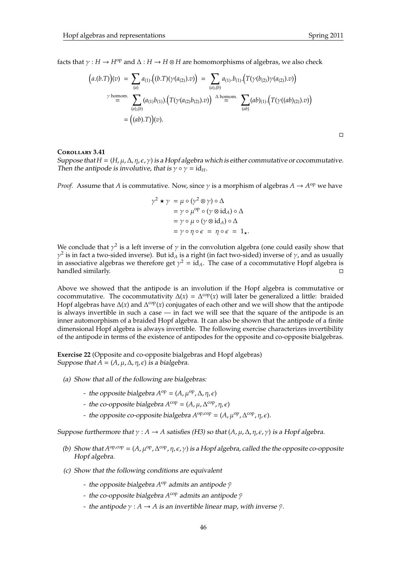$\Box$ 

facts that  $\gamma : H \to H^{op}$  and  $\Delta : H \to H \otimes H$  are homomorphisms of algebras, we also check

$$
(a.(b.T))(v) = \sum_{(a)} a_{(1)} \cdot ((b.T)(\gamma(a_{(2)}).v)) = \sum_{(a),(b)} a_{(1)} \cdot b_{(1)} \cdot (T(\gamma(b_{(2)}))\gamma(a_{(2)}).v)
$$
  
\n
$$
\gamma \text{ homom. } \sum_{(a),(b)} (a_{(1)}b_{(1)}) \cdot (T(\gamma(a_{(2)}b_{(2)}).v)) \xrightarrow{\Delta \text{ homom.}} \sum_{(ab)} (ab)_{(1)} \cdot (T(\gamma((ab)_{(2)}).v))
$$
  
\n
$$
= ((ab).T)(v).
$$

### **C**orollary **3.41**

Suppose that  $H = (H, \mu, \Delta, \eta, \epsilon, \gamma)$  is a Hopf algebra which is either commutative or cocommutative. Then the antipode is involutive, that is  $\gamma \circ \gamma = id_H$ .

*Proof.* Assume that *A* is commutative. Now, since  $\gamma$  is a morphism of algebras  $A \to A^{op}$  we have

$$
\gamma^2 \star \gamma = \mu \circ (\gamma^2 \otimes \gamma) \circ \Delta
$$
  
=  $\gamma \circ \mu^{\rm op} \circ (\gamma \otimes \mathrm{id}_A) \circ \Delta$   
=  $\gamma \circ \mu \circ (\gamma \otimes \mathrm{id}_A) \circ \Delta$   
=  $\gamma \circ \eta \circ \epsilon = \eta \circ \epsilon = 1_{\star}.$ 

We conclude that  $\gamma^2$  is a left inverse of  $\gamma$  in the convolution algebra (one could easily show that  $\gamma^2$  is in fact a two-sided inverse). But id<sub>A</sub> is a right (in fact two-sided) inverse of  $\gamma$ , and as usually in associative algebras we therefore get  $\gamma^2 = id_A$ . The case of a cocommutative Hopf algebra is handled similarly.  $\square$ 

Above we showed that the antipode is an involution if the Hopf algebra is commutative or cocommutative. The cocommutativity  $\Delta(x) = \Delta^{\text{cop}}(x)$  will later be generalized a little: braided Hopf algebras have  $\Delta(x)$  and  $\Delta^{\text{cop}}(x)$  conjugates of each other and we will show that the antipode is always invertible in such a case — in fact we will see that the square of the antipode is an inner automorphism of a braided Hopf algebra. It can also be shown that the antipode of a finite dimensional Hopf algebra is always invertible. The following exercise characterizes invertibility of the antipode in terms of the existence of antipodes for the opposite and co-opposite bialgebras.

**Exercise 22** (Opposite and co-opposite bialgebras and Hopf algebras) Suppose that  $A = (A, \mu, \Delta, \eta, \epsilon)$  is a bialgebra.

- (a) Show that all of the following are bialgebras:
	- $-$  the opposite bialgebra  $A^{\text{op}} = (A, \mu^{\text{op}}, \Delta, \eta, \epsilon)$
	- $-$  the co-opposite bialgebra  $A^{cop} = (A, \mu, \Delta^{cop}, \eta, \epsilon)$
	- the opposite co-opposite bialgebra  $A^{\text{op},\text{cop}} = (A, \mu^{\text{op}}, \Delta^{\text{cop}}, \eta, \epsilon)$ .

Suppose furthermore that  $\gamma : A \to A$  satisfies (H3) so that  $(A, \mu, \Delta, \eta, \varepsilon, \gamma)$  is a Hopf algebra.

- (b) Show that  $A^{op,cop} = (A, \mu^{op}, \Delta^{cop}, \eta, \epsilon, \gamma)$  is a Hopf algebra, called the the opposite co-opposite Hopf algebra.
- (c) Show that the following conditions are equivalent
	- **-** the opposite bialgebra A<sup>op</sup> admits an antipode  $\tilde{\gamma}$
	- the co-opposite bialgebra A<sup>cop</sup> admits an antipode  $\tilde{\gamma}$
	- the antipode  $\gamma : A \rightarrow A$  is an invertible linear map, with inverse  $\tilde{\gamma}$ .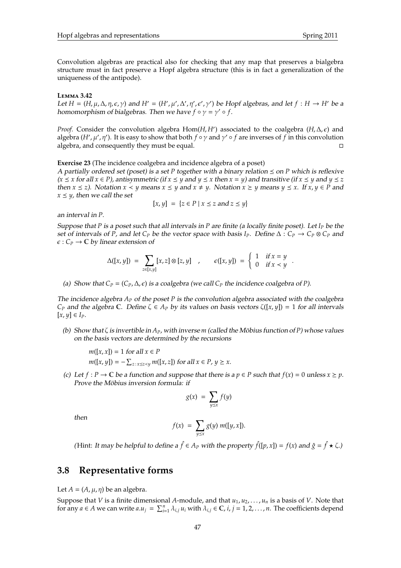Convolution algebras are practical also for checking that any map that preserves a bialgebra structure must in fact preserve a Hopf algebra structure (this is in fact a generalization of the uniqueness of the antipode).

### **L**emma **3.42**

Let  $H = (H, \mu, \Delta, \eta, \epsilon, \gamma)$  and  $H' = (H', \mu', \Delta', \eta', \epsilon', \gamma')$  be Hopf algebras, and let  $f : H \to H'$  be a homomorphism of bialgebras. Then we have  $f \circ \gamma = \gamma' \circ f$ .

*Proof.* Consider the convolution algebra  $Hom(H, H')$  associated to the coalgebra  $(H, \Delta, \epsilon)$  and algebra (*H'*, μ', η'). It is easy to show that both *f* ∘ γ and γ' ∘ *f* are inverses of *f* in this convolution algebra, and consequently they must be equal.  $\Box$ 

**Exercise 23** (The incidence coalgebra and incidence algebra of a poset)

A partially ordered set (poset) is a set  $P$  together with a binary relation  $\leq$  on  $P$  which is reflexive  $(x \leq x$  for all  $x \in P$ ), antisymmetric (if  $x \leq y$  and  $y \leq x$  then  $x = y$ ) and transitive (if  $x \leq y$  and  $y \leq z$ then  $x \le z$ ). Notation  $x \le y$  means  $x \le y$  and  $x \ne y$ . Notation  $x \ge y$  means  $y \le x$ . If  $x, y \in P$  and  $x \leq y$ , then we call the set

$$
[x, y] = \{z \in P \mid x \le z \text{ and } z \le y\}
$$

an interval in *P*.

Suppose that *P* is a poset such that all intervals in *P* are finite (a locally finite poset). Let *I<sup>P</sup>* be the set of intervals of *P*, and let  $C_P$  be the vector space with basis  $I_P$ . Define  $\Delta: C_P \to C_P \otimes C_P$  and  $\epsilon: C_P \to \mathbb{C}$  by linear extension of

$$
\Delta([x,y]) = \sum_{z \in [x,y]} [x,z] \otimes [z,y] \quad , \qquad \epsilon([x,y]) = \begin{cases} 1 & \text{if } x = y \\ 0 & \text{if } x < y \end{cases}.
$$

(a) Show that  $C_P = (C_P, \Delta, \epsilon)$  is a coalgebra (we call  $C_P$  the incidence coalgebra of *P*).

The incidence algebra *A<sup>P</sup>* of the poset *P* is the convolution algebra associated with the coalgebra *C*<sub>*P*</sub> and the algebra C. Define  $\zeta \in A_P$  by its values on basis vectors  $\zeta([x, y]) = 1$  for all intervals  $[x, y] \in I_P$ .

(b) Show that  $\zeta$  is invertible in  $A_P$ , with inverse *m* (called the Möbius function of P) whose values on the basis vectors are determined by the recursions

$$
m([x, x]) = 1 \text{ for all } x \in P
$$
  

$$
m([x, y]) = -\sum_{z: x \le z \le y} m([x, z]) \text{ for all } x \in P, y \ge x.
$$

(c) Let  $f : P \to \mathbb{C}$  be a function and suppose that there is a  $p \in P$  such that  $f(x) = 0$  unless  $x \geq p$ . Prove the Möbius inversion formula: if

$$
g(x) = \sum_{y \leq x} f(y)
$$

then

$$
f(x) = \sum_{y \leq x} g(y) m([y, x]).
$$

(Hint: *It may be helpful to define a*  $\hat{f} \in A_P$  *with the property*  $\hat{f}([p, x]) = f(x)$  *and*  $\hat{g} = \hat{f} \star \zeta$ .)

## **3.8 Representative forms**

Let  $A = (A, \mu, \eta)$  be an algebra.

Suppose that *V* is a finite dimensional *A*-module, and that  $u_1, u_2, \ldots, u_n$  is a basis of *V*. Note that for any  $a \in A$  we can write  $a.u_j = \sum_{i=1}^n \lambda_{i,j} u_i$  with  $\lambda_{i,j} \in \mathbb{C}$ ,  $i, j = 1, 2, ..., n$ . The coefficients depend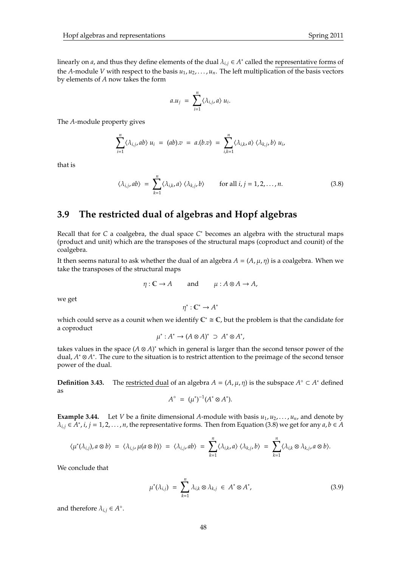linearly on *a*, and thus they define elements of the dual  $\lambda_{i,j} \in A^*$  called the representative forms of the *A*-module *V* with respect to the basis  $u_1, u_2, \ldots, u_n$ . The left multiplication of the basis vectors by elements of *A* now takes the form

$$
a.u_j = \sum_{i=1}^n \langle \lambda_{i,j}, a \rangle u_i.
$$

The *A*-module property gives

$$
\sum_{i=1}^n \langle \lambda_{i,j}, ab \rangle u_i = (ab).v = a.(b.v) = \sum_{i,k=1}^n \langle \lambda_{i,k}, a \rangle \langle \lambda_{k,j}, b \rangle u_i,
$$

that is

$$
\langle \lambda_{i,j}, ab \rangle = \sum_{k=1}^{n} \langle \lambda_{i,k}, a \rangle \langle \lambda_{k,j}, b \rangle \quad \text{for all } i, j = 1, 2, ..., n.
$$
 (3.8)

## **3.9 The restricted dual of algebras and Hopf algebras**

Recall that for *C* a coalgebra, the dual space *C* <sup>∗</sup> becomes an algebra with the structural maps (product and unit) which are the transposes of the structural maps (coproduct and counit) of the coalgebra.

It then seems natural to ask whether the dual of an algebra  $A = (A, \mu, \eta)$  is a coalgebra. When we take the transposes of the structural maps

$$
\eta: \mathbb{C} \to A
$$
 and  $\mu: A \otimes A \to A$ ,

we get

$$
\eta^* : \mathbb{C}^* \to A^*
$$

which could serve as a counit when we identify  $\mathbb{C}^* \cong \mathbb{C}$ , but the problem is that the candidate for a coproduct

$$
\mu^*: A^* \to (A \otimes A)^* \supset A^* \otimes A^*,
$$

takes values in the space (*A* ⊗ *A*) <sup>∗</sup> which in general is larger than the second tensor power of the dual, *A* <sup>∗</sup> ⊗ *A* ∗ . The cure to the situation is to restrict attention to the preimage of the second tensor power of the dual.

**Definition 3.43.** The <u>restricted dual</u> of an algebra  $A = (A, \mu, \eta)$  is the subspace  $A^{\circ} \subset A^*$  defined as

$$
A^{\circ} = (\mu^*)^{-1}(A^* \otimes A^*).
$$

**Example 3.44.** Let *V* be a finite dimensional *A*-module with basis  $u_1, u_2, \ldots, u_n$ , and denote by  $\lambda_{i,j} \in A^*$ , *i*, *j* = 1, 2, . . . , *n*, the representative forms. Then from Equation (3.8) we get for any  $a, b \in A$ 

$$
\langle \mu^*(\lambda_{i,j}), a \otimes b \rangle = \langle \lambda_{i,j}, \mu(a \otimes b) \rangle = \langle \lambda_{i,j}, ab \rangle = \sum_{k=1}^n \langle \lambda_{i,k}, a \rangle \langle \lambda_{k,j}, b \rangle = \sum_{k=1}^n \langle \lambda_{i,k} \otimes \lambda_{k,j}, a \otimes b \rangle.
$$

We conclude that

$$
\mu^*(\lambda_{i,j}) = \sum_{k=1}^n \lambda_{i,k} \otimes \lambda_{k,j} \in A^* \otimes A^*, \qquad (3.9)
$$

and therefore  $\lambda_{i,j} \in A^{\circ}$ .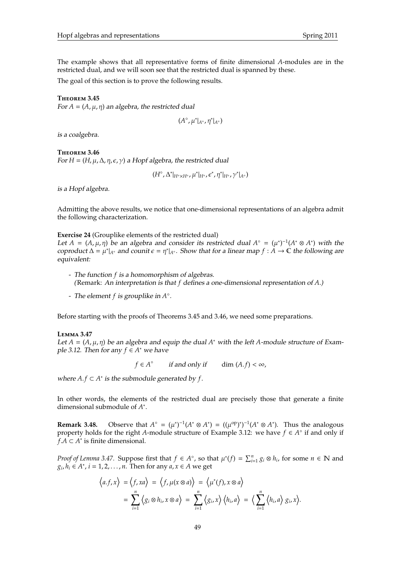The example shows that all representative forms of finite dimensional *A*-modules are in the restricted dual, and we will soon see that the restricted dual is spanned by these.

The goal of this section is to prove the following results.

### **T**heorem **3.45**

For  $A = (A, \mu, \eta)$  an algebra, the restricted dual

$$
(A^\circ,\mu^*|_{A^\circ},\eta^*|_{A^\circ})
$$

is a coalgebra.

### **T**heorem **3.46**

For  $H = (H, \mu, \Delta, \eta, \epsilon, \gamma)$  a Hopf algebra, the restricted dual

 $(H^{\circ}, \Delta^*|_{H^{\circ}\times H^{\circ}}, \mu^*|_{H^{\circ}}, \epsilon^*, \eta^*|_{H^{\circ}}, \gamma^*|_{A^{\circ}})$ 

is a Hopf algebra.

Admitting the above results, we notice that one-dimensional representations of an algebra admit the following characterization.

### **Exercise 24** (Grouplike elements of the restricted dual)

Let  $A = (A, \mu, \eta)$  be an algebra and consider its restricted dual  $A^{\circ} = (\mu^*)^{-1}(A^* \otimes A^*)$  with the coproduct  $\Delta = \mu^*|_{A^\circ}$  and counit  $\epsilon = \eta^*|_{A^\circ}$ . Show that for a linear map  $f : A \to \mathbb{C}$  the following are equivalent:

- The function *f* is a homomorphism of algebras. (Remark: An interpretation is that *f* defines a one-dimensional representation of *A*.)
- The element *f* is grouplike in *A* .

Before starting with the proofs of Theorems 3.45 and 3.46, we need some preparations.

### **L**emma **3.47**

Let  $A = (A, \mu, \eta)$  be an algebra and equip the dual  $A^*$  with the left  $A$ -module structure of Example 3.12. Then for any  $f \in A^*$  we have

 $f \in A^{\circ}$  if and only if dim  $(A.f) < \infty$ ,

where  $A.f \subset A^*$  is the submodule generated by  $f$ .

In other words, the elements of the restricted dual are precisely those that generate a finite dimensional submodule of *A* ∗ .

**Remark 3.48.** Observe that  $A^{\circ} = (\mu^*)^{-1}(A^* \otimes A^*) = ((\mu^{\circ p})^*)^{-1}(A^* \otimes A^*)$ . Thus the analogous property holds for the right *A*-module structure of Example 3.12: we have  $f \in A^{\circ}$  if and only if *f*.*A* ⊂ *A* ∗ is finite dimensional.

*Proof of Lemma 3.47.* Suppose first that  $f \in A^{\circ}$ , so that  $\mu^*(f) = \sum_{i=1}^n g_i \otimes h_i$ , for some  $n \in \mathbb{N}$  and  $g_i, h_i \in A^*$ ,  $i = 1, 2, ..., n$ . Then for any  $a, x \in A$  we get

$$
\langle a.f, x \rangle = \langle f, xa \rangle = \langle f, \mu(x \otimes a) \rangle = \langle \mu^*(f), x \otimes a \rangle
$$
  
= 
$$
\sum_{i=1}^n \langle g_i \otimes h_i, x \otimes a \rangle = \sum_{i=1}^n \langle g_i, x \rangle \langle h_i, a \rangle = \langle \sum_{i=1}^n \langle h_i, a \rangle g_i, x \rangle.
$$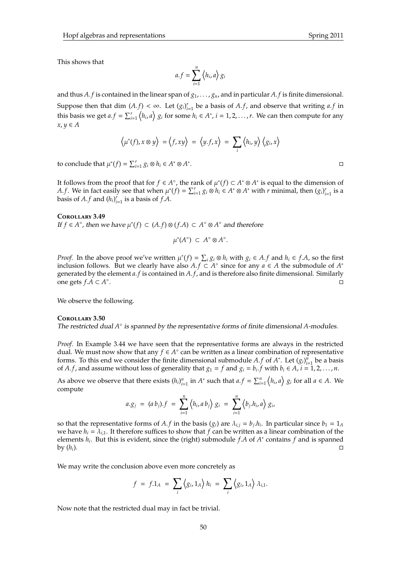This shows that

$$
a.f = \sum_{i=1}^{n} \langle h_i, a \rangle g_i
$$

and thus A. *f* is contained in the linear span of  $g_1, \ldots, g_n$ , and in particular A. *f* is finite dimensional. Suppose then that dim  $(A.f) < \infty$ . Let  $(g_i)_{i=1}^r$  be a basis of  $A.f$ , and observe that writing  $a.f$  in this basis we get  $a.f = \sum_{i=1}^r \langle h_i, a \rangle g_i$  for some  $h_i \in A^*$ ,  $i = 1, 2, ..., r$ . We can then compute for any  $x, y ∈ A$ 

$$
\left\langle \mu^*(f), x \otimes y \right\rangle = \left\langle f, xy \right\rangle = \left\langle y.f, x \right\rangle = \sum_i \left\langle h_i, y \right\rangle \left\langle g_i, x \right\rangle
$$

to conclude that  $\mu^*(f) = \sum_{i=1}^r g_i \otimes h_i \in A^* \otimes A^*$ 

It follows from the proof that for  $f \in A^{\circ}$ , the rank of  $\mu^*(f) \subset A^* \otimes A^*$  is equal to the dimension of *A.f.* We in fact easily see that when  $\mu^*(f) = \sum_{i=1}^r g_i \otimes h_i \in A^* \otimes A^*$  with *r* minimal, then  $(g_i)_{i=1}^r$  is a basis of  $A.f$  and  $(h_i)_{i=1}^r$  is a basis of  $f.A$ .

### **C**orollary **3.49**

*If f* ∈ *A*<sup>°</sup>, then we have  $\mu^*(f)$  ⊂  $(A.f)$  ⊗  $(f.A)$  ⊂  $A$ <sup>°</sup> ⊗  $A$ <sup>°</sup> and therefore

$$
\mu^*(A^\circ) \subset A^\circ \otimes A^\circ.
$$

*Proof.* In the above proof we've written  $\mu^*(f) = \sum_i g_i \otimes h_i$  with  $g_i \in A.f$  and  $h_i \in f.A$ , so the first inclusion follows. But we clearly have also  $A.f \subset A^\circ$  since for any  $a \in A$  the submodule of  $A^*$ generated by the element *a*. *f* is contained in *A*. *f*, and is therefore also finite dimensional. Similarly one gets *f*.*A* ⊂ *A* ◦ e de la construcción de la construcción de la construcción de la construcción de la construcción de la constru<br>La construcción de la construcción de la construcción de la construcción de la construcción de la construcción

We observe the following.

### **C**orollary **3.50**

The restricted dual  $A^{\circ}$  is spanned by the representative forms of finite dimensional A-modules.

*Proof.* In Example 3.44 we have seen that the representative forms are always in the restricted dual. We must now show that any  $f \in A^{\circ}$  can be written as a linear combination of representative forms. To this end we consider the finite dimensional submodule *A*. *f* of *A*<sup>\*</sup>. Let  $(g_i)_{i=1}^n$  be a basis of *A*. *f*, and assume without loss of generality that  $g_1 = f$  and  $g_i = b_i$ . *f* with  $b_i \in A$ ,  $i = 1, 2, ..., n$ .

As above we observe that there exists  $(h_i)_{i=1}^n$  in  $A^*$  such that  $a.f = \sum_{i=1}^n \langle h_i, a \rangle g_i$  for all  $a \in A$ . We compute

$$
a.g_j = (a b_j).f = \sum_{i=1}^n \langle h_i, a b_j \rangle g_i = \sum_{i=1}^n \langle b_j . h_i, a \rangle g_i,
$$

so that the representative forms of  $A.f$  in the basis  $(g_i)$  are  $\lambda_{i,j} = b_j.h_i$ . In particular since  $b_1 = 1_A$ we have  $h_i = \lambda_{i,1}$ . It therefore suffices to show that *f* can be written as a linear combination of the elements *h<sup>i</sup>* . But this is evident, since the (right) submodule *f*.*A* of *A* ∗ contains *f* and is spanned  $\log(h_i)$ .

We may write the conclusion above even more concretely as

$$
f = f \cdot 1_A = \sum_i \langle g_i, 1_A \rangle h_i = \sum_i \langle g_i, 1_A \rangle \lambda_{i,1}.
$$

Now note that the restricted dual may in fact be trivial.

. In the contract of the contract of the contract of the contract of the contract of the contract of the contract of the contract of the contract of the contract of the contract of the contract of the contract of the contr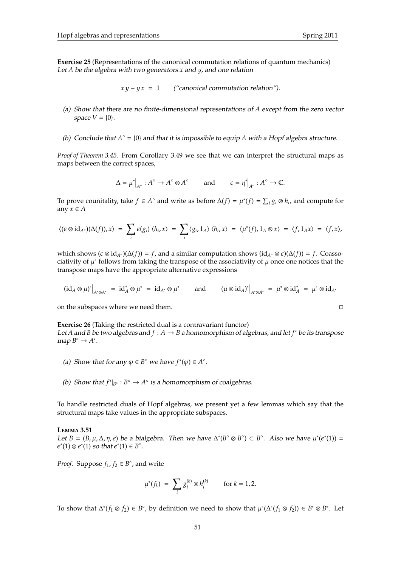**Exercise 25** (Representations of the canonical commutation relations of quantum mechanics) Let *A* be the algebra with two generators *x* and *y*, and one relation

 $x y - y x = 1$  ("canonical commutation relation").

- (a) Show that there are no finite-dimensional representations of *A* except from the zero vector space  $V = \{0\}$ .
- (b) Conclude that  $A^\circ = \{0\}$  and that it is impossible to equip A with a Hopf algebra structure.

*Proof of Theorem 3.45.* From Corollary 3.49 we see that we can interpret the structural maps as maps between the correct spaces,

$$
\Delta = \mu^* \big|_{A^\circ} : A^\circ \to A^\circ \otimes A^\circ \qquad \text{and} \qquad \epsilon = \eta^* \big|_{A^\circ} : A^\circ \to \mathbb{C}.
$$

To prove counitality, take *f* ∈ *A*<sup>°</sup> and write as before  $\Delta(f) = \mu^*(f) = \sum_i g_i \otimes h_i$ , and compute for any  $x \in A$ 

$$
\langle (\epsilon \otimes id_{A^{\circ}})(\Delta(f)), x \rangle = \sum_{i} \epsilon(g_{i}) \langle h_{i}, x \rangle = \sum_{i} \langle g_{i}, 1_{A} \rangle \langle h_{i}, x \rangle = \langle \mu^{*}(f), 1_{A} \otimes x \rangle = \langle f, 1_{A} x \rangle = \langle f, x \rangle,
$$

which shows  $(\epsilon \otimes id_{A^{\circ}})(\Delta(f)) = f$ , and a similar computation shows  $(id_{A^{\circ}} \otimes \epsilon)(\Delta(f)) = f$ . Coassociativity of  $\mu^*$  follows from taking the transpose of the associativity of  $\mu$  once one notices that the transpose maps have the appropriate alternative expressions

$$
(\mathrm{id}_A\otimes\mu)^*\big|_{A^*\otimes A^*}\ =\ \mathrm{id}_A^*\otimes\mu^*\ =\ \mathrm{id}_{A^*}\otimes\mu^*\qquad\text{and}\qquad \big(\mu\otimes\mathrm{id}_A\big)^*\big|_{A^*\otimes A^*}\ =\ \mu^*\otimes\mathrm{id}_A^*\ =\ \mu^*\otimes\mathrm{id}_{A^*}
$$

on the subspaces where we need them.

**Exercise 26** (Taking the restricted dual is a contravariant functor) Let *A* and *B* be two algebras and *f* : *A* → *B* a homomorphism of algebras, and let *f* <sup>∗</sup> be its transpose  $map B^* \to A^*$ .

- (a) Show that for any  $\varphi \in B^{\circ}$  we have  $f^*(\varphi) \in A^{\circ}$ .
- (b) Show that  $f^*|_{B^\circ}: B^\circ \to A^\circ$  is a homomorphism of coalgebras.

To handle restricted duals of Hopf algebras, we present yet a few lemmas which say that the structural maps take values in the appropriate subspaces.

### **L**emma **3.51**

Let  $B = (B, \mu, \Delta, \eta, \epsilon)$  be a bialgebra. Then we have  $\Delta^*(B^\circ \otimes B^\circ) \subset B^\circ$ . Also we have  $\mu^*(\epsilon^*(1)) =$  $\epsilon^*(1) \otimes \epsilon^*(1)$  so that  $\epsilon^*(1) \in B^\circ$ .

*Proof.* Suppose  $f_1$ ,  $f_2 \in B^\circ$ , and write

$$
\mu^*(f_k) \ = \ \sum_i g_i^{(k)} \otimes h_i^{(k)} \qquad \text{for } k = 1, 2.
$$

To show that  $\Delta^*(f_1 \otimes f_2) \in B^\circ$ , by definition we need to show that  $\mu^*(\Delta^*(f_1 \otimes f_2)) \in B^* \otimes B^*$ . Let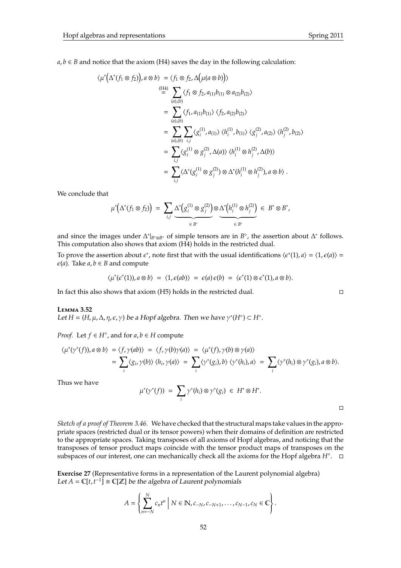$a, b \in B$  and notice that the axiom (H4) saves the day in the following calculation:

$$
\langle \mu^* (\Delta^* (f_1 \otimes f_2)), a \otimes b \rangle = \langle f_1 \otimes f_2, \Delta (\mu (a \otimes b)) \rangle
$$
  
\n
$$
\stackrel{\text{(H4)}}{=} \sum_{(a),(b)} \langle f_1 \otimes f_2, a_{(1)}b_{(1)} \otimes a_{(2)}b_{(2)} \rangle
$$
  
\n
$$
= \sum_{(a),(b)} \langle f_1, a_{(1)}b_{(1)} \rangle \langle f_2, a_{(2)}b_{(2)} \rangle
$$
  
\n
$$
= \sum_{(a),(b)} \sum_{i,j} \langle g_i^{(1)}, a_{(1)} \rangle \langle h_i^{(1)}, b_{(1)} \rangle \langle g_j^{(2)}, a_{(2)} \rangle \langle h_j^{(2)}, b_{(2)} \rangle
$$
  
\n
$$
= \sum_{i,j} \langle g_i^{(1)} \otimes g_j^{(2)}, \Delta(a) \rangle \langle h_i^{(1)} \otimes h_j^{(2)}, \Delta(b) \rangle
$$
  
\n
$$
= \sum_{i,j} \langle \Delta^* (g_i^{(1)} \otimes g_j^{(2)}) \otimes \Delta^* (h_i^{(1)} \otimes h_j^{(2)}), a \otimes b \rangle.
$$

We conclude that

$$
\mu^*\big(\Delta^*(f_1\otimes f_2)\big) \;=\; \sum_{i,j}\underbrace{\Delta^*\big(g_i^{(1)}\otimes g_j^{(2)}\big)}_{\in\;B^*}\otimes \underbrace{\Delta^*\big(h_i^{(1)}\otimes h_j^{(2)}\big)}_{\in\;B^*}\;\in\;B^*\otimes B^*,
$$

and since the images under  $\Delta^*|_{B^{\circ}\otimes B^{\circ}}$  of simple tensors are in  $B^{\circ}$ , the assertion about  $\Delta^*$  follows. This computation also shows that axiom (H4) holds in the restricted dual.

To prove the assertion about  $\epsilon^*$ , note first that with the usual identifications  $\langle \epsilon^*(1), a \rangle = \langle 1, \epsilon(a) \rangle =$  $\epsilon$ (*a*). Take *a*, *b*  $\epsilon$  *B* and compute

$$
\langle \mu^*(\epsilon^*(1)), a \otimes b \rangle = \langle 1, \epsilon(ab) \rangle = \epsilon(a) \epsilon(b) = \langle \epsilon^*(1) \otimes \epsilon^*(1), a \otimes b \rangle.
$$

In fact this also shows that axiom (H5) holds in the restricted dual.

### **L**emma **3.52**

Let  $H = (H, \mu, \Delta, \eta, \epsilon, \gamma)$  be a Hopf algebra. Then we have  $\gamma^*(H^{\circ}) \subset H^{\circ}$ .

*Proof.* Let  $f \in H^{\circ}$ , and for  $a, b \in H$  compute

$$
\langle \mu^*(\gamma^*(f)), a \otimes b \rangle = \langle f, \gamma(ab) \rangle = \langle f, \gamma(b) \gamma(a) \rangle = \langle \mu^*(f), \gamma(b) \otimes \gamma(a) \rangle
$$
  
= 
$$
\sum_i \langle g_i, \gamma(b) \rangle \langle h_i, \gamma(a) \rangle = \sum_i \langle \gamma^*(g_i), b \rangle \langle \gamma^*(h_i), a \rangle = \sum_i \langle \gamma^*(h_i) \otimes \gamma^*(g_i), a \otimes b \rangle.
$$

Thus we have

$$
\mu^*(\gamma^*(f)) = \sum_i \gamma^*(h_i) \otimes \gamma^*(g_i) \in H^* \otimes H^*.
$$

 $\Box$ 

*Sketch of a proof of Theorem 3.46.* We have checked that the structural maps take values in the appropriate spaces (restricted dual or its tensor powers) when their domains of definition are restricted to the appropriate spaces. Taking transposes of all axioms of Hopf algebras, and noticing that the transposes of tensor product maps coincide with the tensor product maps of transposes on the subspaces of our interest, one can mechanically check all the axioms for the Hopf algebra *H*°. □

**Exercise 27** (Representative forms in a representation of the Laurent polynomial algebra) *Let A* =  $\mathbb{C}[t, t^{-1}]$  ≅  $\mathbb{C}[\mathbb{Z}]$  be the algebra of Laurent polynomials

$$
A = \left\{ \sum_{n=-N}^{N} c_n t^n \mid N \in \mathbb{N}, c_{-N}, c_{-N+1}, \ldots, c_{N-1}, c_N \in \mathbb{C} \right\}.
$$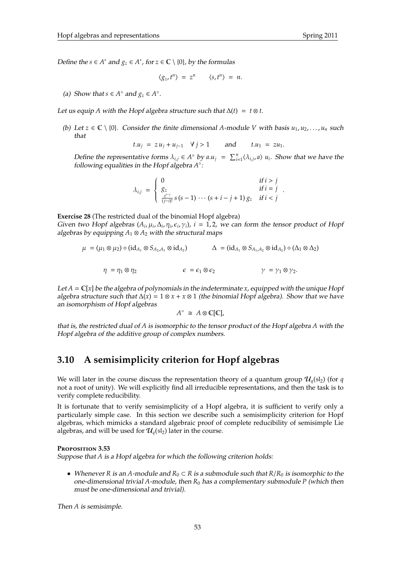*Define the s* ∈ *A*<sup>\*</sup> and  $g_z$  ∈ *A*<sup>\*</sup>, for  $z$  ∈  $\mathbb{C} \setminus \{0\}$ , by the formulas

$$
\langle g_z, t^n \rangle = z^n \qquad \langle s, t^n \rangle = n.
$$

(a) Show that  $s \in A^\circ$  and  $g_z \in A^\circ$ .

Let us equip *A* with the Hopf algebra structure such that  $\Delta(t) = t \otimes t$ .

(b) Let  $z \in \mathbb{C} \setminus \{0\}$ . Consider the finite dimensional *A*-module *V* with basis  $u_1, u_2, \ldots, u_n$  such that

 $t.u_i = zu_i + u_{i-1}$   $\forall j > 1$  and  $t.u_1 = zu_1$ .

Define the representative forms  $\lambda_{i,j} \in A^\circ$  by  $a.u_j = \sum_{i=1}^n \langle \lambda_{i,j}, a \rangle u_i$ . Show that we have the following equalities in the Hopf algebra  $A^{\circ}$ :

$$
\lambda_{i,j} = \begin{cases}\n0 & \text{if } i > j \\
g_z & \text{if } i = j \\
\frac{z^{i-j}}{(j-i)!} s(s-1) \cdots (s+i-j+1) g_z & \text{if } i < j\n\end{cases}.
$$

**Exercise 28** (The restricted dual of the binomial Hopf algebra) Given two Hopf algebras  $(A_i, \mu_i, \Delta_i, \eta_i, \epsilon_i, \gamma_i)$ ,  $i = 1, 2$ , we can form the tensor product of Hopf algebras by equipping  $A_1 \otimes A_2$  with the structural maps

$$
\mu = (\mu_1 \otimes \mu_2) \circ (\mathrm{id}_{A_1} \otimes S_{A_2,A_1} \otimes \mathrm{id}_{A_2}) \qquad \qquad \Delta = (\mathrm{id}_{A_1} \otimes S_{A_1,A_2} \otimes \mathrm{id}_{A_2}) \circ (\Delta_1 \otimes \Delta_2)
$$

$$
\eta = \eta_1 \otimes \eta_2 \qquad \qquad \epsilon = \epsilon_1 \otimes \epsilon_2 \qquad \qquad \gamma = \gamma_1 \otimes \gamma_2.
$$

Let  $A = \mathbb{C}[x]$  be the algebra of polynomials in the indeterminate *x*, equipped with the unique Hopf algebra structure such that ∆(*x*) = 1 ⊗ *x* + *x* ⊗ 1 (the binomial Hopf algebra). Show that we have an isomorphism of Hopf algebras

$$
A^{\circ} \cong A \otimes \mathbb{C}[\mathbb{C}],
$$

that is, the restricted dual of *A* is isomorphic to the tensor product of the Hopf algebra *A* with the Hopf algebra of the additive group of complex numbers.

## **3.10 A semisimplicity criterion for Hopf algebras**

We will later in the course discuss the representation theory of a quantum group  $\mathcal{U}_q(\mathfrak{sl}_2)$  (for *q* not a root of unity). We will explicitly find all irreducible representations, and then the task is to verify complete reducibility.

It is fortunate that to verify semisimplicity of a Hopf algebra, it is sufficient to verify only a particularly simple case. In this section we describe such a semisimplicity criterion for Hopf algebras, which mimicks a standard algebraic proof of complete reducibility of semisimple Lie algebras, and will be used for  $\mathcal{U}_q(\mathfrak{sl}_2)$  later in the course.

### **P**roposition **3.53**

Suppose that *A* is a Hopf algebra for which the following criterion holds:

• Whenever *R* is an *A*-module and *R*<sup>0</sup> ⊂ *R* is a submodule such that *R*/*R*<sup>0</sup> is isomorphic to the one-dimensional trivial *A*-module, then *R*<sup>0</sup> has a complementary submodule *P* (which then must be one-dimensional and trivial).

Then *A* is semisimple.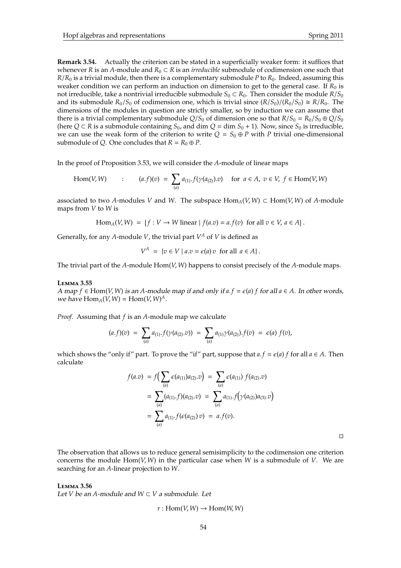**Remark 3.54.** Actually the criterion can be stated in a superficially weaker form: it suffices that whenever *R* is an *A*-module and  $R_0 \subset R$  is an *irreducible* submodule of codimension one such that  $R/R_0$  is a trivial module, then there is a complementary submodule *P* to  $R_0$ . Indeed, assuming this weaker condition we can perform an induction on dimension to get to the general case. If  $R_0$  is not irreducible, take a nontrivial irreducible submodule  $S_0 \subset R_0$ . Then consider the module  $R/S_0$ and its submodule  $R_0/S_0$  of codimension one, which is trivial since  $(R/S_0)/(R_0/S_0) \cong R/R_0$ . The dimensions of the modules in question are strictly smaller, so by induction we can assume that there is a trivial complementary submodule  $Q/S_0$  of dimension one so that  $R/S_0 = R_0/S_0 \oplus Q/S_0$ (here  $Q \subset R$  is a submodule containing  $S_0$ , and dim  $Q = \dim S_0 + 1$ ). Now, since  $S_0$  is irreducible, we can use the weak form of the criterion to write  $Q = S_0 \oplus P$  with P trivial one-dimensional submodule of *Q*. One concludes that  $R = R_0 \oplus P$ .

In the proof of Proposition 3.53, we will consider the *A*-module of linear maps

Hom(V, W) : 
$$
(a.f)(v) = \sum_{(a)} a_{(1)} \cdot f(\gamma(a_{(2)}).v)
$$
 for  $a \in A, v \in V, f \in \text{Hom}(V, W)$ 

associated to two *A*-modules *V* and *W*. The subspace  $Hom_A(V, W) \subset Hom(V, W)$  of *A*-module maps from *V* to *W* is

$$
\text{Hom}_A(V, W) = \{ f : V \to W \text{ linear} \mid f(a.v) = a.f(v) \text{ for all } v \in V, a \in A \}.
$$

Generally, for any A-module V, the trivial part  $V^A$  of V is defined as

$$
V^A = \{ v \in V \mid a.v = \epsilon(a) v \text{ for all } a \in A \}.
$$

The trivial part of the *A*-module Hom(*V*, *W*) happens to consist precisely of the *A*-module maps.

### **L**emma **3.55**

A map  $f$  ∈ Hom(*V*, *W*) is an *A*-module map if and only if  $a.f = \epsilon(a) f$  for all  $a \in A$ . In other words, we have  $\text{Hom}_A(V, W) = \text{Hom}(V, W)^A$ .

*Proof.* Assuming that *f* is an *A*-module map we calculate

$$
(a.f)(v) = \sum_{(a)} a_{(1)} \cdot f(\gamma(a_{(2)} . v)) = \sum_{(a)} a_{(1)} \gamma(a_{(2)}) \cdot f(v) = \epsilon(a) f(v),
$$

which shows the "only if" part. To prove the "if" part, suppose that  $a.f = \epsilon(a) f$  for all  $a \in A$ . Then calculate

$$
f(a.v) = f\left(\sum_{(a)} \epsilon(a_{(1)})a_{(2)}.v\right) = \sum_{(a)} \epsilon(a_{(1)}) f(a_{(2)}.v)
$$
  
= 
$$
\sum_{(a)} (a_{(1)}.f)(a_{(2)}.v) = \sum_{(a)} a_{(1)}.f\left(\gamma(a_{(2)})a_{(3)}.v\right)
$$
  
= 
$$
\sum_{(a)} a_{(1)}.f(\epsilon(a_{(2)})v) = a.f(v).
$$

 $\Box$ 

The observation that allows us to reduce general semisimplicity to the codimension one criterion concerns the module Hom(*V*, *W*) in the particular case when *W* is a submodule of *V*. We are searching for an *A*-linear projection to *W*.

**L**emma **3.56**

Let *V* be an *A*-module and  $W ⊂ V$  a submodule. Let

$$
r: \mathrm{Hom}(V, W) \to \mathrm{Hom}(W, W)
$$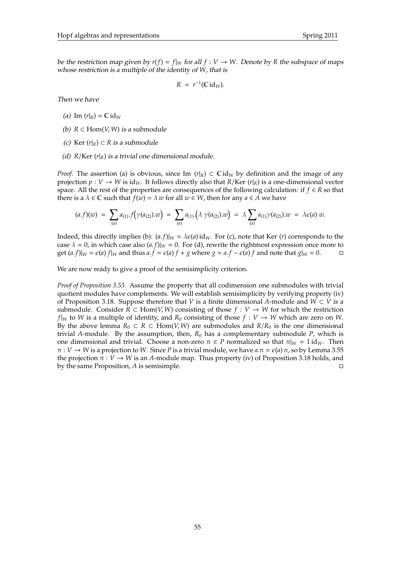be the restriction map given by  $r(f) = f|_W$  for all  $f : V \to W$ . Denote by R the subspace of maps whose restriction is a multiple of the identity of *W*, that is

$$
R = r^{-1}(\mathbb{C} \mathrm{id}_W).
$$

Then we have

- (a) Im  $(r|_R) = \mathbb{C} \mathrm{id}_W$
- (b) *R* ⊂ Hom(*V*, *W*) is a submodule
- (c) Ker  $(r|_R) \subset R$  *is a submodule*
- (d)  $R/Ker(r|_R)$  is a trivial one dimensional module.

*Proof.* The assertion (a) is obvious, since Im  $(r|R) \subset \mathbb{C}$  id<sub>*W*</sub> by definition and the image of any projection  $p: V \to W$  is id<sub>*W*</sub>. It follows directly also that *R*/Ker (*r*|*R*) is a one-dimensional vector space. All the rest of the properties are consequences of the following calculation: if  $f \in R$  so that there is a  $\lambda \in \mathbb{C}$  such that  $f(w) = \lambda w$  for all  $w \in W$ , then for any  $a \in A$  we have

$$
(a.f)(w) = \sum_{(a)} a_{(1)} \cdot f(\gamma(a_{(2)}).w) = \sum_{(a)} a_{(1)} \cdot (\lambda \gamma(a_{(2)}).w) = \lambda \sum_{(a)} a_{(1)} \gamma(a_{(2)}).w = \lambda \epsilon(a) w.
$$

Indeed, this directly implies (b):  $(a.f)|_W = \lambda \epsilon(a) \mathrm{id}_W$ . For (c), note that Ker (*r*) corresponds to the case  $\lambda = 0$ , in which case also  $(a.f)|_W = 0$ . For (d), rewrite the rightmost expression once more to get  $(a.f)|_W = \epsilon(a) f|_W$  and thus  $a.f = \epsilon(a) f + g$  where  $g = a.f - \epsilon(a) f$  and note that  $g|_W = 0$ . □

We are now ready to give a proof of the semisimplicity criterion.

*Proof of Proposition 3.53.* Assume the property that all codimension one submodules with trivial quotient modules have complements. We will establish semisimplicity by verifying property (iv) of Proposition 3.18. Suppose therefore that *V* is a finite dimensional *A*-module and  $W \subset V$  is a submodule. Consider *R* ⊂ Hom(*V*, *W*) consisting of those  $f : V \rightarrow W$  for which the restriction *f*|*W* to *W* is a multiple of identity, and  $R_0$  consisting of those  $f: V \to W$  which are zero on *W*. By the above lemma  $R_0 \subset R \subset \text{Hom}(V, W)$  are submodules and  $R/R_0$  is the one dimensional trivial *A*-module. By the assumption, then,  $R_0$  has a complementary submodule *P*, which is one dimensional and trivial. Choose a non-zero  $\pi \in P$  normalized so that  $\pi|_W = 1$  id<sub>*W*</sub>. Then  $\pi : V \to W$  is a projection to *W*. Since *P* is a trivial module, we have  $a.\pi = \epsilon(a) \pi$ , so by Lemma 3.55 the projection  $\pi : V \to W$  is an *A*-module map. Thus property (iv) of Proposition 3.18 holds, and by the same Proposition, *A* is semisimple.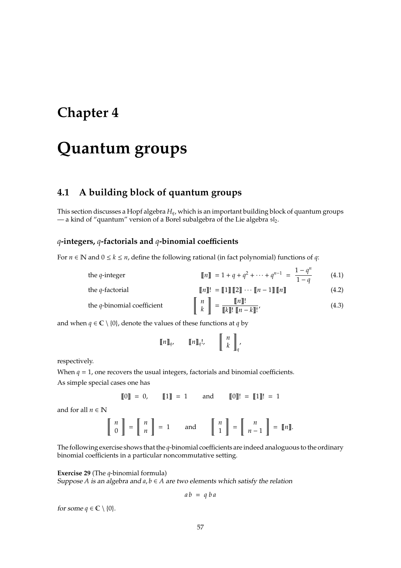## **Chapter 4**

# **Quantum groups**

## **4.1 A building block of quantum groups**

This section discusses a Hopf algebra *Hq*, which is an important building block of quantum groups — a kind of "quantum" version of a Borel subalgebra of the Lie algebra  $sI_2$ .

### *q***-integers,** *q***-factorials and** *q***-binomial coe**ffi**cients**

For  $n \in \mathbb{N}$  and  $0 \le k \le n$ , define the following rational (in fact polynomial) functions of *q*:

| the $q$ -integer              | $[\![n]\!] = 1 + q + q^2 + \cdots + q^{n-1} = \frac{1-q^n}{1-q}$                                                                                    | (4.1) |
|-------------------------------|-----------------------------------------------------------------------------------------------------------------------------------------------------|-------|
| the $q$ -factorial            | $\llbracket n \rrbracket! = \llbracket 1 \rrbracket \llbracket 2 \rrbracket \cdots \llbracket n-1 \rrbracket \llbracket n \rrbracket$               | (4.2) |
| the $q$ -binomial coefficient | $\left\  \begin{array}{c} n \\ k \end{array} \right\  = \frac{\llbracket n \rrbracket!}{\llbracket k \rrbracket! \, \llbracket n - k \rrbracket!},$ | (4.3) |

and when  $q \in \mathbb{C} \setminus \{0\}$ , denote the values of these functions at *q* by

$$
\llbracket n \rrbracket_q, \qquad \llbracket n \rrbracket_q!, \qquad \qquad \llbracket n \rrbracket_q
$$

respectively.

When  $q = 1$ , one recovers the usual integers, factorials and binomial coefficients. As simple special cases one has

$$
[\![0]\!]
$$
 = 0,  $[\![1]\!]$  = 1 and  $[\![0]\!]$ ! =  $[\![1]\!]$ ! = 1

and for all  $n \in \mathbb{N}$ 

$$
\left[\begin{array}{c} n \\ 0 \end{array}\right] = \left[\begin{array}{c} n \\ n \end{array}\right] = 1 \quad \text{and} \quad \left[\begin{array}{c} n \\ 1 \end{array}\right] = \left[\begin{array}{c} n \\ n-1 \end{array}\right] = \left[\!\!\left[n\right]\!\!\right].
$$

The following exercise shows that the *q*-binomial coefficients are indeed analoguous to the ordinary binomial coefficients in a particular noncommutative setting.

### **Exercise 29** (The *q*-binomial formula)

Suppose *A* is an algebra and  $a, b \in A$  are two elements which satisfy the relation

$$
ab = q ba
$$

for some  $q \in \mathbb{C} \setminus \{0\}.$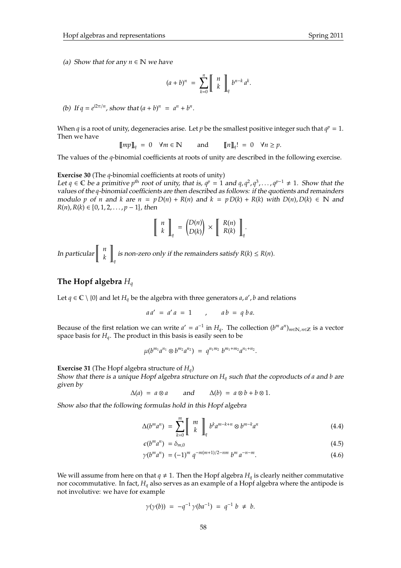$$
(a+b)^n = \sum_{k=0}^n \left[ \begin{array}{c} n \\ k \end{array} \right]_q b^{n-k} a^k.
$$

(b) If  $q = e^{i2\pi/n}$ , show that  $(a + b)^n = a^n + b^n$ .

When *q* is a root of unity, degeneracies arise. Let *p* be the smallest positive integer such that  $q^p = 1$ . Then we have

$$
\llbracket mp \rrbracket_q = 0 \quad \forall m \in \mathbb{N} \qquad \text{and} \qquad \llbracket n \rrbracket_q! = 0 \quad \forall n \ge p.
$$

The values of the *q*-binomial coefficients at roots of unity are described in the following exercise.

**Exercise 30** (The *q*-binomial coefficients at roots of unity)

Let  $q \in \mathbb{C}$  be a primitive  $p^{\text{th}}$  root of unity, that is,  $q^p = 1$  and  $q, q^2, q^3, \ldots, q^{p-1} \neq 1$ . Show that the values of the *q*-binomial coefficients are then described as follows: if the quotients and remainders modulo *p* of *n* and *k* are  $n = p D(n) + R(n)$  and  $k = p D(k) + R(k)$  with  $D(n), D(k) \in \mathbb{N}$  and  $R(n)$ ,  $R(k) \in \{0, 1, 2, \ldots, p - 1\}$ , then

$$
\left[\begin{array}{c} n \\ k \end{array}\right]_q = \left(\begin{array}{c} D(n) \\ D(k) \end{array}\right) \times \left[\begin{array}{c} R(n) \\ R(k) \end{array}\right]_q.
$$

In particular  $\left[\begin{array}{c} n \ n \end{array}\right]$ *k* 1 *q* is non-zero only if the remainders satisfy  $R(k) \leq R(n)$ .

### **The Hopf algebra** *H<sup>q</sup>*

Let  $q \in \mathbb{C} \setminus \{0\}$  and let  $H_q$  be the algebra with three generators *a*, *a'*, *b* and relations

$$
aa' = a'a = 1 \qquad , \qquad ab = q ba.
$$

Because of the first relation we can write  $a' = a^{-1}$  in  $H_q$ . The collection  $(b^m a^n)_{m \in \mathbb{N}, n \in \mathbb{Z}}$  is a vector space basis for  $H_a$ . The product in this basis is easily seen to be

$$
\mu(b^{m_1}a^{n_1}\otimes b^{m_2}a^{n_2}) = q^{n_1m_2}b^{m_1+m_2}a^{n_1+n_2}.
$$

**Exercise 31** (The Hopf algebra structure of *Hq*)

Show that there is a unique Hopf algebra structure on *H<sup>q</sup>* such that the coproducts of *a* and *b* are given by

$$
\Delta(a) = a \otimes a \quad \text{and} \quad \Delta(b) = a \otimes b + b \otimes 1.
$$

Show also that the following formulas hold in this Hopf algebra

$$
\Delta(b^m a^n) = \sum_{k=0}^m \left[ \begin{array}{c} m \\ k \end{array} \right]_q b^k a^{m-k+n} \otimes b^{m-k} a^n \tag{4.4}
$$

$$
\epsilon(b^m a^n) = \delta_{m,0} \tag{4.5}
$$

$$
\gamma(b^m a^n) = (-1)^m q^{-m(m+1)/2-nm} b^m a^{-n-m}.
$$
\n(4.6)

We will assume from here on that  $q \neq 1$ . Then the Hopf algebra  $H_q$  is clearly neither commutative nor cocommutative. In fact, *H<sup>q</sup>* also serves as an example of a Hopf algebra where the antipode is not involutive: we have for example

$$
\gamma(\gamma(b)) = -q^{-1} \gamma(ba^{-1}) = q^{-1} b \neq b.
$$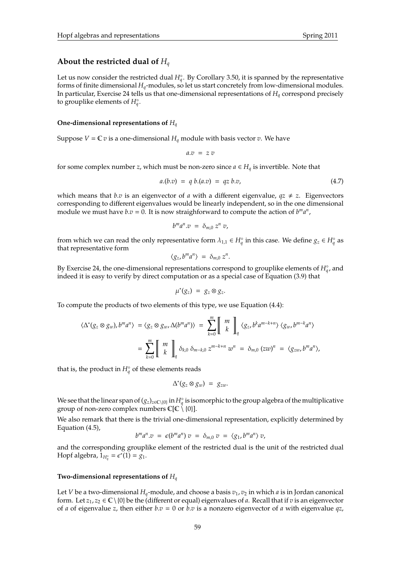## **About the restricted dual of** *H<sup>q</sup>*

Let us now consider the restricted dual  $H_q^{\circ}$ . By Corollary 3.50, it is spanned by the representative forms of finite dimensional *Hq*-modules, so let us start concretely from low-dimensional modules. In particular, Exercise 24 tells us that one-dimensional representations of *H<sup>q</sup>* correspond precisely to grouplike elements of  $H_q^{\circ}$ .

### **One-dimensional representations of** *H<sup>q</sup>*

Suppose  $V = \mathbb{C} v$  is a one-dimensional  $H_q$  module with basis vector *v*. We have

$$
a.v \ = \ z \ v
$$

for some complex number *z*, which must be non-zero since  $a \in H_q$  is invertible. Note that

$$
a.(b.v) = q b.(a.v) = qz b.v,
$$
\n(4.7)

which means that *b*.*v* is an eigenvector of *a* with a different eigenvalue,  $qz \neq z$ . Eigenvectors corresponding to different eigenvalues would be linearly independent, so in the one dimensional module we must have  $b.v = 0$ . It is now straighforward to compute the action of  $b<sup>m</sup>a<sup>n</sup>$ ,

$$
b^m a^n.v = \delta_{m,0} z^n v,
$$

from which we can read the only representative form  $\lambda_{1,1} \in H_q^{\circ}$  in this case. We define  $g_z \in H_q^{\circ}$  as that representative form

$$
\langle g_z, b^m a^n \rangle = \delta_{m,0} z^n.
$$

By Exercise 24, the one-dimensional representations correspond to grouplike elements of  $H^{\circ}_{q}$ , and indeed it is easy to verify by direct computation or as a special case of Equation (3.9) that

$$
\mu^*(g_z) = g_z \otimes g_z.
$$

To compute the products of two elements of this type, we use Equation (4.4):

$$
\langle \Delta^*(g_z \otimes g_w), b^m a^n \rangle = \langle g_z \otimes g_w, \Delta(b^m a^n) \rangle = \sum_{k=0}^m \left[ \begin{array}{c} m \\ k \end{array} \right]_q \langle g_z, b^k a^{m-k+n} \rangle \langle g_w, b^{m-k} a^n \rangle
$$
  

$$
= \sum_{k=0}^m \left[ \begin{array}{c} m \\ k \end{array} \right]_q \delta_{k,0} \delta_{m-k,0} z^{m-k+n} w^n = \delta_{m,0} (zw)^n = \langle g_{zw}, b^m a^n \rangle,
$$

that is, the product in  $H_q^{\circ}$  of these elements reads

$$
\Delta^*(g_z \otimes g_w) = g_{zw}.
$$

We see that the linear span of  $(g_z)_{z\in\mathbb{C}\setminus\{0\}}$  in  $H_q^\circ$  is isomorphic to the group algebra of the multiplicative group of non-zero complex numbers  $\mathbb{C}[\mathbb{C} \setminus \{0\}]$ .

We also remark that there is the trivial one-dimensional representation, explicitly determined by Equation (4.5),

$$
b^m a^n \cdot v = \epsilon(b^m a^n) v = \delta_{m,0} v = \langle g_1, b^m a^n \rangle v,
$$

and the corresponding grouplike element of the restricted dual is the unit of the restricted dual Hopf algebra,  $1_{H_q^{\circ}} = e^*(1) = g_1$ .

### **Two-dimensional representations of** *H<sup>q</sup>*

Let *V* be a two-dimensional  $H_q$ -module, and choose a basis  $v_1$ ,  $v_2$  in which *a* is in Jordan canonical form. Let  $z_1, z_2 \in \mathbb{C} \setminus \{0\}$  be the (different or equal) eigenvalues of *a*. Recall that if *v* is an eigenvector of *a* of eigenvalue *z*, then either *b*.*v* = 0 or *b*.*v* is a nonzero eigenvector of *a* with eigenvalue *qz*,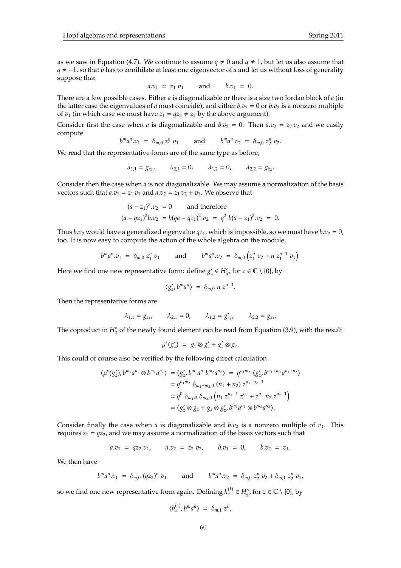as we saw in Equation (4.7). We continue to assume  $q \neq 0$  and  $q \neq 1$ , but let us also assume that *q* ≠ -1, so that *b* has to annihilate at least one eigenvector of *a* and let us without loss of generality suppose that

$$
a.v_1 = z_1 v_1
$$
 and  $b.v_1 = 0$ .

There are a few possible cases. Either *a* is diagonalizable or there is a size two Jordan block of *a* (in the latter case the eigenvalues of *a* must coincide), and either  $b.v_2 = 0$  or  $b.v_2$  is a nonzero multiple of  $v_1$  (in which case we must have  $z_1 = qz_2 \neq z_2$  by the above argument).

Consider first the case when *a* is diagonalizable and  $b \cdot v_2 = 0$ . Then  $a \cdot v_2 = z_2 v_2$  and we easily compute

$$
b^m a^n v_1 = \delta_{m,0} z_1^n v_1
$$
 and  $b^m a^n v_2 = \delta_{m,0} z_2^n v_2$ .

We read that the representative forms are of the same type as before,

$$
\lambda_{1,1} = g_{z_1}, \qquad \lambda_{2,1} = 0, \qquad \lambda_{1,2} = 0, \qquad \lambda_{2,2} = g_{z_2}.
$$

Consider then the case when *a* is not diagonalizable. We may assume a normalization of the basis vectors such that  $a.v_1 = z_1 v_1$  and  $a.v_2 = z_1 v_2 + v_1$ . We observe that

$$
(a - z1)2 \cdot v2 = 0 \qquad \text{and therefore}
$$
  

$$
(a - qz1)2 \cdot v2 = b(qa - qz1)2 \cdot v2 = q2 b(a - z1)2 \cdot v2 = 0.
$$

Thus *b*.*v*<sub>2</sub> would have a generalized eigenvalue  $qz_1$ , which is impossible, so we must have *b*.*v*<sub>2</sub> = 0, too. It is now easy to compute the action of the whole algebra on the module,

$$
b^m a^n v_1 = \delta_{m,0} z_1^n v_1
$$
 and  $b^m a^n v_2 = \delta_{m,0} (z_1^n v_2 + n z_1^{n-1} v_1).$ 

Here we find one new representative form: define  $g'_z \in H_q^{\circ}$ , for  $z \in \mathbb{C} \setminus \{0\}$ , by

$$
\langle g'_z, b^m a^n \rangle = \delta_{m,0} n z^{n-1}.
$$

Then the representative forms are

$$
\lambda_{1,1} = g_{z_1}, \qquad \lambda_{2,1} = 0, \qquad \lambda_{1,2} = g'_{z_1}, \qquad \lambda_{2,2} = g_{z_1}
$$

.

The coproduct in  $H_q^{\circ}$  of the newly found element can be read from Equation (3.9), with the result

$$
\mu^*(g'_z) = g_z \otimes g'_z + g'_z \otimes g_z.
$$

This could of course also be verified by the following direct calculation

$$
\langle \mu^*(g'_z), b^{m_1}a^{n_1} \otimes b^{m_2}a^{n_2} \rangle = \langle g'_z, b^{m_1}a^{n_1}b^{m_2}a^{n_2} \rangle = q^{n_1m_2} \langle g'_z, b^{m_1+m_2}a^{n_1+n_2} \rangle
$$
  
=  $q^{n_1m_2} \delta_{m_1+m_2,0} (n_1 + n_2) z^{n_1+n_2-1}$   
=  $q^0 \delta_{m_1,0} \delta_{m_2,0} (n_1 z^{n_1-1} z^{n_2} + z^{n_1} n_2 z^{n_2-1})$   
=  $\langle g'_z \otimes g_z + g_z \otimes g'_z, b^{m_1}a^{n_1} \otimes b^{m_2}a^{n_2} \rangle$ .

Consider finally the case when *a* is diagonalizable and  $b.v_2$  is a nonzero multiple of  $v_1$ . This requires  $z_1 = qz_2$ , and we may assume a normalization of the basis vectors such that

$$
a.v_1 = qz_2 v_1
$$
,  $a.v_2 = z_2 v_2$ ,  $b.v_1 = 0$ ,  $b.v_2 = v_1$ .

We then have

$$
b^m a^n v_1 = \delta_{m,0} (qz_2)^n v_1
$$
 and  $b^m a^n v_2 = \delta_{m,0} z_2^n v_2 + \delta_{m,1} z_2^n v_1$ 

so we find one new representative form again. Defining  $h_z^{(1)} \in H_q^{\circ}$ , for  $z \in \mathbb{C} \setminus \{0\}$ , by

$$
\langle h_z^{(1)}, b^m a^n \rangle = \delta_{m,1} z^n,
$$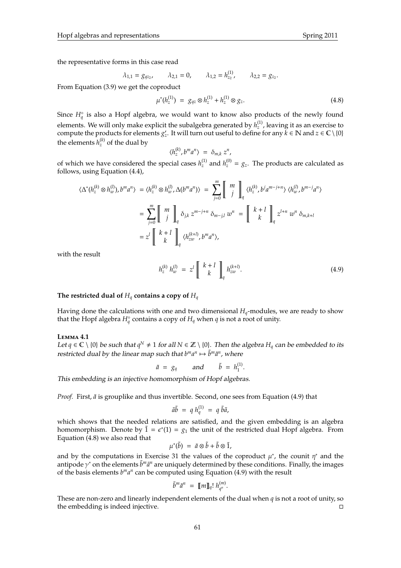the representative forms in this case read

$$
\lambda_{1,1} = g_{qz_2}, \qquad \lambda_{2,1} = 0, \qquad \lambda_{1,2} = h_{z_2}^{(1)}, \qquad \lambda_{2,2} = g_{z_2}.
$$

From Equation (3.9) we get the coproduct

$$
\mu^*(h_z^{(1)}) = g_{qz} \otimes h_z^{(1)} + h_z^{(1)} \otimes g_z.
$$
\n(4.8)

Since  $H_q^{\circ}$  is also a Hopf algebra, we would want to know also products of the newly found elements. We will only make explicit the subalgebra generated by  $h_z^{(1)}$ , leaving it as an exercise to compute the products for elements  $g'_z$ . It will turn out useful to define for any  $\breve{k} \in \mathbb{N}$  and  $z \in \mathbb{C} \setminus \{0\}$ the elements  $h_z^{(k)}$  of the dual by

$$
\langle h_z^{(k)}, b^m a^n \rangle = \delta_{m,k} z^n,
$$

of which we have considered the special cases  $h_z^{(1)}$  and  $h_z^{(0)} = g_z$ . The products are calculated as follows, using Equation (4.4),

$$
\langle \Delta^*(h_z^{(k)} \otimes h_w^{(l)}), b^m a^n \rangle = \langle h_z^{(k)} \otimes h_w^{(l)}, \Delta(b^m a^n) \rangle = \sum_{j=0}^m \left[ \begin{array}{c} m \\ j \end{array} \right]_q \langle h_z^{(k)}, b^j a^{m-j+n} \rangle \langle h_w^{(l)}, b^{m-j} a^n \rangle
$$
  

$$
= \sum_{j=0}^m \left[ \begin{array}{c} m \\ j \end{array} \right]_q \delta_{jk} z^{m-j+n} \delta_{m-j,l} w^n = \left[ \begin{array}{c} k+l \\ k \end{array} \right]_q z^{l+n} w^n \delta_{m,k+l}
$$
  

$$
= z^l \left[ \begin{array}{c} k+l \\ k \end{array} \right]_q \langle h_{zw}^{(k+l)}, b^m a^n \rangle,
$$

with the result

$$
h_z^{(k)} h_w^{(l)} = z^l \left[ \begin{array}{c} k+l \\ k \end{array} \right]_q h_{zw}^{(k+l)}.
$$
 (4.9)

### The restricted dual of  $H_q$  contains a copy of  $H_q$

Having done the calculations with one and two dimensional *Hq*-modules, we are ready to show that the Hopf algebra  $H_q^{\circ}$  contains a copy of  $H_q$  when  $q$  is not a root of unity.

### **L**emma **4.1**

Let *q* ∈  $\mathbb{C} \setminus \{0\}$  be such that *q*<sup>N</sup> ≠ 1 for all  $N \in \mathbb{Z} \setminus \{0\}$ . Then the algebra  $H_q$  can be embedded to its restricted dual by the linear map such that  $b^m a^n \mapsto \tilde{b}^m \tilde{a}^n$ , where

$$
\tilde{a} = g_q
$$
 and  $\tilde{b} = h_1^{(1)}$ .

This embedding is an injective homomorphism of Hopf algebras.

*Proof.* First,  $\tilde{a}$  is grouplike and thus invertible. Second, one sees from Equation (4.9) that

$$
\tilde{a}\tilde{b} = q h_q^{(1)} = q \tilde{b}\tilde{a},
$$

which shows that the needed relations are satisfied, and the given embedding is an algebra homomorphism. Denote by  $\tilde{1} = \epsilon^*(1) = g_1$  the unit of the restricted dual Hopf algebra. From Equation (4.8) we also read that

$$
\mu^*(\tilde{b}) = \tilde{a} \otimes \tilde{b} + \tilde{b} \otimes \tilde{1},
$$

and by the computations in Exercise 31 the values of the coproduct  $\mu^*$ , the counit  $\eta^*$  and the antipode γ<sup>\*</sup> on the elements  $\tilde{b}^m \tilde{a}^n$  are uniquely determined by these conditions. Finally, the images of the basis elements  $b^m a^n$  can be computed using Equation (4.9) with the result

$$
\tilde{b}^m \tilde{a}^n = [\![m]\!]_q! h_{q^n}^{(m)}.
$$

These are non-zero and linearly independent elements of the dual when *q* is not a root of unity, so the embedding is indeed injective.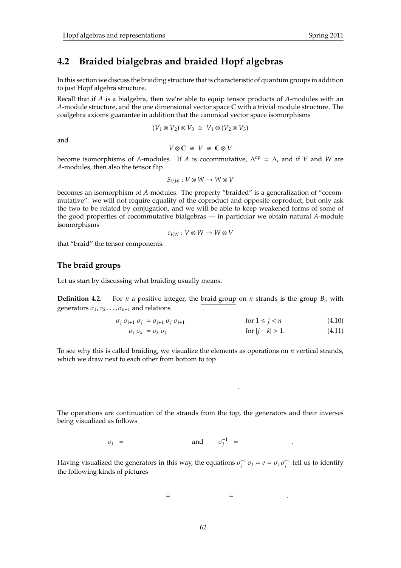## **4.2 Braided bialgebras and braided Hopf algebras**

In this section we discuss the braiding structure that is characteristic of quantum groups in addition to just Hopf algebra structure.

Recall that if *A* is a bialgebra, then we're able to equip tensor products of *A*-modules with an *A*-module structure, and the one dimensional vector space C with a trivial module structure. The coalgebra axioms guarantee in addition that the canonical vector space isomorphisms

 $(V_1 \otimes V_2) \otimes V_3 \cong V_1 \otimes (V_2 \otimes V_3)$ 

and

$$
V \otimes \mathbb{C} \cong V \cong \mathbb{C} \otimes V
$$

become isomorphisms of *A*-modules. If *A* is cocommutative,  $\Delta^{op} = \Delta$ , and if *V* and *W* are *A*-modules, then also the tensor flip

$$
S_{V,W}: V \otimes W \rightarrow W \otimes V
$$

becomes an isomorphism of *A*-modules. The property "braided" is a generalization of "cocommutative": we will not require equality of the coproduct and opposite coproduct, but only ask the two to be related by conjugation, and we will be able to keep weakened forms of some of the good properties of cocommutative bialgebras — in particular we obtain natural *A*-module isomorphisms

$$
c_{V,W}: V \otimes W \to W \otimes V
$$

that "braid" the tensor components.

### **The braid groups**

Let us start by discussing what braiding usually means.

**Definition 4.2.** For *n* a positive integer, the braid group on *n* strands is the group  $B_n$  with generators  $\sigma_1$ ,  $\sigma_2$ ...,  $\sigma_{n-1}$  and relations

$$
\sigma_j \sigma_{j+1} \sigma_j = \sigma_{j+1} \sigma_j \sigma_{j+1} \qquad \qquad \text{for } 1 \le j < n \tag{4.10}
$$

$$
\sigma_j \sigma_k = \sigma_k \sigma_j \qquad \qquad \text{for } |j - k| > 1. \tag{4.11}
$$

.

To see why this is called braiding, we visualize the elements as operations on *n* vertical strands, which we draw next to each other from bottom to top

The operations are continuation of the strands from the top, the generators and their inverses being visualized as follows

$$
\sigma_j = \qquad \qquad \text{and} \qquad \sigma_j^{-1} = \qquad \qquad .
$$

Having visualized the generators in this way, the equations  $\sigma_j^{-1} \sigma_j = e = \sigma_j \sigma_j^{-1}$  tell us to identify the following kinds of pictures

 $=$  . The set of  $=$  . The set of  $=$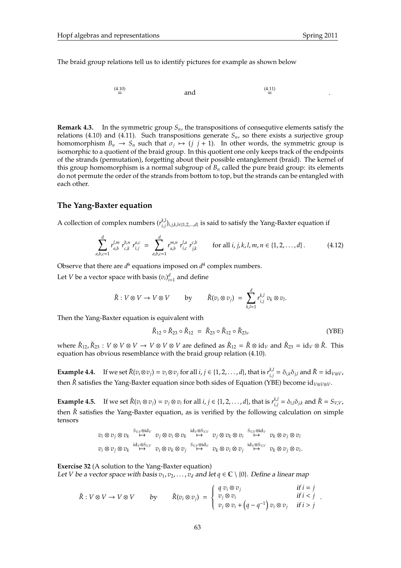The braid group relations tell us to identify pictures for example as shown below

$$
\overset{(4.10)}{=} \qquad \qquad \text{and} \qquad \qquad \overset{(4.11)}{=} \qquad \qquad \ldots
$$

**Remark 4.3.** In the symmetric group  $S_n$ , the transpositions of consequtive elements satisfy the relations (4.10) and (4.11). Such transpositions generate *Sn*, so there exists a surjective group homomorphism  $B_n \to S_n$  such that  $\sigma_j \mapsto (j \, j+1)$ . In other words, the symmetric group is isomorphic to a quotient of the braid group. In this quotient one only keeps track of the endpoints of the strands (permutation), forgetting about their possible entanglement (braid). The kernel of this group homomorphism is a normal subgroup of  $B<sub>n</sub>$  called the pure braid group: its elements do not permute the order of the strands from bottom to top, but the strands can be entangled with each other.

### **The Yang-Baxter equation**

A collection of complex numbers  $(r_i^{k,l})$ *i*,*j* )*i*,*j*,*k*,*l*∈{1,2,...,*d*} is said to satisfy the Yang-Baxter equation if

$$
\sum_{a,b,c=1}^{d} r_{a,b}^{l,m} r_{c,k}^{b,n} r_{i,j}^{a,c} = \sum_{a,b,c=1}^{d} r_{a,b}^{m,n} r_{i,c}^{l,a} r_{j,k}^{c,b} \qquad \text{for all } i, j, k, l, m, n \in \{1, 2, ..., d\}.
$$
 (4.12)

Observe that there are  $d^6$  equations imposed on  $d^4$  complex numbers.

Let *V* be a vector space with basis  $(v_i)_{i=1}^d$  and define

$$
\check{R}: V \otimes V \to V \otimes V \qquad \text{by} \qquad \check{R}(v_i \otimes v_j) = \sum_{k,l=1}^d r_{i,j}^{k,l} v_k \otimes v_l.
$$

Then the Yang-Baxter equation is equivalent with

$$
\check{R}_{12} \circ \check{R}_{23} \circ \check{R}_{12} = \check{R}_{23} \circ \check{R}_{12} \circ \check{R}_{23}, \tag{YBE}
$$

where  $\check{R}_{12}$ ,  $\check{R}_{23}$  :  $V \otimes V \otimes V \to V \otimes V \otimes V$  are defined as  $\check{R}_{12} = \check{R} \otimes id_V$  and  $\check{R}_{23} = id_V \otimes \check{R}$ . This equation has obvious resemblance with the braid group relation (4.10).

**Example 4.4.** If we set  $\check{R}(v_i \otimes v_j) = v_i \otimes v_j$  for all  $i, j \in \{1, 2, ..., d\}$ , that is  $r_{i,j}^{k,l}$  $\delta_{i,j}^{k,l} = \delta_{i,k} \delta_{j,l}$  and  $\check{R} = \operatorname{id}_{V \otimes V}$ , then  $\check{R}$  satisfies the Yang-Baxter equation since both sides of Equation (YBE) become id<sub>*V*⊗*V*⊗*V*</sub>.

**Example 4.5.** If we set  $\check{R}(v_i \otimes v_j) = v_j \otimes v_i$  for all  $i, j \in \{1, 2, ..., d\}$ , that is  $r_{i,j}^{k,l}$  $\delta_{i,j}^{k,l} = \delta_{i,l} \delta_{j,k}$  and  $\check{R} = S_{V,V}$ , then  $\check{R}$  satisfies the Yang-Baxter equation, as is verified by the following calculation on simple tensors

$$
\begin{array}{ccc}v_i\otimes v_j\otimes v_k &\stackrel{S_{V,V}\otimes \mathrm{id}_V}{\longmapsto} &v_j\otimes v_i\otimes v_k &\stackrel{\mathrm{id}_V\otimes S_{V,V}}{\longmapsto} &v_j\otimes v_k\otimes v_i &\stackrel{S_{V,V}\otimes \mathrm{id}_V}{\longmapsto} &v_k\otimes v_j\otimes v_i\\ v_i\otimes v_j\otimes v_k &\stackrel{\mathrm{id}_V\otimes S_{V,V}}{\longmapsto} &v_i\otimes v_k\otimes v_j &\stackrel{\mathrm{id}_V\otimes S_{V,V}}{\longmapsto} &v_k\otimes v_j\otimes v_i &\stackrel{\mathrm{id}_V\otimes S_{V,V}}{\longmapsto} &v_k\otimes v_j\otimes v_i.\end{array}
$$

**Exercise 32** (A solution to the Yang-Baxter equation)

Let *V* be a vector space with basis  $v_1, v_2, \ldots, v_d$  and let  $q \in \mathbb{C} \setminus \{0\}$ . Define a linear map

$$
\check{R}: V \otimes V \to V \otimes V \qquad \text{by} \qquad \check{R}(v_i \otimes v_j) = \begin{cases} q v_i \otimes v_j & \text{if } i = j \\ v_j \otimes v_i & \text{if } i < j \\ v_j \otimes v_i + (q - q^{-1}) v_i \otimes v_j & \text{if } i > j \end{cases}.
$$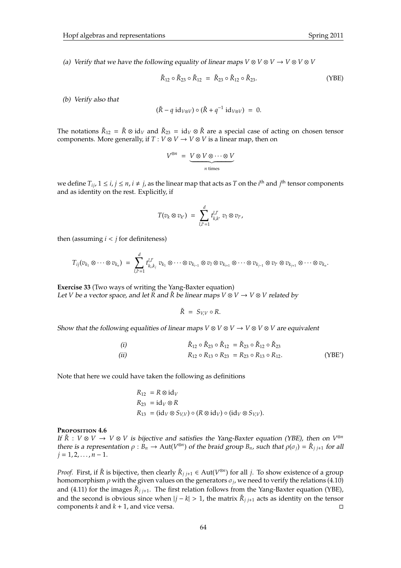(a) Verify that we have the following equality of linear maps  $V \otimes V \otimes V \to V \otimes V \otimes V$ 

$$
\check{R}_{12} \circ \check{R}_{23} \circ \check{R}_{12} = \check{R}_{23} \circ \check{R}_{12} \circ \check{R}_{23}.
$$
 (YBE)

(b) Verify also that

$$
(\check{R} - q \mathrm{id}_{V \otimes V}) \circ (\check{R} + q^{-1} \mathrm{id}_{V \otimes V}) = 0.
$$

The notations  $\check{R}_{12} = \check{R} \otimes id_V$  and  $\check{R}_{23} = id_V \otimes \check{R}$  are a special case of acting on chosen tensor components. More generally, if  $T: V \otimes V \to V \otimes V$  is a linear map, then on

$$
V^{\otimes n} = \underbrace{V \otimes V \otimes \cdots \otimes V}_{n \text{ times}}
$$

we define  $T_{ij}$ ,  $1 \le i, j \le n$ ,  $i \ne j$ , as the linear map that acts as *T* on the *i*<sup>th</sup> and *j*<sup>th</sup> tensor components and as identity on the rest. Explicitly, if

$$
T(v_k\otimes v_{k'})\ =\ \sum_{l,l'=1}^d t_{k,k'}^{l,l'}\ v_l\otimes v_{l'},
$$

then (assuming  $i < j$  for definiteness)

$$
T_{ij}(v_{k_1}\otimes\cdots\otimes v_{k_n})\;=\;\sum_{l,l'=1}^d t_{k_i,k_j}^{l,l'}\;v_{k_1}\otimes\cdots\otimes v_{k_{i-1}}\otimes v_l\otimes v_{k_{i+1}}\otimes\cdots\otimes v_{k_{j-1}}\otimes v_{l'}\otimes v_{k_{j+1}}\otimes\cdots\otimes v_{k_n}.
$$

**Exercise 33** (Two ways of writing the Yang-Baxter equation) Let *V* be a vector space, and let *R* and  $\check{R}$  be linear maps  $V \otimes V \rightarrow V \otimes V$  related by

$$
\check{R} = S_{V,V} \circ R.
$$

Show that the following equalities of linear maps  $V \otimes V \otimes V \rightarrow V \otimes V \otimes V$  are equivalent

(i) 
$$
\check{R}_{12} \circ \check{R}_{23} \circ \check{R}_{12} = \check{R}_{23} \circ \check{R}_{12} \circ \check{R}_{23}
$$
  
\n(ii)  $R_{12} \circ R_{13} \circ R_{23} = R_{23} \circ R_{13} \circ R_{12}$ . (YBE')

Note that here we could have taken the following as definitions

$$
R_{12} = R \otimes id_V
$$
  
\n
$$
R_{23} = id_V \otimes R
$$
  
\n
$$
R_{13} = (id_V \otimes S_{V,V}) \circ (R \otimes id_V) \circ (id_V \otimes S_{V,V}).
$$

### **P**roposition **4.6**

If  $\check{R}$  :  $V \otimes V \to V \otimes V$  is bijective and satisfies the Yang-Baxter equation (YBE), then on  $V^{\otimes n}$ there is a representation  $\rho : B_n \to \text{Aut}(V^{\otimes n})$  of the braid group  $B_n$ , such that  $\rho(\sigma_j) = \check{R}_{j,j+1}$  for all  $j = 1, 2, \ldots, n - 1$ .

*Proof.* First, if  $\check{R}$  is bijective, then clearly  $\check{R}_{j,j+1} \in Aut(V^{\otimes n})$  for all *j*. To show existence of a group homomorphism  $\rho$  with the given values on the generators  $\sigma_j$ , we need to verify the relations (4.10) and (4.11) for the images  $\check{R}_{j,j+1}$ . The first relation follows from the Yang-Baxter equation (YBE), and the second is obvious since when  $|j - k| > 1$ , the matrix  $\check{R}_{j,j+1}$  acts as identity on the tensor components *k* and *k* + 1, and vice versa.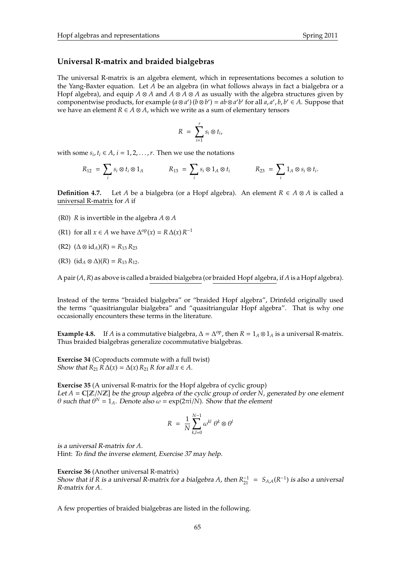## **Universal R-matrix and braided bialgebras**

The universal R-matrix is an algebra element, which in representations becomes a solution to the Yang-Baxter equation. Let *A* be an algebra (in what follows always in fact a bialgebra or a Hopf algebra), and equip *A* ⊗ *A* and *A* ⊗ *A* ⊗ *A* as usually with the algebra structures given by componentwise products, for example  $(a \otimes a')(b \otimes b') = ab \otimes a'b'$  for all  $a, a', b, b' \in A$ . Suppose that we have an element *R* ∈ *A* ⊗ *A*, which we write as a sum of elementary tensors

$$
R = \sum_{i=1}^r s_i \otimes t_i,
$$

with some  $s_i$ ,  $t_i \in A$ ,  $i = 1, 2, ..., r$ . Then we use the notations

$$
R_{12} = \sum_i s_i \otimes t_i \otimes 1_A \qquad R_{13} = \sum_i s_i \otimes 1_A \otimes t_i \qquad R_{23} = \sum_i 1_A \otimes s_i \otimes t_i.
$$

**Definition 4.7.** Let *A* be a bialgebra (or a Hopf algebra). An element  $R \in A \otimes A$  is called a universal R-matrix for *A* if

- (R0) *R* is invertible in the algebra  $A \otimes A$
- (R1) for all *x*  $\in$  *A* we have  $\Delta^{op}(x) = R \Delta(x) R^{-1}$
- (R2) (∆ ⊗ id*A*)(*R*) = *R*<sup>13</sup> *R*<sup>23</sup>
- (R3)  $(id_A ⊗ ∆)(R) = R_{13} R_{12}$ .

A pair (*A*,*R*) as above is called a braided bialgebra (or braided Hopf algebra, if *A* is a Hopf algebra).

Instead of the terms "braided bialgebra" or "braided Hopf algebra", Drinfeld originally used the terms "quasitriangular bialgebra" and "quasitriangular Hopf algebra". That is why one occasionally encounters these terms in the literature.

**Example 4.8.** If *A* is a commutative bialgebra,  $\Delta = \Delta^{op}$ , then  $R = 1_A \otimes 1_A$  is a universal R-matrix. Thus braided bialgebras generalize cocommutative bialgebras.

**Exercise 34** (Coproducts commute with a full twist) Show that  $R_{21} R \Delta(x) = \Delta(x) R_{21} R$  for all  $x \in A$ .

**Exercise 35** (A universal R-matrix for the Hopf algebra of cyclic group) Let *A* = C[Z/*N*Z] be the group algebra of the cyclic group of order *N*, generated by one element θ such that  $θ^N = 1_A$ . Denote also  $ω = \exp(2πi/N)$ . Show that the element

$$
R = \frac{1}{N} \sum_{k,l=0}^{N-1} \omega^{kl} \theta^k \otimes \theta^l
$$

is a universal R-matrix for *A*.

Hint: To find the inverse element, Exercise 37 may help.

**Exercise 36** (Another universal R-matrix) Show that if *R* is a universal *R*-matrix for a bialgebra *A*, then  $R_{21}^{-1} = S_{A,A}(R^{-1})$  is also a universal R-matrix for *A*.

A few properties of braided bialgebras are listed in the following.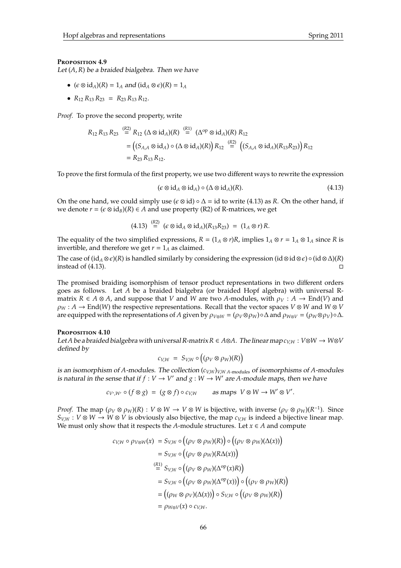### **P**roposition **4.9**

Let (*A*,*R*) be a braided bialgebra. Then we have

- $(\epsilon \otimes id_A)(R) = 1_A$  and  $(id_A \otimes \epsilon)(R) = 1_A$
- $R_{12} R_{13} R_{23} = R_{23} R_{13} R_{12}.$

*Proof.* To prove the second property, write

$$
R_{12} R_{13} R_{23} \stackrel{(R2)}{=} R_{12} (\Delta \otimes id_A)(R) \stackrel{(R1)}{=} (\Delta^{\rm op} \otimes id_A)(R) R_{12}
$$
  
=  $((S_{A,A} \otimes id_A) \circ (\Delta \otimes id_A)(R)) R_{12} \stackrel{(R2)}{=} ((S_{A,A} \otimes id_A)(R_{13}R_{23})) R_{12}$   
=  $R_{23} R_{13} R_{12}$ .

To prove the first formula of the first property, we use two different ways to rewrite the expression

$$
(\epsilon \otimes id_A \otimes id_A) \circ (\Delta \otimes id_A)(R). \tag{4.13}
$$

On the one hand, we could simply use  $(\epsilon \otimes id) \circ \Delta = id$  to write (4.13) as *R*. On the other hand, if we denote  $r = (\epsilon \otimes id_B)(R) \in A$  and use property (R2) of R-matrices, we get

$$
(4.13) \stackrel{(R2)}{=} (\epsilon \otimes id_A \otimes id_A)(R_{13}R_{23}) = (1_A \otimes r)R.
$$

The equality of the two simplified expressions,  $R = (1_A \otimes r)R$ , implies  $1_A \otimes r = 1_A \otimes 1_A$  since *R* is invertible, and therefore we get  $r = 1_A$  as claimed.

The case of  $(id_A \otimes \epsilon)(R)$  is handled similarly by considering the expression  $(id \otimes id \otimes \epsilon) \circ (id \otimes \Delta)(R)$ instead of (4.13).

The promised braiding isomorphism of tensor product representations in two different orders goes as follows. Let *A* be a braided bialgebra (or braided Hopf algebra) with universal Rmatrix  $R \in A \otimes A$ , and suppose that *V* and *W* are two *A*-modules, with  $\rho_V : A \to \text{End}(V)$  and  $\rho_W$ : *A*  $\rightarrow$  End(*W*) the respective representations. Recall that the vector spaces *V* ⊗ *W* and *W* ⊗ *V* are equipped with the representations of *A* given by  $\rho_{V\otimes W} = (\rho_V \otimes \rho_W) \circ \Delta$  and  $\rho_{W\otimes V} = (\rho_W \otimes \rho_V) \circ \Delta$ .

### **P**roposition **4.10**

Let *A* be a braided bialgebra with universal R-matrix  $R \in A \otimes A$ . The linear map  $c_{VW} : V \otimes W \rightarrow W \otimes V$ defined by

$$
c_{V,W} = S_{V,W} \circ ((\rho_V \otimes \rho_W)(R))
$$

is an isomorphism of *A*-modules. The collection (*cV*,*W*)*V*,*W A*-modules of isomorphisms of *A*-modules is natural in the sense that if  $f: V \to V'$  and  $g: W \to W'$  are A-module maps, then we have

$$
c_{V',W'} \circ (f \otimes g) = (g \otimes f) \circ c_{V,W} \quad \text{as maps } V \otimes W \to W' \otimes V'.
$$

*Proof.* The map  $(\rho_V \otimes \rho_W)(R) : V \otimes W \to V \otimes W$  is bijective, with inverse  $(\rho_V \otimes \rho_W)(R^{-1})$ . Since  $S_{V,W}: V \otimes W \to W \otimes V$  is obviously also bijective, the map  $c_{V,W}$  is indeed a bijective linear map. We must only show that it respects the *A*-module structures. Let  $x \in A$  and compute

$$
c_{V,W} \circ \rho_{V\otimes W}(x) = S_{V,W} \circ ((\rho_V \otimes \rho_W)(R)) \circ ((\rho_V \otimes \rho_W)(\Delta(x)))
$$
  
\n
$$
= S_{V,W} \circ ((\rho_V \otimes \rho_W)(R\Delta(x)))
$$
  
\n
$$
\stackrel{(R1)}{=} S_{V,W} \circ ((\rho_V \otimes \rho_W)(\Delta^{\text{op}}(x)R))
$$
  
\n
$$
= S_{V,W} \circ ((\rho_V \otimes \rho_W)(\Delta^{\text{op}}(x))) \circ ((\rho_V \otimes \rho_W)(R))
$$
  
\n
$$
= ((\rho_W \otimes \rho_V)(\Delta(x))) \circ S_{V,W} \circ ((\rho_V \otimes \rho_W)(R))
$$
  
\n
$$
= \rho_{W\otimes V}(x) \circ c_{V,W}.
$$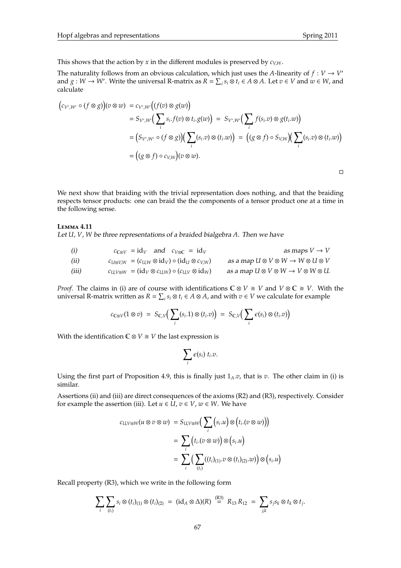This shows that the action by *x* in the different modules is preserved by  $c_{V,W}$ .

The naturality follows from an obvious calculation, which just uses the *A*-linearity of  $f: V \to V'$ and  $g: W \to W'$ . Write the universal R-matrix as  $R = \sum_i s_i \otimes t_i \in A \otimes A$ . Let  $v \in V$  and  $w \in W$ , and calculate

$$
(c_{V',W'} \circ (f \otimes g))(v \otimes w) = c_{V',W'}((f(v) \otimes g(w)))
$$
  
=  $S_{V',W'}(\sum_i s_i.f(v) \otimes t_i.g(w)) = S_{V',W'}(\sum_i f(s_i.v) \otimes g(t_i.w))$   
=  $(S_{V',W'} \circ (f \otimes g))(\sum_i (s_i.v) \otimes (t_i.w)) = ((g \otimes f) \circ S_{V,W})(\sum_i (s_i.v) \otimes (t_i.w))$   
=  $((g \otimes f) \circ c_{V,W})(v \otimes w).$ 

We next show that braiding with the trivial representation does nothing, and that the braiding respects tensor products: one can braid the the components of a tensor product one at a time in the following sense.

### **L**emma **4.11**

Let *U*, *V*, *W* be three representations of a braided bialgebra *A*. Then we have

| (i)   | $c_{\mathbb{C}\otimes V}$ = id <sub>V</sub> and $c_{V\otimes\mathbb{C}}$ = id <sub>V</sub> | as maps $V \rightarrow V$                                            |
|-------|--------------------------------------------------------------------------------------------|----------------------------------------------------------------------|
| (ii)  | $c_{U\otimes V,W} = (c_{U,W}\otimes id_V) \circ (id_U \otimes c_{V,W})$                    | as a map $U \otimes V \otimes W \rightarrow W \otimes U \otimes V$   |
| (iii) | $c_{U,V\otimes W} = (\mathrm{id}_V \otimes c_{U,W}) \circ (c_{U,V} \otimes \mathrm{id}_W)$ | as a map $U \otimes V \otimes W \rightarrow V \otimes W \otimes U$ . |

*Proof.* The claims in (i) are of course with identifications  $\mathbb{C} \otimes V \cong V$  and  $V \otimes \mathbb{C} \cong V$ . With the universal R-matrix written as  $R = \sum_i s_i \otimes t_i \in A \otimes A$ , and with  $v \in V$  we calculate for example

$$
c_{\mathbb{C}\otimes V}(1\otimes v) = S_{\mathbb{C},V}\big(\sum_i(s_i.1)\otimes (t_i.v)\big) = S_{\mathbb{C},V}\big(\sum_i \epsilon(s_i)\otimes (t_i.v)\big)
$$

With the identification  $C \otimes V \cong V$  the last expression is

$$
\sum_i \epsilon(s_i) \; t_i.v.
$$

Using the first part of Proposition 4.9, this is finally just 1*A*.*v*, that is *v*. The other claim in (i) is similar.

Assertions (ii) and (iii) are direct consequences of the axioms (R2) and (R3), respectively. Consider for example the assertion (iii). Let  $u \in \overline{U}$ ,  $v \in V$ ,  $w \in W$ . We have

$$
c_{U,V\otimes W}(u\otimes v\otimes w) = S_{U,V\otimes W}\Big(\sum_{i}\Big(s_{i}.u\Big)\otimes\Big(t_{i}.(v\otimes w)\Big)\Big)
$$
  

$$
= \sum_{i}\Big(t_{i}.(v\otimes w)\Big)\otimes\Big(s_{i}.u\Big)
$$
  

$$
= \sum_{i}\Big(\sum_{(t_{i})}((t_{i})_{(1)}.v\otimes (t_{i})_{(2)}.w)\Big)\otimes\Big(s_{i}.u\Big)
$$

Recall property (R3), which we write in the following form

$$
\sum_i \sum_{(t_i)} s_i \otimes (t_i)_{(1)} \otimes (t_i)_{(2)} = (\mathrm{id}_A \otimes \Delta)(R) \stackrel{\text{(R3)}}{=} R_{13} R_{12} = \sum_{j,k} s_j s_k \otimes t_k \otimes t_j.
$$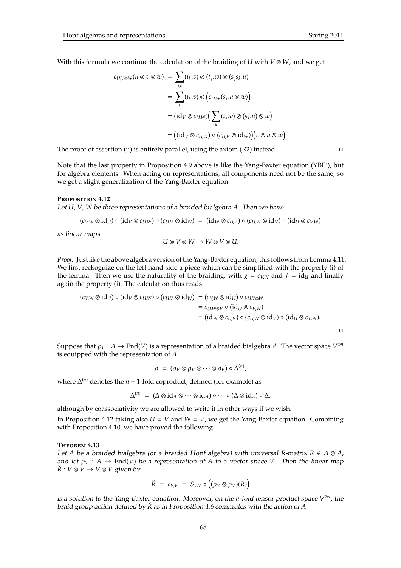$$
c_{U,V\otimes W}(u\otimes v\otimes w) = \sum_{j,k}(t_k.v)\otimes (t_j.w)\otimes (s_j s_k.u)
$$
  
= 
$$
\sum_k (t_k.v)\otimes (c_{U,W}(s_k.u\otimes w))
$$
  
= 
$$
(id_V\otimes c_{U,W})(\sum_k (t_k.v)\otimes (s_k.u)\otimes w)
$$
  
= 
$$
((id_V\otimes c_{U,W})\circ (c_{U,V}\otimes id_W))(v\otimes u\otimes w).
$$

The proof of assertion (ii) is entirely parallel, using the axiom  $(R2)$  instead.

Note that the last property in Proposition 4.9 above is like the Yang-Baxter equation (YBE'), but for algebra elements. When acting on representations, all components need not be the same, so we get a slight generalization of the Yang-Baxter equation.

### **P**roposition **4.12**

Let *U*, *V*, *W* be three representations of a braided bialgebra *A*. Then we have

$$
(c_{V,W}\otimes \mathrm{id}_U)\circ (\mathrm{id}_V\otimes c_{U,W})\circ (c_{U,V}\otimes \mathrm{id}_W) \;=\; (\mathrm{id}_W\otimes c_{U,V})\circ (c_{U,W}\otimes \mathrm{id}_V)\circ (\mathrm{id}_U\otimes c_{V,W})
$$

as linear maps

$$
U\otimes V\otimes W\to W\otimes V\otimes U.
$$

*Proof.* Just like the above algebra version of the Yang-Baxter equation, this follows from Lemma 4.11. We first reckognize on the left hand side a piece which can be simplified with the property (i) of the lemma. Then we use the naturality of the braiding, with  $g = c_{V/W}$  and  $f = id_U$  and finally again the property (i). The calculation thus reads

$$
(c_{V,W} \otimes id_{U}) \circ (id_{V} \otimes c_{U,W}) \circ (c_{U,V} \otimes id_{W}) = (c_{V,W} \otimes id_{U}) \circ c_{U,V \otimes W}
$$
  
=  $c_{U,W \otimes V} \circ (id_{U} \otimes c_{V,W})$   
=  $(id_{W} \otimes c_{U,V}) \circ (c_{U,W} \otimes id_{V}) \circ (id_{U} \otimes c_{V,W}).$ 

 $\Box$ 

Suppose that  $\rho_V : A \to \text{End}(V)$  is a representation of a braided bialgebra A. The vector space  $V^{\otimes n}$ is equipped with the representation of *A*

$$
\rho = (\rho_V \otimes \rho_V \otimes \cdots \otimes \rho_V) \circ \Delta^{(n)},
$$

where  $\Delta^{(n)}$  denotes the *n* − 1-fold coproduct, defined (for example) as

$$
\Delta^{(n)} \;=\; (\Delta \otimes \mathrm{id}_A \otimes \cdots \otimes \mathrm{id}_A) \circ \cdots \circ (\Delta \otimes \mathrm{id}_A) \circ \Delta,
$$

although by coassociativity we are allowed to write it in other ways if we wish.

In Proposition 4.12 taking also  $U = V$  and  $W = V$ , we get the Yang-Baxter equation. Combining with Proposition 4.10, we have proved the following.

### **T**heorem **4.13**

Let *A* be a braided bialgebra (or a braided Hopf algebra) with universal R-matrix *R* ∈ *A* ⊗ *A*, and let  $\rho_V : A \to \text{End}(V)$  be a representation of A in a vector space V. Then the linear map  $\check{R}: V \otimes V \to V \otimes V$  given by

$$
\check{R} = c_{V,V} = S_{V,V} \circ ((\rho_V \otimes \rho_V)(R))
$$

is a solution to the Yang-Baxter equation. Moreover, on the *n*-fold tensor product space *V* ⊗*n* , the braid group action defined by  $\tilde{R}$  as in Proposition 4.6 commutes with the action of A.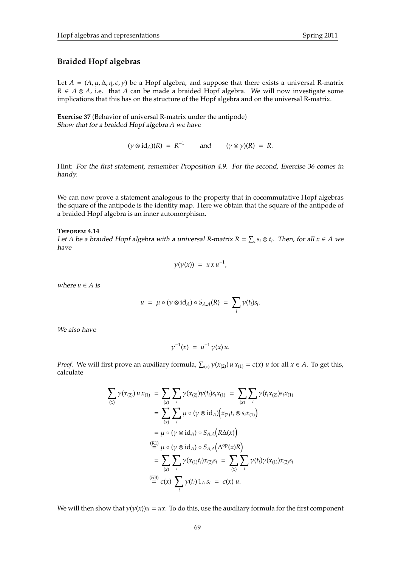### **Braided Hopf algebras**

Let  $A = (A, \mu, \Delta, \eta, \epsilon, \gamma)$  be a Hopf algebra, and suppose that there exists a universal R-matrix *R* ∈ *A* ⊗ *A*, i.e. that *A* can be made a braided Hopf algebra. We will now investigate some implications that this has on the structure of the Hopf algebra and on the universal R-matrix.

**Exercise 37** (Behavior of universal R-matrix under the antipode) Show that for a braided Hopf algebra *A* we have

 $(\gamma \otimes id_A)(R) = R^{-1}$  and  $(\gamma \otimes \gamma)(R) = R$ .

Hint: For the first statement, remember Proposition 4.9. For the second, Exercise 36 comes in handy.

We can now prove a statement analogous to the property that in cocommutative Hopf algebras the square of the antipode is the identity map. Here we obtain that the square of the antipode of a braided Hopf algebra is an inner automorphism.

### **T**heorem **4.14**

Let *A* be a braided Hopf algebra with a universal *R*-matrix  $R = \sum_i s_i \otimes t_i$ . Then, for all  $x \in A$  we have

$$
\gamma(\gamma(x)) = u \, x \, u^{-1},
$$

where  $u \in A$  is

$$
u = \mu \circ (\gamma \otimes id_A) \circ S_{A,A}(R) = \sum_i \gamma(t_i) s_i.
$$

We also have

$$
\gamma^{-1}(x) = u^{-1} \gamma(x) u.
$$

*Proof.* We will first prove an auxiliary formula,  $\sum_{(x)} \gamma(x_{(2)}) u x_{(1)} = \epsilon(x) u$  for all  $x \in A$ . To get this, calculate

$$
\sum_{(x)} \gamma(x_{(2)}) u x_{(1)} = \sum_{(x)} \sum_{i} \gamma(x_{(2)}) \gamma(t_i) s_i x_{(1)} = \sum_{(x)} \sum_{i} \gamma(t_i x_{(2)}) s_i x_{(1)}
$$
  
\n
$$
= \sum_{(x)} \sum_{i} \mu \circ (\gamma \otimes id_A) (x_{(2)} t_i \otimes s_i x_{(1)})
$$
  
\n
$$
= \mu \circ (\gamma \otimes id_A) \circ S_{A,A} (R \Delta(x))
$$
  
\n
$$
\stackrel{(R1)}{=} \mu \circ (\gamma \otimes id_A) \circ S_{A,A} (\Delta^{\text{op}}(x) R)
$$
  
\n
$$
= \sum_{(x)} \sum_{i} \gamma(x_{(1)} t_i) x_{(2)} s_i = \sum_{(x)} \sum_{i} \gamma(t_i) \gamma(x_{(1)}) x_{(2)} s_i
$$
  
\n
$$
\stackrel{(H3)}{=} \epsilon(x) \sum_{i} \gamma(t_i) 1_A s_i = \epsilon(x) u.
$$

We will then show that  $\gamma(\gamma(x))u = ux$ . To do this, use the auxiliary formula for the first component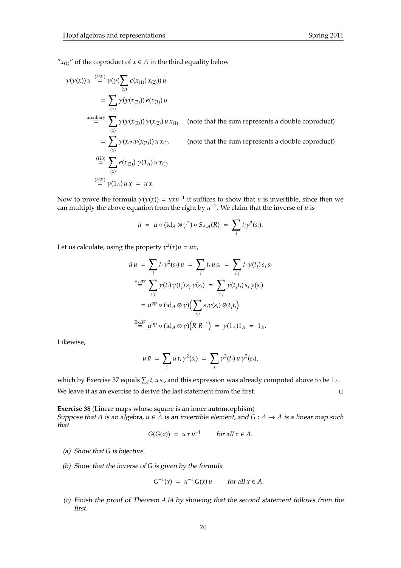" $x_{(1)}$ " of the coproduct of  $x \in A$  in the third equality below

$$
\gamma(\gamma(x)) u \stackrel{(H2')}{=} \gamma(\gamma(\sum_{(x)} \epsilon(x_{(1)}) x_{(2)})) u
$$
  
\n
$$
= \sum_{(x)} \gamma(\gamma(x_{(2)})) \epsilon(x_{(1)}) u
$$
  
\n
$$
\stackrel{\text{auxiliary}}{=} \sum_{(x)} \gamma(\gamma(x_{(3)})) \gamma(x_{(2)}) u x_{(1)}
$$
 (note that the sum represents a double coproduct)  
\n
$$
= \sum_{(x)} \gamma(x_{(2)} \gamma(x_{(3)})) u x_{(1)}
$$
 (note that the sum represents a double coproduct)  
\n
$$
\stackrel{(H3)}{=} \sum_{(x)} \epsilon(x_{(2)}) \gamma(1_A) u x_{(1)}
$$
  
\n
$$
\stackrel{(H2')}{=} \gamma(1_A) u x = u x.
$$

Now to prove the formula  $\gamma(\gamma(x)) = uxu^{-1}$  it suffices to show that *u* is invertible, since then we can multiply the above equation from the right by  $u^{-1}$ . We claim that the inverse of *u* is

$$
\tilde{u} = \mu \circ (\mathrm{id}_A \otimes \gamma^2) \circ S_{A,A}(R) = \sum_i t_i \gamma^2(s_i).
$$

Let us calculate, using the property  $\gamma^2(x)u = ux$ ,

$$
\tilde{u} u = \sum_{i} t_{i} \gamma^{2}(s_{i}) u = \sum_{i} t_{i} u s_{i} = \sum_{i,j} t_{i} \gamma(t_{j}) s_{j} s_{i}
$$
  
\n
$$
\stackrel{\text{Ex.37}}{=} \sum_{i,j} \gamma(t_{i}) \gamma(t_{j}) s_{j} \gamma(s_{i}) = \sum_{i,j} \gamma(t_{j} t_{i}) s_{j} \gamma(s_{i})
$$
  
\n
$$
= \mu^{\text{op}} \circ (\text{id}_{A} \otimes \gamma) \Big( \sum_{i,j} s_{j} \gamma(s_{i}) \otimes t_{j} t_{i} \Big)
$$
  
\n
$$
\stackrel{\text{Ex.37}}{=} \mu^{\text{op}} \circ (\text{id}_{A} \otimes \gamma) \Big( R R^{-1} \Big) = \gamma(1_{A}) 1_{A} = 1_{A}.
$$

Likewise,

$$
u\tilde{u} = \sum_i u t_i \gamma^2(s_i) = \sum_i \gamma^2(t_i) u \gamma^2(s_i),
$$

which by Exercise 37 equals  $\sum_i t_i u s_i$ , and this expression was already computed above to be  $1_A$ . We leave it as an exercise to derive the last statement from the first.

**Exercise 38** (Linear maps whose square is an inner automorphism)

Suppose that *A* is an algebra,  $u \in A$  is an invertible element, and  $G : A \rightarrow A$  is a linear map such that

$$
G(G(x)) = u x u^{-1} \qquad \text{for all } x \in A.
$$

- (a) Show that *G* is bijective.
- (b) Show that the inverse of *G* is given by the formula

$$
G^{-1}(x) = u^{-1} G(x) u \quad \text{for all } x \in A.
$$

(c) Finish the proof of Theorem 4.14 by showing that the second statement follows from the first.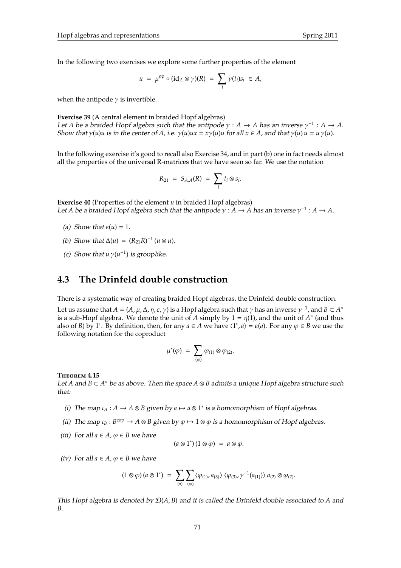In the following two exercises we explore some further properties of the element

$$
u = \mu^{\rm op} \circ (\mathrm{id}_A \otimes \gamma)(R) = \sum_i \gamma(t_i) s_i \in A,
$$

when the antipode  $\gamma$  is invertible.

**Exercise 39** (A central element in braided Hopf algebras) Let *A* be a braided Hopf algebra such that the antipode  $\gamma$  : *A* → *A* has an inverse  $\gamma^{-1}$  : *A* → *A*. Show that  $\gamma(u)u$  is in the center of *A*, i.e.  $\gamma(u)ux = x\gamma(u)u$  for all  $x \in A$ , and that  $\gamma(u)u = u\gamma(u)$ .

In the following exercise it's good to recall also Exercise 34, and in part (b) one in fact needs almost all the properties of the universal R-matrices that we have seen so far. We use the notation

$$
R_{21} = S_{A,A}(R) = \sum_i t_i \otimes s_i.
$$

**Exercise 40** (Properties of the element *u* in braided Hopf algebras) Let *A* be a braided Hopf algebra such that the antipode  $\gamma$  :  $A \to A$  has an inverse  $\gamma^{-1}$  :  $A \to A$ .

- (a) Show that  $\varepsilon(u) = 1$ .
- (*b*) Show that  $\Delta(u) = (R_{21}R)^{-1}$  ( $u \otimes u$ ).
- (c) Show that  $u \gamma(u^{-1})$  is grouplike.

## **4.3 The Drinfeld double construction**

There is a systematic way of creating braided Hopf algebras, the Drinfeld double construction.

Let us assume that  $A = (A, \mu, \Delta, \eta, \epsilon, \gamma)$  is a Hopf algebra such that  $\gamma$  has an inverse  $\gamma^{-1}$ , and  $B \subset A^{\circ}$ is a sub-Hopf algebra. We denote the unit of *A* simply by  $1 = \eta(1)$ , and the unit of *A*<sup>°</sup> (and thus also of *B*) by 1<sup>\*</sup>. By definition, then, for any  $a \in A$  we have  $\langle 1^*, a \rangle = \epsilon(a)$ . For any  $\varphi \in B$  we use the following notation for the coproduct

$$
\mu^*(\varphi) \ = \ \sum_{(\varphi)} \varphi_{(1)} \otimes \varphi_{(2)}.
$$

**T**heorem **4.15**

Let *A* and *B* ⊂ *A* ◦ be as above. Then the space *A* ⊗ *B* admits a unique Hopf algebra structure such that:

- (i) The map  $\iota_A : A \to A \otimes B$  given by  $a \mapsto a \otimes 1^*$  is a homomorphism of Hopf algebras.
- (ii) The map  $\iota_B : B^{\text{cop}} \to A \otimes B$  given by  $\varphi \mapsto 1 \otimes \varphi$  is a homomorphism of Hopf algebras.
- (iii) For all  $a \in A$ ,  $\varphi \in B$  we have

$$
(a\otimes 1^*)(1\otimes \varphi) = a\otimes \varphi.
$$

(iv) For all  $a \in A$ ,  $\varphi \in B$  we have

$$
(1 \otimes \varphi) (a \otimes 1^*) = \sum_{(a)} \sum_{(\varphi)} \langle \varphi_{(1)}, a_{(3)} \rangle \langle \varphi_{(3)}, \gamma^{-1}(a_{(1)}) \rangle a_{(2)} \otimes \varphi_{(2)}.
$$

This Hopf algebra is denoted by D(*A*, *B*) and it is called the Drinfeld double associated to *A* and *B*.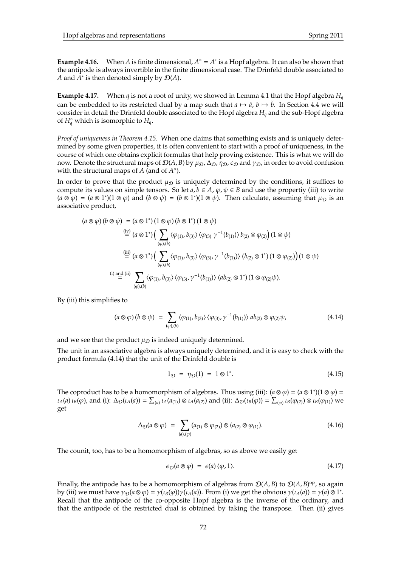**Example 4.16.** When *A* is finite dimensional,  $A^{\circ} = A^*$  is a Hopf algebra. It can also be shown that the antipode is always invertible in the finite dimensional case. The Drinfeld double associated to *A* and  $\overline{A}^*$  is then denoted simply by  $\mathcal{D}(A)$ .

**Example 4.17.** When *q* is not a root of unity, we showed in Lemma 4.1 that the Hopf algebra  $H_q$ can be embedded to its restricted dual by a map such that  $a \mapsto \tilde{a}$ ,  $b \mapsto \tilde{b}$ . In Section 4.4 we will consider in detail the Drinfeld double associated to the Hopf algebra *H<sup>q</sup>* and the sub-Hopf algebra of  $H_q^{\circ}$  which is isomorphic to  $H_q$ .

*Proof of uniqueness in Theorem 4.15.* When one claims that something exists and is uniquely determined by some given properties, it is often convenient to start with a proof of uniqueness, in the course of which one obtains explicit formulas that help proving existence. This is what we will do now. Denote the structural maps of  $\mathcal{D}(A, B)$  by  $\mu_D$ ,  $\Delta_D$ ,  $\eta_D$ ,  $\epsilon_D$  and  $\gamma_D$ , in order to avoid confusion with the structural maps of *A* (and of *A*<sup>o</sup>).

In order to prove that the product  $\mu_{\mathcal{D}}$  is uniquely determined by the conditions, it suffices to compute its values on simple tensors. So let  $a, b \in A$ ,  $\varphi, \psi \in B$  and use the propertiy (iii) to write  $(a \otimes \phi) = (a \otimes 1^*)(1 \otimes \phi)$  and  $(b \otimes \psi) = (b \otimes 1^*)(1 \otimes \psi)$ . Then calculate, assuming that  $\mu_{\mathcal{D}}$  is an associative product,

$$
(a \otimes \varphi) (b \otimes \psi) = (a \otimes 1^*)(1 \otimes \varphi) (b \otimes 1^*)(1 \otimes \psi)
$$
  
\n
$$
\stackrel{\text{(iv)}}{=} (a \otimes 1^*)(\sum_{(\varphi),(b)} \langle \varphi_{(1)}, b_{(3)} \rangle \langle \varphi_{(3)} \gamma^{-1}(b_{(1)}) \rangle b_{(2)} \otimes \varphi_{(2)} (1 \otimes \psi)
$$
  
\n
$$
\stackrel{\text{(iii)}}{=} (a \otimes 1^*)(\sum_{(\varphi),(b)} \langle \varphi_{(1)}, b_{(3)} \rangle \langle \varphi_{(3)}, \gamma^{-1}(b_{(1)}) \rangle (b_{(2)} \otimes 1^*)(1 \otimes \varphi_{(2)}) (1 \otimes \psi)
$$
  
\n(i) and (ii)  
\n
$$
\sum_{(\varphi),(b)} \langle \varphi_{(1)}, b_{(3)} \rangle \langle \varphi_{(3)}, \gamma^{-1}(b_{(1)}) \rangle (ab_{(2)} \otimes 1^*)(1 \otimes \varphi_{(2)} \psi).
$$

By (iii) this simplifies to

$$
(a \otimes \varphi) (b \otimes \psi) = \sum_{(\varphi), (b)} \langle \varphi_{(1)}, b_{(3)} \rangle \langle \varphi_{(3)}, \gamma^{-1}(b_{(1)}) \rangle \, ab_{(2)} \otimes \varphi_{(2)} \psi, \tag{4.14}
$$

and we see that the product  $\mu_{\mathcal{D}}$  is indeed uniquely determined.

The unit in an associative algebra is always uniquely determined, and it is easy to check with the product formula (4.14) that the unit of the Drinfeld double is

$$
1_{\mathcal{D}} = \eta_{\mathcal{D}}(1) = 1 \otimes 1^*.
$$
 (4.15)

The coproduct has to be a homomorphism of algebras. Thus using (iii):  $(a \otimes \varphi) = (a \otimes 1^*)(1 \otimes \varphi) =$  $\iota_A(a)\iota_B(\varphi)$ , and (i):  $\Delta_{\mathcal{D}}(\iota_A(a)) = \sum_{(a)} \iota_A(a_{(1)}) \otimes \iota_A(a_{(2)})$  and (ii):  $\Delta_{\mathcal{D}}(\iota_B(\varphi)) = \sum_{(\varphi)} \iota_B(\varphi_{(2)}) \otimes \iota_B(\varphi_{(1)})$  we get

$$
\Delta_{\mathcal{D}}(a\otimes\varphi) = \sum_{(a),( \varphi)} (a_{(1)}\otimes\varphi_{(2)}) \otimes (a_{(2)}\otimes\varphi_{(1)}). \tag{4.16}
$$

The counit, too, has to be a homomorphism of algebras, so as above we easily get

$$
\epsilon_{\mathcal{D}}(a\otimes\varphi) = \epsilon(a)\langle\varphi,1\rangle. \tag{4.17}
$$

Finally, the antipode has to be a homomorphism of algebras from  $\mathcal{D}(A, B)$  to  $\mathcal{D}(A, B)$ <sup>op</sup>, so again by (iii) we must have  $\gamma_{\mathcal{D}}(a\otimes \varphi) = \gamma(\iota_B(\varphi))\gamma(\iota_A(a))$ . From (i) we get the obvious  $\gamma(\iota_A(a)) = \gamma(a)\otimes 1^*$ . Recall that the antipode of the co-opposite Hopf algebra is the inverse of the ordinary, and that the antipode of the restricted dual is obtained by taking the transpose. Then (ii) gives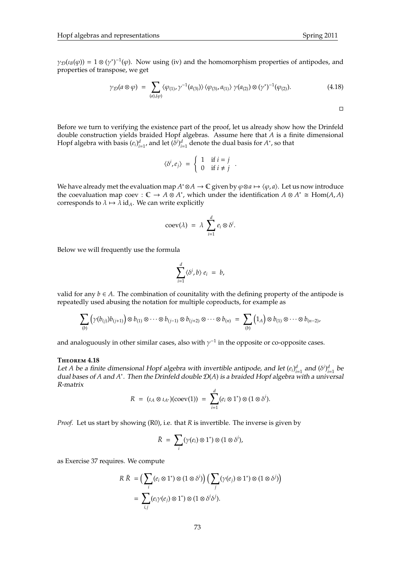$\Box$ 

 $\gamma_{\mathcal{D}}(\iota_{\mathcal{B}}(\varphi)) = 1 \otimes (\gamma^*)^{-1}(\varphi)$ . Now using (iv) and the homomorphism properties of antipodes, and properties of transpose, we get

$$
\gamma_{\mathcal{D}}(a\otimes\varphi) \;=\; \sum_{(a),( \varphi)} \langle \varphi_{(1)},\gamma^{-1}(a_{(3)})\rangle \langle \varphi_{(3)},a_{(1)}\rangle \; \gamma(a_{(2)}) \otimes (\gamma^*)^{-1}(\varphi_{(2)}). \tag{4.18}
$$

Before we turn to verifying the existence part of the proof, let us already show how the Drinfeld double construction yields braided Hopf algebras. Assume here that *A* is a finite dimensional Hopf algebra with basis  $(e_i)_{i=1}^d$ , and let  $(\delta^i)_{i=1}^d$  denote the dual basis for  $A^*$ , so that

$$
\langle \delta^i, e_j \rangle = \begin{cases} 1 & \text{if } i = j \\ 0 & \text{if } i \neq j \end{cases}.
$$

*We have already met the evaluation map <i>A*\*⊗*A* → **C** given by  $\varphi$ ⊗*a* →  $\langle \varphi, a \rangle$ . Let us now introduce the coevaluation map coev :  $\mathbb{C} \to A \otimes A^*$ , which under the identification  $A \otimes A^* \cong \text{Hom}(A, A)$ corresponds to  $\lambda \mapsto \bar{\lambda}$  id<sub>A</sub>. We can write explicitly

$$
coev(\lambda) = \lambda \sum_{i=1}^d e_i \otimes \delta^i.
$$

Below we will frequently use the formula

$$
\sum_{i=1}^d \langle \delta^i, b \rangle e_i = b,
$$

valid for any  $b \in A$ . The combination of counitality with the defining property of the antipode is repeatedly used abusing the notation for multiple coproducts, for example as

$$
\sum_{(b)} \left( \gamma(b_{(j)}) b_{(j+1)} \right) \otimes b_{(1)} \otimes \cdots \otimes b_{(j-1)} \otimes b_{(j+2)} \otimes \cdots \otimes b_{(n)} = \sum_{(b)} \left( 1_A \right) \otimes b_{(1)} \otimes \cdots \otimes b_{(n-2)},
$$

and analoguously in other similar cases, also with  $\gamma^{-1}$  in the opposite or co-opposite cases.

### **T**heorem **4.18**

Let *A* be a finite dimensional Hopf algebra with invertible antipode, and let  $(e_i)_{i=1}^d$  and  $(\delta^i)_{i=1}^d$  be dual bases of *A* and *A* ∗ . Then the Drinfeld double D(*A*) is a braided Hopf algebra with a universal R-matrix

$$
R = (\iota_A \otimes \iota_{A^*})(\mathrm{coev}(1)) = \sum_{i=1}^d (e_i \otimes 1^*) \otimes (1 \otimes \delta^i).
$$

*Proof.* Let us start by showing (R0), i.e. that *R* is invertible. The inverse is given by

$$
\bar{R} = \sum_i (\gamma(e_i) \otimes 1^*) \otimes (1 \otimes \delta^i),
$$

as Exercise 37 requires. We compute

$$
R \ \bar{R} = \left( \sum_{i} (e_i \otimes 1^*) \otimes (1 \otimes \delta^i) \right) \left( \sum_{j} (\gamma(e_j) \otimes 1^*) \otimes (1 \otimes \delta^j) \right)
$$

$$
= \sum_{i,j} (e_i \gamma(e_j) \otimes 1^*) \otimes (1 \otimes \delta^i \delta^j).
$$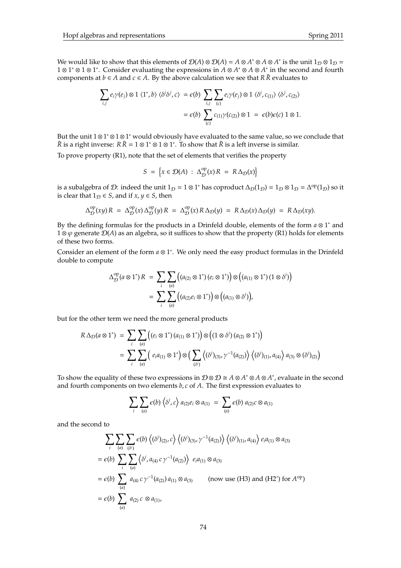We would like to show that this elements of  $\mathcal{D}(A) \otimes \mathcal{D}(A) = A \otimes A^* \otimes A \otimes A^*$  is the unit  $1_{\mathcal{D}} \otimes 1_{\mathcal{D}} = A$ 1 ⊗ 1<sup>\*</sup> ⊗ 1 ⊗ 1<sup>\*</sup>. Consider evaluating the expressions in  $\hat{A} \otimes A^* \otimes A \otimes A^*$  in the second and fourth components at *b* ∈ *A* and *c* ∈ *A*. By the above calculation we see that *R*  $\overline{R}$  evaluates to

$$
\sum_{i,j} e_i \gamma(e_j) \otimes 1 \langle 1^*, b \rangle \langle \delta^i \delta^j, c \rangle = \epsilon(b) \sum_{i,j} \sum_{(c)} e_i \gamma(e_j) \otimes 1 \langle \delta^i, c_{(1)} \rangle \langle \delta^j, c_{(2)} \rangle
$$
  
=  $\epsilon(b) \sum_{(c)} c_{(1)} \gamma(c_{(2)}) \otimes 1 = \epsilon(b) \epsilon(c) 1 \otimes 1.$ 

But the unit 1⊗1<sup>\*</sup>⊗1⊗1<sup>\*</sup> would obviously have evaluated to the same value, so we conclude that *R* is a right inverse: *R*  $\bar{R}$  = 1 ⊗ 1<sup>\*</sup> ⊗ 1 ⊗ 1<sup>\*</sup>. To show that  $\bar{R}$  is a left inverse is similar.

To prove property (R1), note that the set of elements that verifies the property

$$
S = \left\{ x \in \mathcal{D}(A) : \Delta_{\mathcal{D}}^{\mathrm{op}}(x) R = R \Delta_{\mathcal{D}}(x) \right\}
$$

is a subalgebra of D: indeed the unit  $1_D = 1 \otimes 1^*$  has coproduct  $\Delta_D(1_D) = 1_D \otimes 1_D = \Delta^{op}(1_D)$  so it is clear that  $1_{\mathcal{D}} \in S$ , and if  $x, y \in S$ , then

$$
\Delta_{\mathcal{D}}^{\text{op}}(xy) R = \Delta_{\mathcal{D}}^{\text{op}}(x) \Delta_{\mathcal{D}}^{\text{op}}(y) R = \Delta_{\mathcal{D}}^{\text{op}}(x) R \Delta_{\mathcal{D}}(y) = R \Delta_{\mathcal{D}}(x) \Delta_{\mathcal{D}}(y) = R \Delta_{\mathcal{D}}(xy).
$$

By the defining formulas for the products in a Drinfeld double, elements of the form *a* ⊗ 1 <sup>∗</sup> and  $1 \otimes \varphi$  generate  $\mathcal{D}(A)$  as an algebra, so it suffices to show that the property (R1) holds for elements of these two forms.

Consider an element of the form *a* ⊗ 1 ∗ . We only need the easy product formulas in the Drinfeld double to compute

$$
\Delta_{\mathcal{D}}^{\mathrm{op}}(a\otimes 1^{*})R = \sum_{i}\sum_{(a)} \left( (a_{(2)}\otimes 1^{*}) (e_{i}\otimes 1^{*}) \right) \otimes \left( (a_{(1)}\otimes 1^{*}) (1\otimes \delta^{i}) \right)
$$

$$
= \sum_{i}\sum_{(a)} \left( (a_{(2)}e_{i}\otimes 1^{*}) \right) \otimes \left( (a_{(1)}\otimes \delta^{i}) \right),
$$

but for the other term we need the more general products

$$
R \Delta_{\mathcal{D}}(a \otimes 1^*) = \sum_{i} \sum_{(a)} \left( (e_i \otimes 1^*) (a_{(1)} \otimes 1^*) \right) \otimes \left( (1 \otimes \delta^i) (a_{(2)} \otimes 1^*) \right)
$$
  
= 
$$
\sum_{i} \sum_{(a)} \left( e_i a_{(1)} \otimes 1^* \right) \otimes \left( \sum_{(\delta^i)} \left\langle (\delta^i)_{(3)}, \gamma^{-1} (a_{(2)}) \right\rangle \left\langle (\delta^i)_{(1)}, a_{(4)} \right\rangle a_{(3)} \otimes (\delta^i)_{(2)} \right)
$$

To show the equality of these two expressions in  $\mathcal{D} \otimes \mathcal{D} \cong A \otimes A^* \otimes A \otimes A^*$ , evaluate in the second and fourth components on two elements *b*, *c* of *A*. The first expression evaluates to

$$
\sum_{i}\sum_{(a)}\epsilon(b)\langle\delta^i,c\rangle a_{(2)}e_i\otimes a_{(1)}\ =\ \sum_{(a)}\epsilon(b)\,a_{(2)}c\otimes a_{(1)}
$$

and the second to

$$
\sum_{i} \sum_{(a)} \sum_{(\delta^{i})} \epsilon(b) \langle (\delta^{i})_{(2)}, c \rangle \langle (\delta^{i})_{(3)}, \gamma^{-1}(a_{(2)}) \rangle \langle (\delta^{i})_{(1)}, a_{(4)} \rangle e_i a_{(1)} \otimes a_{(3)}
$$
  
=  $\epsilon(b) \sum_{i} \sum_{(a)} \langle \delta^{i}, a_{(4)} c \gamma^{-1}(a_{(2)}) \rangle e_i a_{(1)} \otimes a_{(3)}$   
=  $\epsilon(b) \sum_{(a)} a_{(4)} c \gamma^{-1}(a_{(2)}) a_{(1)} \otimes a_{(3)}$  (now use (H3) and (H2') for  $A^{\text{op}}$ )  
=  $\epsilon(b) \sum_{(a)} a_{(2)} c \otimes a_{(1)},$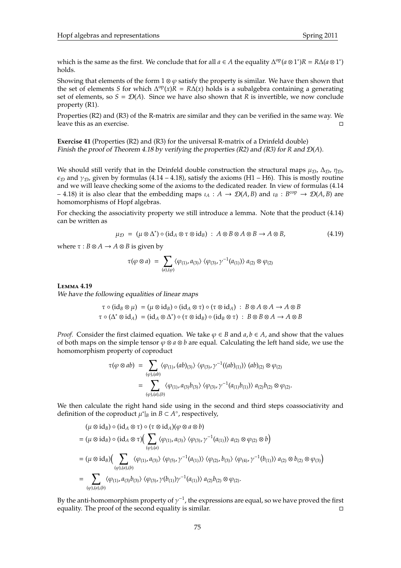which is the same as the first. We conclude that for all  $a \in A$  the equality  $\Delta^{op}(a \otimes 1^*)R = R\Delta(a \otimes 1^*)$ holds.

Showing that elements of the form  $1 \otimes \varphi$  satisfy the property is similar. We have then shown that the set of elements *S* for which  $\Delta^{op}(x)R = R\Delta(x)$  holds is a subalgebra containing a generating set of elements, so  $S = \mathcal{D}(A)$ . Since we have also shown that *R* is invertible, we now conclude property (R1).

Properties (R2) and (R3) of the R-matrix are similar and they can be verified in the same way. We leave this as an exercise.

**Exercise 41** (Properties (R2) and (R3) for the universal R-matrix of a Drinfeld double) Finish the proof of Theorem 4.18 by verifying the properties (R2) and (R3) for *R* and D(*A*).

We should still verify that in the Drinfeld double construction the structural maps  $\mu_D$ ,  $\Delta_D$ ,  $\eta_D$ ,  $\varepsilon_{\mathcal{D}}$  and  $\gamma_{\mathcal{D}}$ , given by formulas (4.14 – 4.18), satisfy the axioms (H1 – H6). This is mostly routine and we will leave checking some of the axioms to the dedicated reader. In view of formulas (4.14  $-$  4.18) it is also clear that the embedding maps  $\iota_A : A \to \mathcal{D}(A, B)$  and  $\iota_B : B^{cop} \to \mathcal{D}(A, B)$  are homomorphisms of Hopf algebras.

For checking the associativity property we still introduce a lemma. Note that the product (4.14) can be written as

$$
\mu_{\mathcal{D}} = (\mu \otimes \Delta^*) \circ (\mathrm{id}_A \otimes \tau \otimes \mathrm{id}_B) : A \otimes B \otimes A \otimes B \to A \otimes B, \tag{4.19}
$$

where  $\tau$  :  $B \otimes A \rightarrow A \otimes B$  is given by

$$
\tau(\varphi\otimes a)\;=\;\sum_{(a),( \varphi)} \langle \varphi_{(1)}, a_{(3)}\rangle\; \langle \varphi_{(3)}, \gamma^{-1}(a_{(1)})\rangle\; a_{(2)}\otimes \varphi_{(2)}
$$

**L**emma **4.19** We have the following equalities of linear maps

$$
\tau \circ (\mathrm{id}_B \otimes \mu) = (\mu \otimes \mathrm{id}_B) \circ (\mathrm{id}_A \otimes \tau) \circ (\tau \otimes \mathrm{id}_A) : B \otimes A \otimes A \to A \otimes B
$$
  

$$
\tau \circ (\Delta^* \otimes \mathrm{id}_A) = (\mathrm{id}_A \otimes \Delta^*) \circ (\tau \otimes \mathrm{id}_B) \circ (\mathrm{id}_B \otimes \tau) : B \otimes B \otimes A \to A \otimes B
$$

*Proof.* Consider the first claimed equation. We take  $\varphi \in B$  and  $a, b \in A$ , and show that the values of both maps on the simple tensor  $\varphi \otimes a \otimes b$  are equal. Calculating the left hand side, we use the homomorphism property of coproduct

$$
\tau(\varphi \otimes ab) = \sum_{(\varphi),(ab)} \langle \varphi_{(1)}, (ab)_{(3)} \rangle \langle \varphi_{(3)}, \gamma^{-1}((ab)_{(1)}) \rangle (ab)_{(2)} \otimes \varphi_{(2)}
$$
  
= 
$$
\sum_{(\varphi),(a),(b)} \langle \varphi_{(1)}, a_{(3)}b_{(3)} \rangle \langle \varphi_{(3)}, \gamma^{-1}(a_{(1)}b_{(1)}) \rangle a_{(2)}b_{(2)} \otimes \varphi_{(2)}.
$$

We then calculate the right hand side using in the second and third steps coassociativity and definition of the coproduct  $\mu^*|_B$  in  $B \subset A^\circ$ , respectively,

$$
(\mu \otimes id_B) \circ (id_A \otimes \tau) \circ (\tau \otimes id_A)(\varphi \otimes a \otimes b)
$$
  
= 
$$
(\mu \otimes id_B) \circ (id_A \otimes \tau) \Big( \sum_{(\varphi),(\alpha)} \langle \varphi_{(1)}, a_{(3)} \rangle \langle \varphi_{(3)}, \gamma^{-1}(a_{(1)}) \rangle a_{(2)} \otimes \varphi_{(2)} \otimes b \Big)
$$
  
= 
$$
(\mu \otimes id_B) \Big( \sum_{(\varphi),(\alpha),(\beta)} \langle \varphi_{(1)}, a_{(3)} \rangle \langle \varphi_{(5)}, \gamma^{-1}(a_{(1)}) \rangle \langle \varphi_{(2)}, b_{(3)} \rangle \langle \varphi_{(4)}, \gamma^{-1}(b_{(1)}) \rangle a_{(2)} \otimes b_{(2)} \otimes \varphi_{(3)} \Big)
$$
  
= 
$$
\sum_{(\varphi),(\alpha),(\beta)} \langle \varphi_{(1)}, a_{(3)}b_{(3)} \rangle \langle \varphi_{(3)}, \gamma(b_{(1)}) \gamma^{-1}(a_{(1)}) \rangle a_{(2)}b_{(2)} \otimes \varphi_{(2)}.
$$

By the anti-homomorphism property of  $\gamma^{-1}$ , the expressions are equal, so we have proved the first equality. The proof of the second equality is similar.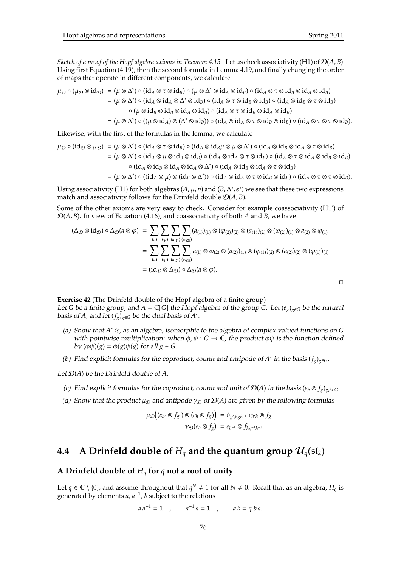*Sketch of a proof of the Hopf algebra axioms in Theorem 4.15.* Let us check associativity (H1) of  $\mathcal{D}(A, B)$ . Using first Equation (4.19), then the second formula in Lemma 4.19, and finally changing the order of maps that operate in different components, we calculate

$$
\mu_{\mathcal{D}} \circ (\mu_{\mathcal{D}} \otimes id_{\mathcal{D}}) = (\mu \otimes \Delta^*) \circ (id_A \otimes \tau \otimes id_B) \circ (\mu \otimes \Delta^* \otimes id_A \otimes id_B) \circ (id_A \otimes \tau \otimes id_B \otimes id_A \otimes id_B)
$$
  
\n
$$
= (\mu \otimes \Delta^*) \circ (id_A \otimes id_A \otimes \Delta^* \otimes id_B) \circ (id_A \otimes \tau \otimes id_B \otimes id_B) \circ (id_A \otimes id_B \otimes \tau \otimes id_B)
$$
  
\n
$$
\circ (\mu \otimes id_B \otimes id_B \otimes id_A \otimes id_B) \circ (id_A \otimes \tau \otimes id_B \otimes id_A \otimes id_B)
$$
  
\n
$$
= (\mu \otimes \Delta^*) \circ ((\mu \otimes id_A) \otimes (\Delta^* \otimes id_B)) \circ (id_A \otimes id_A \otimes \tau \otimes id_B \otimes id_B) \circ (id_A \otimes \tau \otimes \tau \otimes id_B).
$$

Likewise, with the first of the formulas in the lemma, we calculate

$$
\mu_{\mathcal{D}} \circ (\mathrm{id}_{\mathcal{D}} \otimes \mu_{\mathcal{D}}) = (\mu \otimes \Delta^*) \circ (\mathrm{id}_{A} \otimes \tau \otimes \mathrm{id}_{B}) \circ (\mathrm{id}_{A} \otimes \mathrm{id}_{B} \mu \otimes \mu \otimes \Delta^*) \circ (\mathrm{id}_{A} \otimes \mathrm{id}_{B} \otimes \mathrm{id}_{A} \otimes \tau \otimes \mathrm{id}_{B})
$$
  
\n
$$
= (\mu \otimes \Delta^*) \circ (\mathrm{id}_{A} \otimes \mu \otimes \mathrm{id}_{B} \otimes \mathrm{id}_{B}) \circ (\mathrm{id}_{A} \otimes \tau \otimes \mathrm{id}_{B}) \circ (\mathrm{id}_{A} \otimes \tau \otimes \mathrm{id}_{A} \otimes \mathrm{id}_{B} \otimes \mathrm{id}_{B})
$$
  
\n
$$
\circ (\mathrm{id}_{A} \otimes \mathrm{id}_{B} \otimes \mathrm{id}_{A} \otimes \mathrm{id}_{A} \otimes \Delta^*) \circ (\mathrm{id}_{A} \otimes \mathrm{id}_{B} \otimes \mathrm{id}_{A} \otimes \tau \otimes \mathrm{id}_{B})
$$
  
\n
$$
= (\mu \otimes \Delta^*) \circ ((\mathrm{id}_{A} \otimes \mu) \otimes (\mathrm{id}_{B} \otimes \Delta^*)) \circ (\mathrm{id}_{A} \otimes \mathrm{id}_{A} \otimes \tau \otimes \mathrm{id}_{B} \otimes \mathrm{id}_{B}) \circ (\mathrm{id}_{A} \otimes \tau \otimes \tau \otimes \mathrm{id}_{B}).
$$

Using associativity (H1) for both algebras  $(A, \mu, \eta)$  and  $(B, \Delta^*, \epsilon^*)$  we see that these two expressions match and associativity follows for the Drinfeld double D(*A*, *B*).

Some of the other axioms are very easy to check. Consider for example coassociativity (H1') of D(*A*, *B*). In view of Equation (4.16), and coassociativity of both *A* and *B*, we have

$$
(\Delta_{\mathcal{D}} \otimes id_{\mathcal{D}}) \circ \Delta_{\mathcal{D}}(a \otimes \varphi) = \sum_{(a)} \sum_{(\varphi)} \sum_{(a_{(1)})} \sum_{(\varphi_{(2)})} (a_{(1)})_{(1)} \otimes (\varphi_{(2)})_{(2)} \otimes (a_{(1)})_{(2)} \otimes (\varphi_{(2)})_{(1)} \otimes a_{(2)} \otimes \varphi_{(1)}
$$
  

$$
= \sum_{(a)} \sum_{(\varphi)} \sum_{(\varphi_{(a)})} \sum_{(\varphi_{(1)})} a_{(1)} \otimes \varphi_{(2)} \otimes (a_{(2)})_{(1)} \otimes (\varphi_{(1)})_{(2)} \otimes (a_{(2)})_{(2)} \otimes (\varphi_{(1)})_{(1)}
$$
  

$$
= (id_{\mathcal{D}} \otimes \Delta_{\mathcal{D}}) \circ \Delta_{\mathcal{D}}(a \otimes \varphi).
$$

 $\Box$ 

**Exercise 42** (The Drinfeld double of the Hopf algebra of a finite group) Let *G* be a finite group, and *A* =  $\mathbb{C}[G]$  the Hopf algebra of the group *G*. Let  $(e_g)_{g \in G}$  be the natural basis of *A*, and let  $(f_g)_{g \in G}$  be the dual basis of  $A^*$ .

- (a) Show that *A* ∗ is, as an algebra, isomorphic to the algebra of complex valued functions on *G* with pointwise multiplication: when  $\phi$ ,  $\psi$  :  $G \to \mathbb{C}$ , the product  $\phi \psi$  is the function defined by  $(\phi \psi)(g) = \phi(g)\psi(g)$  for all  $g \in G$ .
- (b) Find explicit formulas for the coproduct, counit and antipode of  $A^*$  in the basis ( $f_g$ )<sub> $g \in G$ </sub>.

Let D(*A*) be the Drinfeld double of *A*.

- (c) Find explicit formulas for the coproduct, counit and unit of  $\mathcal{D}(A)$  in the basis ( $e_h \otimes f_g$ )<sub>*g*,*h*∈*G*.</sub>
- (d) Show that the product  $\mu_D$  and antipode  $\gamma_D$  of  $\mathcal{D}(A)$  are given by the following formulas

$$
\begin{aligned} \mu_{\mathcal{D}}\big((e_{h'}\otimes f_{g'})\otimes (e_h\otimes f_g)\big) \,&=\delta_{g',hgh^{-1}}\ e_{h'h}\otimes f_g\\ \gamma_{\mathcal{D}}(e_h\otimes f_g) \,&=e_{h^{-1}}\otimes f_{hg^{-1}h^{-1}}. \end{aligned}
$$

# **4.4** A Drinfeld double of  $H_q$  and the quantum group  $\mathcal{U}_q(\mathfrak{sl}_2)$

# **A Drinfeld double of** *H<sup>q</sup>* **for** *q* **not a root of unity**

Let  $q \in \mathbb{C} \setminus \{0\}$ , and assume throughout that  $q^N \neq 1$  for all  $N \neq 0$ . Recall that as an algebra,  $H_q$  is generated by elements  $a$ ,  $a^{-1}$ ,  $b$  subject to the relations

$$
aa^{-1}=1\quad,\qquad a^{-1}a=1\quad,\qquad ab=q\,ba.
$$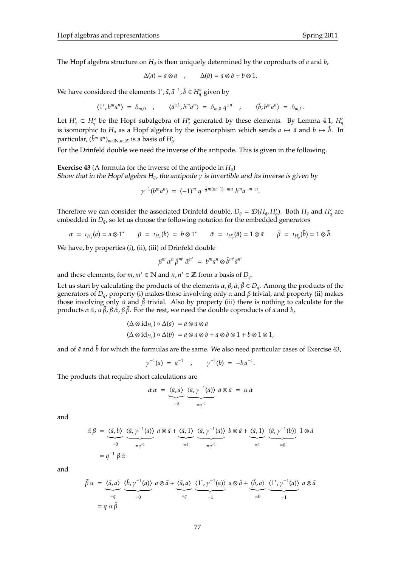The Hopf algebra structure on *H<sup>q</sup>* is then uniquely determined by the coproducts of *a* and *b*,

$$
\Delta(a) = a \otimes a \quad , \qquad \Delta(b) = a \otimes b + b \otimes 1.
$$

We have considered the elements  $1^*$ ,  $\tilde{a}$ ,  $\tilde{a}^{-1}$ ,  $\tilde{b} \in H_q^{\circ}$  given by

$$
\langle 1^*, b^m a^n \rangle = \delta_{m,0} \quad , \qquad \langle \tilde{a}^{\pm 1}, b^m a^n \rangle = \delta_{m,0} q^{\pm n} \quad , \qquad \langle \tilde{b}, b^m a^n \rangle = \delta_{m,1}.
$$

Let  $H'_q \subset H_q^{\circ}$  be the Hopf subalgebra of  $H_q^{\circ}$  generated by these elements. By Lemma 4.1,  $H'_q$ is isomorphic to  $H_q$  as a Hopf algebra by the isomorphism which sends  $a \mapsto \tilde{a}$  and  $b \mapsto \tilde{b}$ . In particular,  $(\tilde{b}^m \tilde{a}^n)_{m \in \mathbb{N}, n \in \mathbb{Z}}$  is a basis of  $H'_q$ .

For the Drinfeld double we need the inverse of the antipode. This is given in the following.

**Exercise 43** (A formula for the inverse of the antipode in *Hq*) Show that in the Hopf algebra  $H<sub>q</sub>$ , the antipode  $\gamma$  is invertible and its inverse is given by

$$
\gamma^{-1}(b^m a^n) = (-1)^m q^{-\frac{1}{2}m(m-1)-mn} b^m a^{-m-n}.
$$

Therefore we can consider the associated Drinfeld double,  $D_q = \mathcal{D}(H_q, H_q')$ . Both  $H_q$  and  $H_q'$  are embedded in *Dq*, so let us choose the following notation for the embedded generators

$$
\alpha = \iota_{H_q}(a) = a \otimes 1^* \qquad \beta = \iota_{H_q}(b) = b \otimes 1^* \qquad \tilde{\alpha} = \iota_{H'_q}(\tilde{a}) = 1 \otimes \tilde{a} \qquad \tilde{\beta} = \iota_{H'_q}(\tilde{b}) = 1 \otimes \tilde{b}.
$$

We have, by properties (i), (ii), (iii) of Drinfeld double

$$
\beta^m \alpha^n \tilde{\beta}^{m'} \tilde{\alpha}^{n'} = b^m a^n \otimes \tilde{b}^{m'} \tilde{a}^{n'}
$$

and these elements, for  $m, m' \in \mathbb{N}$  and  $n, n' \in \mathbb{Z}$  form a basis of  $D_q$ .

Let us start by calculating the products of the elements  $\alpha$ ,  $\beta$ ,  $\tilde{\alpha}$ ,  $\tilde{\beta} \in D_q$ . Among the products of the generators of *Dq*, property (i) makes those involving only α and β trivial, and property (ii) makes those involving only  $\tilde{\alpha}$  and  $\tilde{\beta}$  trivial. Also by property (iii) there is nothing to calculate for the products  $\alpha \tilde{\alpha}$ ,  $\alpha \tilde{\beta}$ ,  $\beta \tilde{\alpha}$ ,  $\beta \tilde{\beta}$ . For the rest, we need the double coproducts of *a* and *b*,

$$
(\Delta \otimes id_{H_q}) \circ \Delta(a) = a \otimes a \otimes a
$$
  

$$
(\Delta \otimes id_{H_q}) \circ \Delta(b) = a \otimes a \otimes b + a \otimes b \otimes 1 + b \otimes 1 \otimes 1,
$$

and of  $\tilde{a}$  and  $\tilde{b}$  for which the formulas are the same. We also need particular cases of Exercise 43,

$$
\gamma^{-1}(a) = a^{-1} \quad , \qquad \gamma^{-1}(b) = -b a^{-1}.
$$

The products that require short calculations are

$$
\tilde{\alpha} \alpha = \underbrace{\langle \tilde{a}, a \rangle}_{=q} \underbrace{\langle \tilde{a}, \gamma^{-1}(a) \rangle}_{=q^{-1}} a \otimes \tilde{a} = \alpha \tilde{\alpha}
$$

and

$$
\tilde{\alpha}\beta = \underbrace{\langle \tilde{a}, b \rangle}_{=0} \underbrace{\langle \tilde{a}, \gamma^{-1}(a) \rangle}_{=q^{-1}} a \otimes \tilde{a} + \underbrace{\langle \tilde{a}, 1 \rangle}_{=1} \underbrace{\langle \tilde{a}, \gamma^{-1}(a) \rangle}_{=q^{-1}} b \otimes \tilde{a} + \underbrace{\langle \tilde{a}, 1 \rangle}_{=1} \underbrace{\langle \tilde{a}, \gamma^{-1}(b) \rangle}_{=0} 1 \otimes \tilde{a}
$$
\n
$$
= q^{-1} \beta \tilde{\alpha}
$$

and

$$
\tilde{\beta} \alpha = \underbrace{\langle \tilde{a}, a \rangle}_{=q} \underbrace{\langle \tilde{b}, \gamma^{-1}(a) \rangle}_{=0} a \otimes \tilde{a} + \underbrace{\langle \tilde{a}, a \rangle}_{=q} \underbrace{\langle 1^*, \gamma^{-1}(a) \rangle}_{=1} a \otimes \tilde{a} + \underbrace{\langle \tilde{b}, a \rangle}_{=0} \underbrace{\langle 1^*, \gamma^{-1}(a) \rangle}_{=1} a \otimes \tilde{a}
$$
\n
$$
= q \alpha \tilde{\beta}
$$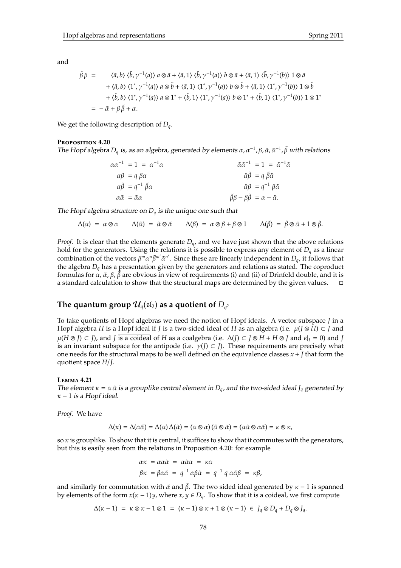and

$$
\tilde{\beta}\beta = \langle \tilde{a}, b \rangle \langle \tilde{b}, \gamma^{-1}(a) \rangle a \otimes \tilde{a} + \langle \tilde{a}, 1 \rangle \langle \tilde{b}, \gamma^{-1}(a) \rangle b \otimes \tilde{a} + \langle \tilde{a}, 1 \rangle \langle \tilde{b}, \gamma^{-1}(b) \rangle 1 \otimes \tilde{a} \n+ \langle \tilde{a}, b \rangle \langle 1^*, \gamma^{-1}(a) \rangle a \otimes \tilde{b} + \langle \tilde{a}, 1 \rangle \langle 1^*, \gamma^{-1}(a) \rangle b \otimes \tilde{b} + \langle \tilde{a}, 1 \rangle \langle 1^*, \gamma^{-1}(b) \rangle 1 \otimes \tilde{b} \n+ \langle \tilde{b}, b \rangle \langle 1^*, \gamma^{-1}(a) \rangle a \otimes 1^* + \langle \tilde{b}, 1 \rangle \langle 1^*, \gamma^{-1}(a) \rangle b \otimes 1^* + \langle \tilde{b}, 1 \rangle \langle 1^*, \gamma^{-1}(b) \rangle 1 \otimes 1^* \n= -\tilde{\alpha} + \beta \tilde{\beta} + \alpha.
$$

We get the following description of *Dq*.

#### **P**roposition **4.20**

The Hopf algebra  $D_q$  is, as an algebra, generated by elements  $\alpha$ ,  $\alpha^{-1}$ ,  $\beta$ ,  $\tilde{\alpha}$ ,  $\tilde{\alpha}^{-1}$ ,  $\tilde{\beta}$  with relations

$$
\alpha \alpha^{-1} = 1 = \alpha^{-1} \alpha
$$
  
\n
$$
\alpha \beta = q \beta \alpha
$$
  
\n
$$
\alpha \tilde{\beta} = q^{-1} \tilde{\beta} \alpha
$$
  
\n
$$
\alpha \tilde{\alpha} = \tilde{\alpha} \alpha
$$
  
\n
$$
\alpha \tilde{\alpha} = \tilde{\alpha} \alpha
$$
  
\n
$$
\alpha \tilde{\alpha} = \tilde{\alpha} \alpha
$$
  
\n
$$
\alpha \tilde{\beta} = \beta \tilde{\beta} \alpha
$$
  
\n
$$
\tilde{\beta} \beta - \beta \tilde{\beta} = \alpha - \tilde{\alpha}.
$$

The Hopf algebra structure on  $D_q$  is the unique one such that

$$
\Delta(\alpha) = \alpha \otimes \alpha \qquad \Delta(\tilde{\alpha}) = \tilde{\alpha} \otimes \tilde{\alpha} \qquad \Delta(\beta) = \alpha \otimes \beta + \beta \otimes 1 \qquad \Delta(\tilde{\beta}) = \tilde{\beta} \otimes \tilde{\alpha} + 1 \otimes \tilde{\beta}.
$$

*Proof.* It is clear that the elements generate *Dq*, and we have just shown that the above relations hold for the generators. Using the relations it is possible to express any element of *D<sup>q</sup>* as a linear combination of the vectors  $\beta^m \alpha^n \tilde{\beta}^{m'} \tilde{\alpha}^{n'}$ . Since these are linearly independent in  $D_q$ , it follows that the algebra *D<sup>q</sup>* has a presentation given by the generators and relations as stated. The coproduct formulas for  $\alpha$ ,  $\tilde{\alpha}$ ,  $\beta$ ,  $\tilde{\beta}$  are obvious in view of requirements (i) and (ii) of Drinfeld double, and it is a standard calculation to show that the structural maps are determined by the given values.

# The quantum group  $\mathcal{U}_q(\mathfrak{sl}_2)$  as a quotient of  $D_{q^2}$

To take quotients of Hopf algebras we need the notion of Hopf ideals. A vector subspace *J* in a Hopf algebra *H* is a Hopf ideal if *J* is a two-sided ideal of *H* as an algebra (i.e.  $\mu$ (*J* ⊗ *H*) ⊂ *J* and  $\mu(H \otimes J) \subset J$ , and *J* is a coideal of *H* as a coalgebra (i.e.  $\Delta(J) \subset J \otimes H + H \otimes J$  and  $\epsilon|_I = 0$ ) and *J* is an invariant subspace for the antipode (i.e.  $\gamma(I) \subset I$ ). These requirements are precisely what one needs for the structural maps to be well defined on the equivalence classes *x* + *J* that form the quotient space *H*/*J*.

#### **L**emma **4.21**

The element  $\kappa = \alpha \tilde{\alpha}$  is a grouplike central element in  $D_{q}$ , and the two-sided ideal *J<sub>q</sub>* generated by  $\kappa$  – 1 is a Hopf ideal.

*Proof.* We have

$$
\Delta(\kappa) = \Delta(\alpha \tilde{\alpha}) = \Delta(\alpha) \Delta(\tilde{\alpha}) = (\alpha \otimes \alpha) (\tilde{\alpha} \otimes \tilde{\alpha}) = (\alpha \tilde{\alpha} \otimes \alpha \tilde{\alpha}) = \kappa \otimes \kappa,
$$

so  $\kappa$  is grouplike. To show that it is central, it suffices to show that it commutes with the generators, but this is easily seen from the relations in Proposition 4.20: for example

$$
\alpha \kappa = \alpha \alpha \tilde{\alpha} = \alpha \tilde{\alpha} \alpha = \kappa \alpha
$$
  

$$
\beta \kappa = \beta \alpha \tilde{\alpha} = q^{-1} \alpha \beta \tilde{\alpha} = q^{-1} q \alpha \tilde{\alpha} \beta = \kappa \beta,
$$

and similarly for commutation with  $\tilde{\alpha}$  and  $\tilde{\beta}$ . The two sided ideal generated by  $\kappa - 1$  is spanned by elements of the form  $x(x - 1)y$ , where  $x, y \in D_q$ . To show that it is a coideal, we first compute

$$
\Delta(\kappa - 1) = \kappa \otimes \kappa - 1 \otimes 1 = (\kappa - 1) \otimes \kappa + 1 \otimes (\kappa - 1) \in J_q \otimes D_q + D_q \otimes J_q.
$$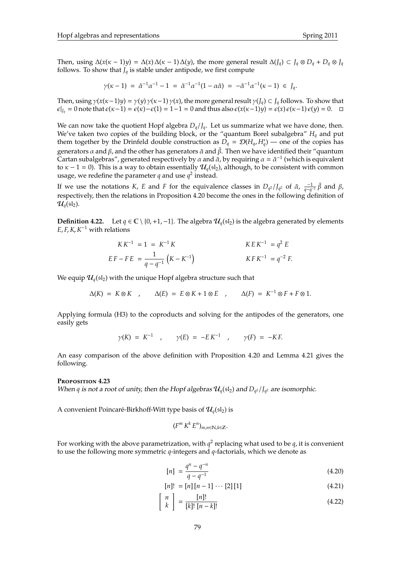Then, using  $\Delta(x(x-1)y) = \Delta(x)\Delta(x-1)\Delta(y)$ , the more general result  $\Delta(J_q) \subset J_q \otimes D_q + D_q \otimes J_q$ follows. To show that  $J_q$  is stable under antipode, we first compute

$$
\gamma(\kappa-1) \; = \; \tilde{\alpha}^{-1}\alpha^{-1} - 1 \; = \; \tilde{\alpha}^{-1}\alpha^{-1}(1-\alpha\tilde{\alpha}) \; = \; -\tilde{\alpha}^{-1}\alpha^{-1}(\kappa-1) \; \in \; J_q.
$$

Then, using  $\gamma(x(\kappa-1)y) = \gamma(y)\gamma(\kappa-1)\gamma(x)$ , the more general result  $\gamma(f_q) \subset J_q$  follows. To show that  $\epsilon|_{I_q}$  = 0 note that  $\epsilon(\kappa-1) = \epsilon(\kappa) - \epsilon(1) = 1-1 = 0$  and thus also  $\epsilon(x(\kappa-1)y) = \epsilon(x)\epsilon(\kappa-1)\epsilon(y) = 0.$  □

We can now take the quotient Hopf algebra  $D_q / J_q$ . Let us summarize what we have done, then. We've taken two copies of the building block, or the "quantum Borel subalgebra" *H<sup>q</sup>* and put them together by the Drinfeld double construction as  $D_q = \mathcal{D}(H_q, H_q)$  — one of the copies has generators *α* and *β*, and the other has generators  $\tilde{\alpha}$  and  $\tilde{\beta}$ . Then we have identified their "quantum Cartan subalgebras", generated respectively by  $\alpha$  and  $\alpha$ , by requiring  $\alpha = \tilde{\alpha}^{-1}$  (which is equivalent to  $\kappa$  – 1 = 0). This is a way to obtain essentially  $\mathcal{U}_a(\mathfrak{sl}_2)$ , although, to be consistent with common usage, we redefine the parameter  $q$  and use  $q^2$  instead.

If we use the notations *K*, *E* and *F* for the equivalence classes in  $D_{q^2}/J_{q^2}$  of  $\tilde{\alpha}$ ,  $\frac{-1}{q-q^{-1}}\tilde{\beta}$  and  $\beta$ , respectively, then the relations in Proposition 4.20 become the ones in the following definition of  $\mathcal{U}_q(\mathfrak{sl}_2)$ .

**Definition 4.22.** Let  $q \in \mathbb{C} \setminus \{0, +1, -1\}$ . The algebra  $\mathcal{U}_q(\mathfrak{sl}_2)$  is the algebra generated by elements  $E, F, K, K^{-1}$  with relations

$$
KK^{-1} = 1 = K^{-1}K
$$
  
\n
$$
E F - F E = \frac{1}{q - q^{-1}} (K - K^{-1})
$$
  
\n
$$
K F K^{-1} = q^{2} E
$$
  
\n
$$
K F K^{-1} = q^{-2} F.
$$

We equip  $\mathcal{U}_q(\mathfrak{sl}_2)$  with the unique Hopf algebra structure such that

$$
\Delta(K) = K \otimes K \quad , \qquad \Delta(E) = E \otimes K + 1 \otimes E \quad , \qquad \Delta(F) = K^{-1} \otimes F + F \otimes 1.
$$

Applying formula (H3) to the coproducts and solving for the antipodes of the generators, one easily gets

$$
\gamma(K) = K^{-1}
$$
,  $\gamma(E) = -EK^{-1}$ ,  $\gamma(F) = -KF$ .

An easy comparison of the above definition with Proposition 4.20 and Lemma 4.21 gives the following.

#### **P**roposition **4.23**

When *q* is not a root of unity, then the Hopf algebras  $\mathcal{U}_q(\mathfrak{sl}_2)$  and  $D_{q^2}/J_{q^2}$  are isomorphic.

A convenient Poincaré-Birkhoff-Witt type basis of  $\mathcal{U}_a(\mathfrak{sl}_2)$  is

$$
(F^m K^k E^n)_{m,n \in \mathbb{N}, k \in \mathbb{Z}}.
$$

For working with the above parametrization, with  $q^2$  replacing what used to be  $q$ , it is convenient to use the following more symmetric *q*-integers and *q*-factorials, which we denote as

$$
[n] = \frac{q^n - q^{-n}}{q - q^{-1}}
$$
\n(4.20)

$$
[n]! = [n][n-1] \cdots [2][1]
$$
 (4.21)

$$
\left[\begin{array}{c} n \\ k \end{array}\right] = \frac{[n]!}{[k]! \; [n-k]!}
$$
\n(4.22)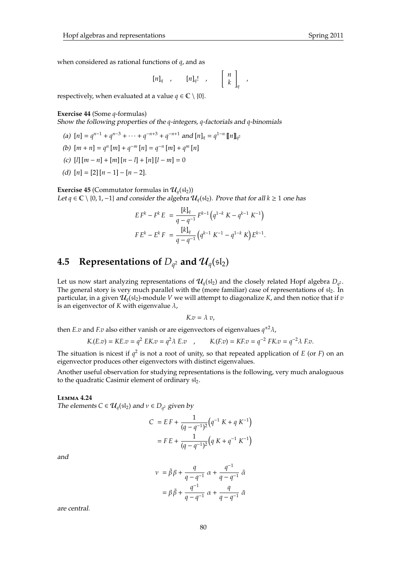when considered as rational functions of *q*, and as

$$
[n]_q , [n]_q! , [n]_q!
$$

,

respectively, when evaluated at a value  $q \in \mathbb{C} \setminus \{0\}.$ 

## **Exercise 44** (Some *q*-formulas)

Show the following properties of the *q*-integers, *q*-factorials and *q*-binomials

- (a)  $[n] = q^{n-1} + q^{n-3} + \cdots + q^{-n+3} + q^{-n+1}$  and  $[n]_q = q^{1-n} [n]_{q^2}$
- (b)  $[m + n] = q^n [m] + q^{-m} [n] = q^{-n} [m] + q^m [n]$
- (c)  $[l][m n] + [m][n l] + [n][l m] = 0$
- (d)  $[n] = [2] [n-1] [n-2].$

**Exercise 45** (Commutator formulas in  $\mathcal{U}_q(\mathfrak{sl}_2)$ ) Let *q* ∈  $\mathbb{C} \setminus \{0, 1, -1\}$  and consider the algebra  $\mathcal{U}_q(\{sI_2\})$ . Prove that for all  $k \ge 1$  one has

$$
E F^{k} - F^{k} E = \frac{[k]_{q}}{q - q^{-1}} F^{k-1} (q^{1-k} K - q^{k-1} K^{-1})
$$
  

$$
F E^{k} - E^{k} F = \frac{[k]_{q}}{q - q^{-1}} (q^{k-1} K^{-1} - q^{1-k} K) E^{k-1}.
$$

# **4.5** Representations of  $D_{q^2}$  and  $\mathcal{U}_q(\mathfrak{sl}_2)$

Let us now start analyzing representations of  $\mathcal{U}_q(\mathfrak{sl}_2)$  and the closely related Hopf algebra  $D_{q^2}.$ The general story is very much parallel with the (more familiar) case of representations of  $sI_2$ . In particular, in a given  $\mathcal{U}_q(\mathfrak{sl}_2)$ -module *V* we will attempt to diagonalize *K*, and then notice that if *v* is an eigenvector of  $K$  with eigenvalue  $\lambda$ ,

$$
K.v=\lambda\ v,
$$

then *E*.*v* and *F*.*v* also either vanish or are eigenvectors of eigenvalues *q* <sup>±</sup>2λ,

$$
K(E.v) = KE.v = q^2 EK.v = q^2 \lambda E.v
$$
,  $K(E.v) = KEv = q^{-2} FK.v = q^{-2} \lambda F.v.$ 

The situation is nicest if  $q^2$  is not a root of unity, so that repeated application of *E* (or *F*) on an eigenvector produces other eigenvectors with distinct eigenvalues.

Another useful observation for studying representations is the following, very much analoguous to the quadratic Casimir element of ordinary  $sl_2$ .

### **L**emma **4.24**

*The elements*  $C \in \mathcal{U}_q(\mathfrak{sl}_2)$  and  $v \in D_{q^2}$  given by

$$
C = EF + \frac{1}{(q - q^{-1})^2} (q^{-1} K + q K^{-1})
$$

$$
= FE + \frac{1}{(q - q^{-1})^2} (q K + q^{-1} K^{-1})
$$

and

$$
\nu = \tilde{\beta}\beta + \frac{q}{q - q^{-1}}\alpha + \frac{q^{-1}}{q - q^{-1}}\tilde{\alpha}
$$

$$
= \beta\tilde{\beta} + \frac{q^{-1}}{q - q^{-1}}\alpha + \frac{q}{q - q^{-1}}\tilde{\alpha}
$$

are central.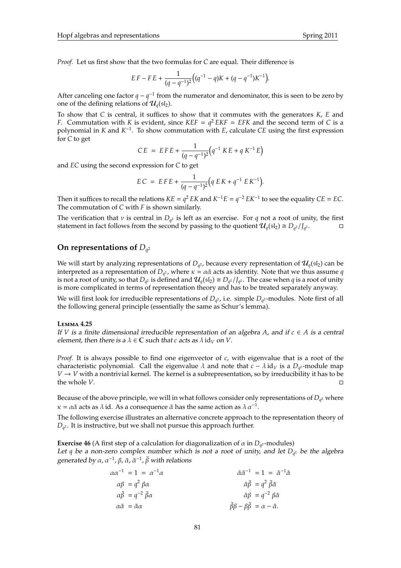*Proof.* Let us first show that the two formulas for *C* are equal. Their difference is

$$
EF - FE + \frac{1}{(q - q^{-1})^2} \Big( (q^{-1} - q)K + (q - q^{-1})K^{-1} \Big).
$$

After canceling one factor  $q - q^{-1}$  from the numerator and denominator, this is seen to be zero by one of the defining relations of  $\mathcal{U}_q(\mathfrak{sl}_2)$ .

To show that *C* is central, it suffices to show that it commutes with the generators *K*, *E* and *F*. Commutation with *K* is evident, since  $KEF = q^2 EKF = EFK$  and the second term of *C* is a polynomial in *K* and *K* −1 . To show commutation with *E*, calculate *CE* using the first expression for *C* to get

$$
CE = EFE + \frac{1}{(q - q^{-1})^2} (q^{-1} KE + q K^{-1} E)
$$

and *EC* using the second expression for *C* to get

$$
EC = EFE + \frac{1}{(q - q^{-1})^2} \left( q EK + q^{-1} EK^{-1} \right).
$$

Then it suffices to recall the relations  $KE = q^2 EK$  and  $K^{-1}E = q^{-2} EK^{-1}$  to see the equality  $CE = EC$ . The commutation of *C* with *F* is shown similarly.

The verification that  $\nu$  is central in  $D_{q^2}$  is left as an exercise. For  $q$  not a root of unity, the first statement in fact follows from the second by passing to the quotient  $\mathcal{U}_q(\mathfrak{sl}_2) \cong D_{q^2}/J_{q^2}$ .

# **On representations of** *D<sup>q</sup>* 2

We will start by analyzing representations of  $D_{q^2}$ , because every representation of  $\mathcal{U}_q(\mathfrak{sl}_2)$  can be interpreted as a representation of  $D_{q^2}$ , where  $\kappa = \alpha \tilde{\alpha}$  acts as identity. Note that we thus assume  $q$ is not a root of unity, so that  $D_{q^2}$  is defined and  $\mathcal{U}_q(\mathfrak{sl}_2)\cong D_{q^2}/J_{q^2}$ . The case when  $q$  is a root of unity is more complicated in terms of representation theory and has to be treated separately anyway.

We will first look for irreducible representations of  $D_{q^2}$ , i.e. simple  $D_{q^2}$ -modules. Note first of all the following general principle (essentially the same as Schur's lemma).

#### **L**emma **4.25**

If *V* is a finite dimensional irreducible representation of an algebra *A*, and if  $c \in A$  is a central element, then there is a  $\lambda \in \mathbb{C}$  such that *c* acts as  $\lambda$  id<sub>*V*</sub> on *V*.

*Proof.* It is always possible to find one eigenvector of *c*, with eigenvalue that is a root of the characteristic polynomial. Call the eigenvalue  $\lambda$  and note that  $c - \lambda$  id<sub>V</sub> is a  $D_{q^2}$ -module map  $V \rightarrow V$  with a nontrivial kernel. The kernel is a subrepresentation, so by irreducibility it has to be the whole *V*.

Because of the above principle, we will in what follows consider only representations of *D<sup>q</sup>* <sup>2</sup> where  $\kappa = \alpha \tilde{\alpha}$  acts as  $\lambda$  id. As a consequence  $\tilde{\alpha}$  has the same action as  $\lambda \alpha^{-1}$ .

The following exercise illustrates an alternative concrete approach to the representation theory of *Dq* <sup>2</sup> . It is instructive, but we shall not pursue this approach further.

**Exercise 46** (A first step of a calculation for diagonalization of  $\alpha$  in  $D_{q^2}$ -modules) Let *q* be a non-zero complex number which is not a root of unity, and let *D<sup>q</sup>* <sup>2</sup> be the algebra generated by α, α<sup>-1</sup>, β,  $\tilde{\alpha}$ ,  $\tilde{\alpha}^{-1}$ ,  $\tilde{\beta}$  with relations

| $\alpha \alpha^{-1} = 1 = \alpha^{-1} \alpha$        | $\tilde{\alpha} \tilde{\alpha}^{-1} = 1 = \tilde{\alpha}^{-1} \tilde{\alpha}$ |
|------------------------------------------------------|-------------------------------------------------------------------------------|
| $\alpha\beta = q^2 \beta\alpha$                      | $\tilde{\alpha}\tilde{\beta} = q^2 \tilde{\beta}\tilde{\alpha}$               |
| $\alpha \tilde{\beta} = q^{-2} \tilde{\beta} \alpha$ | $\tilde{\alpha}\beta = q^{-2} \beta \tilde{\alpha}$                           |
| $\alpha \tilde{\alpha} = \tilde{\alpha} \alpha$      | $\tilde{\beta}\beta - \beta\tilde{\beta} = \alpha - \tilde{\alpha}.$          |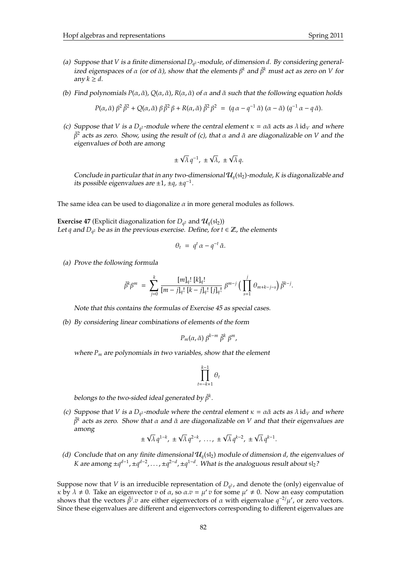- (a) Suppose that *V* is a finite dimensional *D<sup>q</sup>* <sup>2</sup> -module, of dimension *d*. By considering generalized eigenspaces of  $\alpha$  (or of  $\tilde{\alpha}$ ), show that the elements  $\beta^k$  and  $\tilde{\beta}^k$  must act as zero on *V* for any  $k \geq d$ .
- (b) Find polynomials *P*(α, α˜), *Q*(α, α˜), *R*(α, α˜) of α and α˜ such that the following equation holds

$$
P(\alpha, \tilde{\alpha}) \beta^2 \tilde{\beta}^2 + Q(\alpha, \tilde{\alpha}) \beta \tilde{\beta}^2 \beta + R(\alpha, \tilde{\alpha}) \tilde{\beta}^2 \beta^2 = (q \alpha - q^{-1} \tilde{\alpha}) (\alpha - \tilde{\alpha}) (q^{-1} \alpha - q \tilde{\alpha}).
$$

(c) Suppose that *V* is a  $D_{q^2}$ -module where the central element  $\kappa = \alpha \tilde{\alpha}$  acts as  $\lambda$  id<sub>V</sub> and where  $\beta^2$  acts as zero. Show, using the result of (c), that *α* and  $\tilde{\alpha}$  are diagonalizable on *V* and the eigenvalues of both are among

$$
\pm \sqrt{\lambda} q^{-1}, \pm \sqrt{\lambda}, \pm \sqrt{\lambda} q.
$$

Conclude in particular that in any two-dimensional  $\mathcal{U}_a(\mathfrak{sl}_2)$ -module, *K* is diagonalizable and its possible eigenvalues are ±1, ±*q*, ±*q* −1 .

The same idea can be used to diagonalize  $\alpha$  in more general modules as follows.

**Exercise 47** (Explicit diagonalization for  $D_{q^2}$  and  $\mathcal{U}_q(\mathfrak{sl}_2)$ ) Let *q* and  $D_{q^2}$  be as in the previous exercise. Define, for  $t \in \mathbb{Z}$ , the elements

$$
\theta_t = q^t \alpha - q^{-t} \tilde{\alpha}.
$$

(a) Prove the following formula

$$
\tilde{\beta}^k \beta^m = \sum_{j=0}^k \frac{[m]_q! [k]_q!}{[m-j]_q! [k-j]_q! [j]_q!} \beta^{m-j} \Big( \prod_{s=1}^j \theta_{m+k-j-s} \Big) \tilde{\beta}^{k-j}.
$$

Note that this contains the formulas of Exercise 45 as special cases.

(b) By considering linear combinations of elements of the form

$$
P_m(\alpha,\tilde{\alpha})\,\beta^{k-m}\,\tilde{\beta}^k\,\beta^m,
$$

where *P<sup>m</sup>* are polynomials in two variables, show that the element

$$
\prod_{t=-k+1}^{k-1} \theta_t
$$

belongs to the two-sided ideal generated by  $\tilde{\beta}^k$ .

(c) Suppose that *V* is a  $D_{q^2}$ -module where the central element  $\kappa = \alpha \tilde{\alpha}$  acts as  $\lambda$  id<sub>*V*</sub> and where  $\beta^k$  acts as zero. Show that  $\alpha$  and  $\tilde{\alpha}$  are diagonalizable on *V* and that their eigenvalues are among √

$$
\pm \sqrt{\lambda} \, q^{1-k}, \pm \sqrt{\lambda} \, q^{2-k}, \, \ldots, \, \pm \sqrt{\lambda} \, q^{k-2}, \, \pm \sqrt{\lambda} \, q^{k-1}.
$$

(d) Conclude that on any finite dimensional  $\mathcal{U}_q(\mathfrak{sl}_2)$  module of dimension *d*, the eigenvalues of *K* are among  $\pm q^{d-1}$ ,  $\pm q^{d-2}$ , ...,  $\pm q^{2-d}$ ,  $\pm q^{1-d}$ . What is the analoguous result about  $\mathfrak{sl}_2$ ?

Suppose now that *V* is an irreducible representation of *D<sup>q</sup>* <sup>2</sup> , and denote the (only) eigenvalue of  $\kappa$  by  $\lambda \neq 0$ . Take an eigenvector *v* of  $\alpha$ , so  $\alpha$ .*v* =  $\mu'$  *v* for some  $\mu' \neq 0$ . Now an easy computation shows that the vectors  $\tilde{\beta}^j$  *v* are either eigenvectors of  $\alpha$  with eigenvalue  $q^{-2j}\mu'$ , or zero vectors. Since these eigenvalues are different and eigenvectors corresponding to different eigenvalues are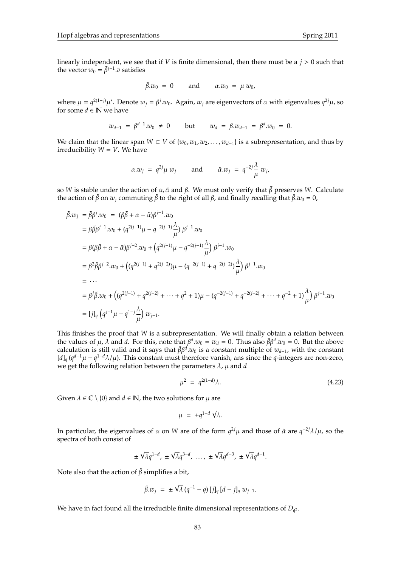linearly independent, we see that if *V* is finite dimensional, then there must be a *j* > 0 such that the vector  $w_0 = \tilde{\beta}^{j-1} \cdot v$  satisfies

$$
\tilde{\beta}.w_0 = 0 \quad \text{and} \quad \alpha.w_0 = \mu w_0,
$$

where  $\mu = q^{2(1-j)}\mu'$ . Denote  $w_j = \beta^j w_0$ . Again,  $w_j$  are eigenvectors of  $\alpha$  with eigenvalues  $q^{2j}\mu$ , so for some  $d \in \mathbb{N}$  we have

$$
w_{d-1} = \beta^{d-1} w_0 \neq 0
$$
 but  $w_d = \beta w_{d-1} = \beta^d w_0 = 0.$ 

*We claim that the linear span <i>W* ⊂ *V* of  $\{w_0, w_1, w_2, ..., w_{d-1}\}$  is a subrepresentation, and thus by irreducibility  $W = V$ . We have

$$
\alpha.w_j = q^{2j}\mu w_j
$$
 and  $\tilde{\alpha}.w_j = q^{-2j}\frac{\lambda}{\mu} w_j$ ,

so *W* is stable under the action of  $\alpha$ ,  $\tilde{\alpha}$  and  $\beta$ . We must only verify that  $\tilde{\beta}$  preserves *W*. Calculate the action of  $\tilde{\beta}$  on  $w_i$  commuting  $\tilde{\beta}$  to the right of all  $\beta$ , and finally recalling that  $\tilde{\beta}$ . $w_0 = 0$ ,

$$
\tilde{\beta}.w_{j} = \tilde{\beta}\beta^{j}.w_{0} = (\beta\tilde{\beta} + \alpha - \tilde{\alpha})\beta^{j-1}.w_{0}
$$
\n
$$
= \beta\tilde{\beta}\beta^{j-1}.w_{0} + (q^{2(j-1)}\mu - q^{-2(j-1)}\frac{\lambda}{\mu})\beta^{j-1}.w_{0}
$$
\n
$$
= \beta(\beta\tilde{\beta} + \alpha - \tilde{\alpha})\beta^{j-2}.w_{0} + (q^{2(j-1)}\mu - q^{-2(j-1)}\frac{\lambda}{\mu})\beta^{j-1}.w_{0}
$$
\n
$$
= \beta^{2}\tilde{\beta}\beta^{j-2}.w_{0} + ((q^{2(j-1)} + q^{2(j-2)})\mu - (q^{-2(j-1)} + q^{-2(j-2)})\frac{\lambda}{\mu})\beta^{j-1}.w_{0}
$$
\n
$$
= \cdots
$$
\n
$$
= \beta^{j}\tilde{\beta}.w_{0} + ((q^{2(j-1)} + q^{2(j-2)} + \cdots + q^{2} + 1)\mu - (q^{-2(j-1)} + q^{-2(j-2)} + \cdots + q^{-2} + 1)\frac{\lambda}{\mu})\beta^{j-1}.w_{0}
$$
\n
$$
= [j]_{q}(q^{j-1}\mu - q^{1-j}\frac{\lambda}{\mu})w_{j-1}.
$$

This finishes the proof that *W* is a subrepresentation. We will finally obtain a relation between the values of  $\mu$ ,  $\overline{\lambda}$  and *d*. For this, note that  $\beta^d w_0 = w_d = 0$ . Thus also  $\tilde{\beta}\beta^d w_0 = 0$ . But the above calculation is still valid and it says that  $\tilde{\beta}\beta^d w_0$  is a constant multiple of  $w_{d-1}$ , with the constant  $[d]_q (q^{d-1}\mu - q^{1-d}\lambda/\mu)$ . This constant must therefore vanish, ans since the *q*-integers are non-zero, we get the following relation between the parameters  $\lambda$ ,  $\mu$  and  $d$ 

$$
\mu^2 = q^{2(1-d)}\lambda.
$$
\n(4.23)

Given  $\lambda \in \mathbb{C} \setminus \{0\}$  and  $d \in \mathbb{N}$ , the two solutions for  $\mu$  are

$$
\mu = \pm q^{1-d} \sqrt{\lambda}.
$$

In particular, the eigenvalues of  $\alpha$  on *W* are of the form  $q^{2j}\mu$  and those of  $\tilde{\alpha}$  are  $q^{-2j}\lambda/\mu$ , so the spectra of both consist of

$$
\pm \sqrt{\lambda} q^{1-d}, \pm \sqrt{\lambda} q^{3-d}, \ldots, \pm \sqrt{\lambda} q^{d-3}, \pm \sqrt{\lambda} q^{d-1}.
$$

Note also that the action of  $\tilde{\beta}$  simplifies a bit,

$$
\tilde{\beta}.w_j = \pm \sqrt{\lambda} (q^{-1} - q) [j]_q [d - j]_q w_{j-1}.
$$

We have in fact found all the irreducible finite dimensional representations of  $D_{q^2}$ .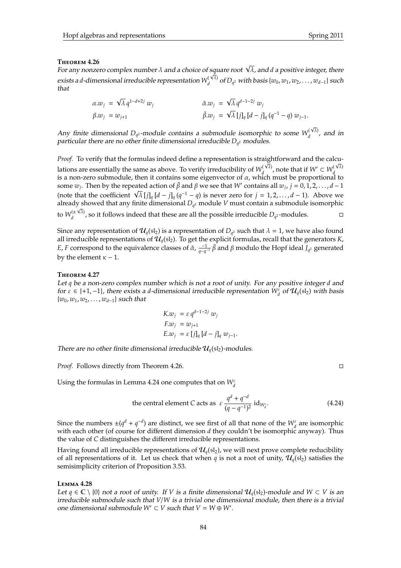### **T**heorem **4.26**

**T**нε**oкεм 4.26**<br>For any nonzero complex number λ and a choice of square root √λ, and d a positive integer, there exists a *d*-dimensional irreducible representation  $W_d^{(\sqrt{\lambda})}$ *d* of *D<sup>q</sup>* <sup>2</sup> with basis {*w*0, *w*1, *w*2, . . . , *wd*−1} such that

$$
\alpha.w_j = \sqrt{\lambda} q^{1-d+2j} w_j \qquad \qquad \tilde{\alpha}.w_j = \sqrt{\lambda} q^{d-1-2j} w_j \n\tilde{\beta}.w_j = \sqrt{\lambda} [j]_q [d-j]_q (q^{-1} - q) w_{j-1}.
$$

Any finite dimensional  $D_{q^2}$ -module contains a submodule isomorphic to some  $W_d^{(\sqrt{\lambda})}$  $\int_{d}^{(\sqrt{x})}$ , and in particular there are no other finite dimensional irreducible *D<sup>q</sup>* <sup>2</sup> modules.

*Proof.* To verify that the formulas indeed define a representation is straightforward and the calculations are essentially the same as above. To verify irreducibility of  $W_d^{(\sqrt{\lambda})}$ *d*<sub>*d*</sub> , note that if *W*<sup> $\prime$ </sup> ⊂ *W*<sub>*d*</sub><sup> $\frac{(\sqrt{\lambda})}{d}$ </sup>  $d$  is a non-zero submodule, then it contains some eigenvector of  $\alpha$ , which must be proportional to some  $w_j$ . Then by the repeated action of  $\tilde{\beta}$  and  $\beta$  we see that W' contains all  $w_j$ ,  $j = 0, 1, 2, \ldots, d - 1$ some  $w_j$ . Then by the repeated action or  $\beta$  and  $\beta$  we see that *W* contains all  $w_j$ ,  $j = 0, 1, 2, ..., a - 1$ .<br>(note that the coefficient  $\sqrt{\lambda} [j]_q [d - j]_q (q^{-1} - q)$  is never zero for  $j = 1, 2, ..., d - 1$ ). Above we already showed that any finite dimensional *D<sup>q</sup>* <sup>2</sup> module *V* must contain a submodule isomorphic √ to  $W_d^{(\pm\sqrt{\lambda})}$  $\frac{d}{d}$ <sup>( $\pm$  V $\lambda$ )</sup>, so it follows indeed that these are all the possible irreducible  $D_{q^2}$ -modules.

Since any representation of  $\mathcal{U}_q(\mathfrak{sl}_2)$  is a representation of  $D_{q^2}$  such that  $\lambda = 1$ , we have also found all irreducible representations of  $\mathcal{U}_q(\mathfrak{sl}_2)$ . To get the explicit formulas, recall that the generators *K*, *E*, *F* correspond to the equivalence classes of  $\tilde{\alpha}$ ,  $\frac{-1}{q-q^{-1}}\tilde{\beta}$  and  $\beta$  modulo the Hopf ideal *J*<sub>*q*</sub><sup>2</sup> generated by the element  $\kappa - 1$ .

### **T**heorem **4.27**

Let *q* be a non-zero complex number which is not a root of unity. For any positive integer *d* and *for*  $\varepsilon$  ∈ {+1,−1}, there exists a *d*-dimensional irreducible representation  $W_d^{\varepsilon}$  of  $\mathcal{U}_q(\mathfrak{sl}_2)$  with basis {*w*0, *w*1, *w*2, . . . , *wd*−1} such that

$$
K.w_j = \varepsilon q^{d-1-2j} w_j
$$
  
\n
$$
F.w_j = w_{j+1}
$$
  
\n
$$
E.w_j = \varepsilon [j]_q [d-j]_q w_{j-1}.
$$

There are no other finite dimensional irreducible  $\mathcal{U}_q(\mathfrak{sl}_2)$ -modules.

*Proof.* Follows directly from Theorem 4.26.

Using the formulas in Lemma 4.24 one computes that on  $W_d^{\varepsilon}$ 

the central element C acts as 
$$
\varepsilon \frac{q^d + q^{-d}}{(q - q^{-1})^2} \operatorname{id}_{W_a^c}
$$
. (4.24)

Since the numbers  $\pm (q^d + q^{-d})$  are distinct, we see first of all that none of the  $W_d^{\varepsilon}$  are isomorphic with each other (of course for different dimension *d* they couldn't be isomorphic anyway). Thus the value of *C* distinguishes the different irreducible representations.

Having found all irreducible representations of  $\mathcal{U}_q(\mathfrak{sl}_2)$ , we will next prove complete reducibility of all representations of it. Let us check that when *q* is not a root of unity,  $\mathcal{U}_a$ (sl<sub>2</sub>) satisfies the semisimplicity criterion of Proposition 3.53.

#### **L**emma **4.28**

Let *q* ∈  $\mathbb{C} \setminus \{0\}$  not a root of unity. If *V* is a finite dimensional  $\mathcal{U}_q(\{sI_2\})$ -module and  $W \subset V$  is an irreducible submodule such that *V*/*W* is a trivial one dimensional module, then there is a trivial one dimensional submodule  $W' \subset V$  such that  $V = W \oplus W'$ .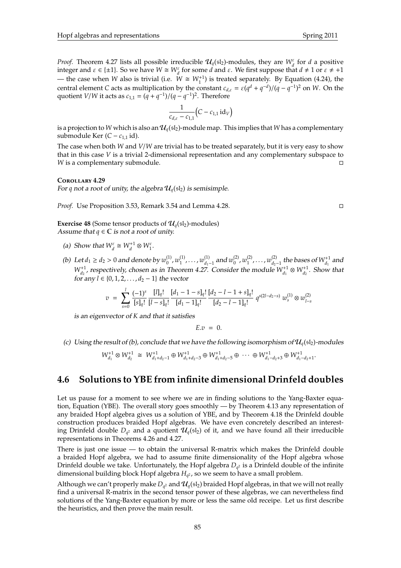*Proof.* Theorem 4.27 lists all possible irreducible  $\mathcal{U}_q(\mathfrak{sl}_2)$ -modules, they are  $W_d^{\varepsilon}$  for *d* a positive integer and  $\varepsilon \in \{\pm 1\}$ . So we have  $W \cong W_d^{\varepsilon}$  for some *d* and  $\varepsilon$ . We first suppose that  $d \neq 1$  or  $\varepsilon \neq +1$ — the case when *W* also is trivial (i.e.  $W \cong W_1^{+1}$ ) is treated separately. By Equation (4.24), the central element *C* acts as multiplication by the constant  $c_{d,\varepsilon} = \varepsilon (q^d + q^{-d})/(q - q^{-1})^2$  on *W*. On the quotient *V*/*W* it acts as  $c_{1,1} = (q + q^{-1})/(q - q^{-1})^2$ . Therefore

$$
\frac{1}{c_{d,\varepsilon}-c_{1,1}}\big(C-c_{1,1}\,\mathrm{id}_V\big)
$$

is a projection to *W* which is also an  $\mathcal{U}_q(\mathfrak{sl}_2)$ -module map. This implies that *W* has a complementary submodule Ker ( $C − c_{1,1}$  id).

The case when both *W* and *V*/*W* are trivial has to be treated separately, but it is very easy to show that in this case *V* is a trivial 2-dimensional representation and any complementary subspace to *W* is a complementary submodule.  $□$ 

#### **C**orollary **4.29**

For *q* not a root of unity, the algebra  $\mathcal{U}_a(\mathfrak{sl}_2)$  is semisimple.

*Proof.* Use Proposition 3.53, Remark 3.54 and Lemma 4.28.

**Exercise 48** (Some tensor products of  $\mathcal{U}_q(\mathfrak{sl}_2)$ -modules) Assume that  $q \in \mathbb{C}$  is not a root of unity.

- (a) Show that  $W_d^{\varepsilon} \cong W_d^{+1} \otimes W_1^{\varepsilon}$ .
- (b) Let  $d_1 \geq d_2 > 0$  and denote by  $w_0^{(1)}$  $w_0^{(1)}$ ,  $w_1^{(1)}$  $\binom{1}{1}$ , ...,  $w_{d_1-1}^{(1)}$  and  $w_0^{(2)}$  $w_0^{(2)}$ ,  $w_1^{(2)}$  $\binom{(2)}{1}$ ,  $\dots$  ,  $w_{d_2-1}^{(2)}$  the bases of  $W_{d_1}^{+1}$  and  $W_{d_1}^{+1}$ , respectively, chosen as in Theorem 4.27. Consider the module  $W_{d_1}^{+1} \otimes W_{d_2}^{+1}$ . Show that *for any*  $l$  ∈ {0, 1, 2, . . . ,  $d_2$  − 1} the vector

$$
v = \sum_{s=0}^{l} \frac{(-1)^s}{[s]_q!} \frac{[l]_q!}{[l-s]_q!} \frac{[d_1 - 1 - s]_q!}{[d_1 - 1]_q!} \frac{[d_2 - l - 1 + s]_q!}{[d_2 - l - 1]_q!} q^{s(2l - d_2 - s)} w_s^{(1)} \otimes w_{l-s}^{(2)}
$$

is an eigenvector of *K* and that it satisfies

$$
E.v = 0.
$$

(c) Using the result of (b), conclude that we have the following isomorphism of  $\mathcal{U}_q(\{sl_2\})$ -modules

$$
W_{d_1}^{+1} \otimes W_{d_2}^{+1} \cong W_{d_1+d_2-1}^{+1} \oplus W_{d_1+d_2-3}^{+1} \oplus W_{d_1+d_2-5}^{+1} \oplus \cdots \oplus W_{d_1-d_2+3}^{+1} \oplus W_{d_1-d_2+1}^{+1}.
$$

# **4.6 Solutions to YBE from infinite dimensional Drinfeld doubles**

Let us pause for a moment to see where we are in finding solutions to the Yang-Baxter equation, Equation (YBE). The overall story goes smoothly — by Theorem 4.13 any representation of any braided Hopf algebra gives us a solution of YBE, and by Theorem 4.18 the Drinfeld double construction produces braided Hopf algebras. We have even concretely described an interesting Drinfeld double  $D_{q^2}$  and a quotient  $\mathcal{U}_q(\mathfrak{sl}_2)$  of it, and we have found all their irreducible representations in Theorems 4.26 and 4.27.

There is just one issue  $-$  to obtain the universal R-matrix which makes the Drinfeld double a braided Hopf algebra, we had to assume finite dimensionality of the Hopf algebra whose Drinfeld double we take. Unfortunately, the Hopf algebra *D<sup>q</sup>* <sup>2</sup> is a Drinfeld double of the infinite dimensional building block Hopf algebra *H<sup>q</sup>* <sup>2</sup> , so we seem to have a small problem.

Although we can't properly make  $D_{q^2}$  and  $\mathcal{U}_q(\mathfrak{sl}_2)$  braided Hopf algebras, in that we will not really find a universal R-matrix in the second tensor power of these algebras, we can nevertheless find solutions of the Yang-Baxter equation by more or less the same old receipe. Let us first describe the heuristics, and then prove the main result.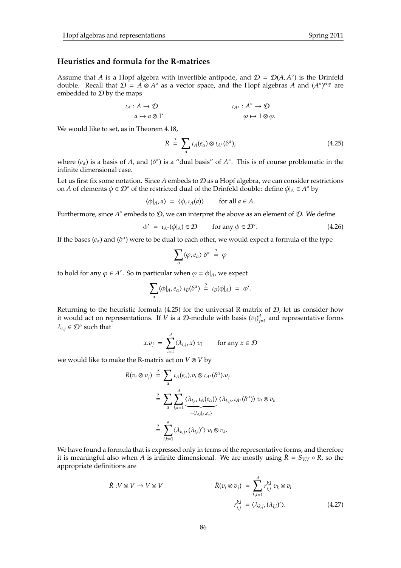# **Heuristics and formula for the R-matrices**

Assume that *A* is a Hopf algebra with invertible antipode, and  $\mathcal{D} = \mathcal{D}(A, A^{\circ})$  is the Drinfeld double. Recall that  $\mathcal{D} = A \otimes A^\circ$  as a vector space, and the Hopf algebras *A* and  $(A^\circ)^{\text{cop}}$  are embedded to  $D$  by the maps

$$
\iota_A: A \to \mathcal{D} \qquad \iota_{A^\circ}: A^\circ \to \mathcal{D} \qquad \qquad \iota_{A^\circ}: A^\circ \to \mathcal{D} \qquad \qquad \varphi \mapsto 1 \otimes \varphi.
$$

We would like to set, as in Theorem 4.18,

$$
R = \sum_{\alpha} \iota_A(e_{\alpha}) \otimes \iota_{A^{\circ}}(\delta^{\alpha}), \qquad (4.25)
$$

where  $(e_\alpha)$  is a basis of *A*, and  $(\delta^\alpha)$  is a "dual basis" of  $A^\circ$ . This is of course problematic in the infinite dimensional case.

Let us first fix some notation. Since *A* embeds to D as a Hopf algebra, we can consider restrictions on *A* of elements  $\phi \in \mathcal{D}^{\circ}$  of the restricted dual of the Drinfeld double: define  $\phi|_A \in A^{\circ}$  by

$$
\langle \phi |_{A}, a \rangle = \langle \phi, \iota_A(a) \rangle \quad \text{for all } a \in A.
$$

Furthermore, since  $A^{\circ}$  embeds to  $\mathcal{D}$ , we can interpret the above as an element of  $\mathcal{D}$ . We define

$$
\phi' = \iota_{A^\circ}(\phi|_A) \in \mathcal{D} \qquad \text{for any } \phi \in \mathcal{D}^\circ. \tag{4.26}
$$

If the bases  $(e_\alpha)$  and  $(\delta^\alpha)$  were to be dual to each other, we would expect a formula of the type

$$
\sum_{\alpha} \langle \varphi, e_{\alpha} \rangle \delta^{\alpha} \stackrel{?}{=} \varphi
$$

to hold for any  $\varphi \in A^{\circ}$ . So in particular when  $\varphi = \varphi|_{A}$ , we expect

$$
\sum_{\alpha} \langle \phi |_{A}, e_{\alpha} \rangle \iota_B(\delta^{\alpha}) \stackrel{?}{=} \iota_B(\phi|_{A}) = \phi'.
$$

Returning to the heuristic formula (4.25) for the universal R-matrix of  $D$ , let us consider how it would act on representations. If *V* is a *D*-module with basis  $(v_j)_{j=1}^d$  and representative forms  $\lambda_{i,j} \in \mathcal{D}^{\circ}$  such that

$$
x.v_j = \sum_{i=1}^d \langle \lambda_{i,j}, x \rangle v_i \quad \text{for any } x \in \mathcal{D}
$$

we would like to make the R-matrix act on *V* ⊗ *V* by

$$
R(v_i \otimes v_j) \stackrel{?}{=} \sum_{\alpha} \iota_A(e_{\alpha}).v_i \otimes \iota_{A^{\circ}}(\delta^{\alpha}).v_j
$$
  

$$
\stackrel{?}{=} \sum_{\alpha} \sum_{l,k=1}^d \underbrace{\langle \lambda_{l,i}, \iota_A(e_{\alpha}) \rangle}_{=\langle \lambda_{l,i} | \lambda, e_{\alpha} \rangle} \langle \lambda_{k,j}, \iota_{A^{\circ}}(\delta^{\alpha}) \rangle v_l \otimes v_k
$$
  

$$
\stackrel{?}{=} \sum_{l,k=1}^d \langle \lambda_{k,j}, (\lambda_{l,i})' \rangle v_l \otimes v_k.
$$

We have found a formula that is expressed only in terms of the representative forms, and therefore it is meaningful also when *A* is infinite dimensional. We are mostly using  $\tilde{R} = S_{VV} \circ R$ , so the appropriate definitions are

$$
\check{R}: V \otimes V \to V \otimes V \qquad \check{R}(v_i \otimes v_j) = \sum_{k,l=1}^d r_{i,j}^{k,l} v_k \otimes v_l
$$
\n
$$
r_{i,j}^{k,l} = \langle \lambda_{k,j}, (\lambda_{l,i})' \rangle. \tag{4.27}
$$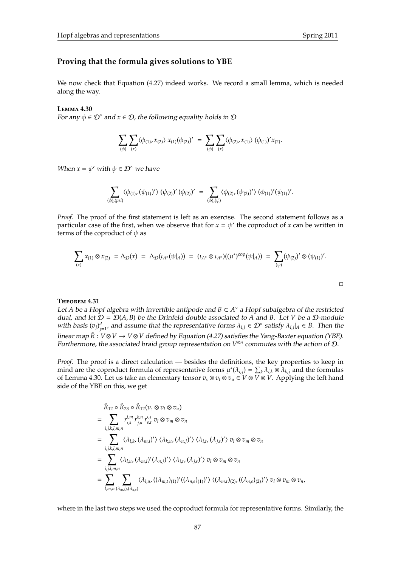$\Box$ 

## **Proving that the formula gives solutions to YBE**

We now check that Equation (4.27) indeed works. We record a small lemma, which is needed along the way.

#### **L**emma **4.30**

For any  $\phi \in \mathcal{D}^{\circ}$  and  $x \in \mathcal{D}$ , the following equality holds in  $\mathcal D$ 

$$
\sum_{(\phi)} \sum_{(x)} \langle \phi_{(1)}, x_{(2)} \rangle x_{(1)}(\phi_{(2)})' = \sum_{(\phi)} \sum_{(x)} \langle \phi_{(2)}, x_{(1)} \rangle (\phi_{(1)})' x_{(2)}.
$$

When  $x = \psi'$  with  $\psi \in \mathcal{D}^{\circ}$  we have

$$
\sum_{(\phi),(psi)} \langle \phi_{(1)},(\psi_{(1)})' \rangle (\psi_{(2)})' (\phi_{(2)})' = \sum_{(\phi),( \psi)} \langle \phi_{(2)},(\psi_{(2)})' \rangle (\phi_{(1)})' (\psi_{(1)})'.
$$

*Proof.* The proof of the first statement is left as an exercise. The second statement follows as a particular case of the first, when we observe that for  $x = \psi'$  the coproduct of *x* can be written in terms of the coproduct of  $\psi$  as

$$
\sum_{(x)} x_{(1)} \otimes x_{(2)} = \Delta_{\mathcal{D}}(x) = \Delta_{\mathcal{D}}(\iota_{A^{\circ}}(\psi|_{A})) = (\iota_{A^{\circ}} \otimes \iota_{A^{\circ}})((\mu^{*})^{cop}(\psi|_{A})) = \sum_{(\psi)} (\psi_{(2)})' \otimes (\psi_{(1)})'.
$$

#### **T**heorem **4.31**

Let *A* be a Hopf algebra with invertible antipode and *B* ⊂ *A* ◦ a Hopf subalgebra of the restricted dual, and let  $D = D(A, B)$  be the Drinfeld double associated to A and B. Let *V* be a D-module with basis  $(v_j)_{j=1}^d$ , and assume that the representative forms  $\lambda_{i,j} \in \mathcal{D}^\circ$  satisfy  $\lambda_{i,j}|_A \in B$ . Then the linear map *R*ˇ : *V* ⊗*V* → *V* ⊗*V* defined by Equation (4.27) satisfies the Yang-Baxter equation (YBE). Furthermore, the associated braid group representation on *V* ⊗*n* commutes with the action of D.

*Proof.* The proof is a direct calculation — besides the definitions, the key properties to keep in mind are the coproduct formula of representative forms  $\mu^*(\lambda_{i,j}) = \sum_k \lambda_{i,k} \otimes \lambda_{k,j}$  and the formulas of Lemma 4.30. Let us take an elementary tensor  $v_s \otimes v_t \otimes v_u \in V \otimes V \otimes V$ . Applying the left hand side of the YBE on this, we get

$$
\tilde{R}_{12} \circ \tilde{R}_{23} \circ \tilde{R}_{12}(v_s \otimes v_t \otimes v_u)
$$
\n
$$
= \sum_{i,j,k,l,m,n} r_{i,k}^{l,m} r_{i,j}^{k,n} r_{j,l}^{i,j} v_l \otimes v_m \otimes v_n
$$
\n
$$
= \sum_{i,j,k,l,m,n} \langle \lambda_{l,k}, (\lambda_{m,i})' \rangle \langle \lambda_{k,u}, (\lambda_{n,j})' \rangle \langle \lambda_{i,t}, (\lambda_{j,s})' \rangle v_l \otimes v_m \otimes v_n
$$
\n
$$
= \sum_{i,j,l,m,n} \langle \lambda_{l,u}, (\lambda_{m,i})'(\lambda_{n,j})' \rangle \langle \lambda_{i,t}, (\lambda_{j,s})' \rangle v_l \otimes v_m \otimes v_n
$$
\n
$$
= \sum_{l,m,n} \langle \lambda_{l,u}, ((\lambda_{m,t})_{(1)})' ((\lambda_{n,s})_{(1)})' \rangle \langle (\lambda_{m,t})_{(2)}, ((\lambda_{n,s})_{(2)})' \rangle v_l \otimes v_m \otimes v_n,
$$

where in the last two steps we used the coproduct formula for representative forms. Similarly, the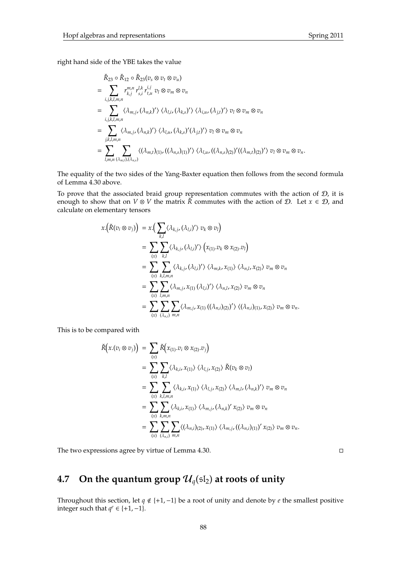right hand side of the YBE takes the value

$$
\tilde{R}_{23} \circ \tilde{R}_{12} \circ \tilde{R}_{23} (v_s \otimes v_t \otimes v_u)
$$
\n
$$
= \sum_{i,j,k,l,m,n} r_{k,j}^{m,n} r_{s,i}^{l,k} r_{t,u}^{i,j} v_l \otimes v_m \otimes v_n
$$
\n
$$
= \sum_{i,j,k,l,m,n} \langle \lambda_{m,j}, (\lambda_{n,k})' \rangle \langle \lambda_{l,i}, (\lambda_{k,s})' \rangle \langle \lambda_{i,u}, (\lambda_{j,t})' \rangle v_l \otimes v_m \otimes v_n
$$
\n
$$
= \sum_{j,k,l,m,n} \langle \lambda_{m,j}, (\lambda_{n,k})' \rangle \langle \lambda_{l,u}, (\lambda_{k,s})' (\lambda_{j,t})' \rangle v_l \otimes v_m \otimes v_n
$$
\n
$$
= \sum_{l,m,n} \sum_{(\lambda_{m,l}), (\lambda_{n,s})} \langle (\lambda_{m,l})_{(1)}, ((\lambda_{n,s})_{(1)})' \rangle \langle \lambda_{l,u}, ((\lambda_{n,s})_{(2)})' ((\lambda_{m,t})_{(2)})' \rangle v_l \otimes v_m \otimes v_n.
$$

The equality of the two sides of the Yang-Baxter equation then follows from the second formula of Lemma 4.30 above.

To prove that the associated braid group representation commutes with the action of  $D$ , it is enough to show that on  $V \otimes V$  the matrix  $\check{R}$  commutes with the action of  $D$ . Let  $x \in D$ , and calculate on elementary tensors

$$
x.(\check{R}(v_i \otimes v_j)) = x.(\sum_{k,l} \langle \lambda_{k,j}, (\lambda_{l,i})' \rangle v_k \otimes v_l)
$$
  
\n
$$
= \sum_{(x)} \sum_{k,l} \langle \lambda_{k,j}, (\lambda_{l,i})' \rangle \left( x_{(1)} \cdot v_k \otimes x_{(2)} \cdot v_l \right)
$$
  
\n
$$
= \sum_{(x)} \sum_{k,l,m,n} \langle \lambda_{k,j}, (\lambda_{l,i})' \rangle \langle \lambda_{m,k}, x_{(1)} \rangle \langle \lambda_{n,l}, x_{(2)} \rangle v_m \otimes v_n
$$
  
\n
$$
= \sum_{(x)} \sum_{l,m,n} \langle \lambda_{m,j}, x_{(1)} (\lambda_{l,i})' \rangle \langle \lambda_{n,l}, x_{(2)} \rangle v_m \otimes v_n
$$
  
\n
$$
= \sum_{(x)} \sum_{l,m,n} \langle \lambda_{m,j}, x_{(1)} ((\lambda_{n,i})_{(2)})' \rangle \langle (\lambda_{n,i})_{(1)}, x_{(2)} \rangle v_m \otimes v_n.
$$

This is to be compared with

$$
\tilde{R}(x.(v_i \otimes v_j)) = \sum_{(x)} \tilde{R}(x_{(1)}.v_i \otimes x_{(2)}.v_j)
$$
\n
$$
= \sum_{(x)} \sum_{k,l} \langle \lambda_{k,i}, x_{(1)} \rangle \langle \lambda_{l,j}, x_{(2)} \rangle \tilde{R}(v_k \otimes v_l)
$$
\n
$$
= \sum_{(x)} \sum_{k,l,m,n} \langle \lambda_{k,i}, x_{(1)} \rangle \langle \lambda_{l,j}, x_{(2)} \rangle \langle \lambda_{m,l}, (\lambda_{n,k})' \rangle v_m \otimes v_n
$$
\n
$$
= \sum_{(x)} \sum_{k,m,n} \langle \lambda_{k,i}, x_{(1)} \rangle \langle \lambda_{m,j}, (\lambda_{n,k})' x_{(2)} \rangle v_m \otimes v_n
$$
\n
$$
= \sum_{(x)} \sum_{k,m,n} \langle (\lambda_{n,i})_{(2)}, x_{(1)} \rangle \langle \lambda_{m,j}, ((\lambda_{n,i})_{(1)})' x_{(2)} \rangle v_m \otimes v_n.
$$

The two expressions agree by virtue of Lemma 4.30.

# **4.7** On the quantum group  $\mathcal{U}_q(\mathfrak{sl}_2)$  at roots of unity

Throughout this section, let *q* < {+1,−1} be a root of unity and denote by *e* the smallest positive integer such that  $q^e \in \{+1, -1\}$ .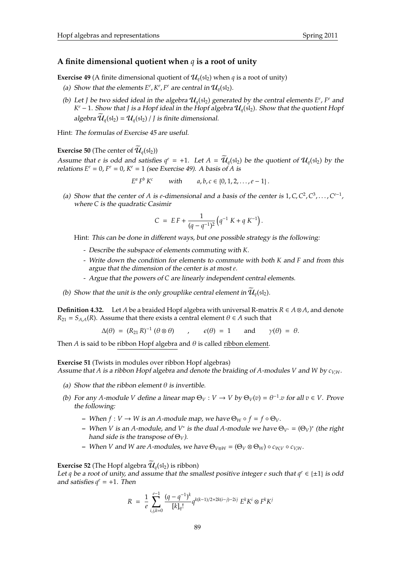## **A finite dimensional quotient when** *q* **is a root of unity**

**Exercise 49** (A finite dimensional quotient of  $\mathcal{U}_q(\mathfrak{sl}_2)$  when *q* is a root of unity)

- (a) Show that the elements  $E^e$ ,  $K^e$ ,  $F^e$  are central in  $\mathcal{U}_q(\mathfrak{sl}_2)$ .
- (b) Let *J* be two sided ideal in the algebra  $\mathcal{U}_q(\mathfrak{sl}_2)$  generated by the central elements  $E^e$ ,  $F^e$  and *K*<sup>e</sup> − 1. Show that *J* is a Hopf ideal in the Hopf algebra  $\mathcal{U}_q(\mathfrak{sl}_2)$ . Show that the quotient Hopf algebra  $\mathcal{U}_q(\mathfrak{sl}_2) = \mathcal{U}_q(\mathfrak{sl}_2) / J$  is finite dimensional.

Hint: The formulas of Exercise 45 are useful.

**Exercise 50** (The center of  $\mathcal{U}_a(\mathfrak{sl}_2)$ )

Assume that *e* is odd and satisfies  $q^e = +1$ . Let  $A = \overline{\mathcal{U}}_q(\mathfrak{sl}_2)$  be the quotient of  $\mathcal{U}_q(\mathfrak{sl}_2)$  by the relations  $E^e = 0$ ,  $F^e = 0$ ,  $K^e = 1$  (see Exercise 49). A basis of *A* is

$$
E^a F^b K^c
$$
 with  $a, b, c \in \{0, 1, 2, ..., e - 1\}.$ 

(a) Show that the center of *A* is *e*-dimensional and a basis of the center is  $1, C, C^2, C^3, \ldots, C^{e-1}$ , where *C* is the quadratic Casimir

$$
C = EF + \frac{1}{(q - q^{-1})^2} (q^{-1} K + q K^{-1}).
$$

Hint: This can be done in different ways, but one possible strategy is the following:

- Describe the subspace of elements commuting with *K*.
- Write down the condition for elements to commute with both *K* and *F* and from this argue that the dimension of the center is at most *e*.
- Argue that the powers of *C* are linearly independent central elements.
- (b) Show that the unit is the only grouplike central element in  $\mathcal{U}_q(\mathfrak{sl}_2)$ .

**Definition 4.32.** Let *A* be a braided Hopf algebra with universal R-matrix  $R \in A \otimes A$ , and denote  $R_{21} = S_{A,A}(R)$ . Assume that there exists a central element  $\theta \in A$  such that

$$
\Delta(\theta) = (R_{21} R)^{-1} (\theta \otimes \theta) \qquad , \qquad \epsilon(\theta) = 1 \qquad \text{and} \qquad \gamma(\theta) = \theta.
$$

Then *A* is said to be ribbon Hopf algebra and  $\theta$  is called ribbon element.

#### **Exercise 51** (Twists in modules over ribbon Hopf algebras)

Assume that *A* is a ribbon Hopf algebra and denote the braiding of *A*-modules *V* and *W* by *cV*,*W*.

- (a) Show that the ribbon element  $\theta$  is invertible.
- (b) For any *A*-module *V* define a linear map  $\Theta_V : V \to V$  by  $\Theta_V(v) = \theta^{-1} \cdot v$  for all  $v \in V$ . Prove the following:
	- **–** When *f* : *V* → *W* is an *A*-module map, we have Θ*<sup>W</sup> f* = *f* Θ*V*.
	- $-$  When *V* is an *A*-module, and *V*<sup>∗</sup> is the dual *A*-module we have  $\Theta_{V^*} = (\Theta_V)^*$  (the right hand side is the transpose of  $\Theta_V$ ).
	- $\bullet$  *When V* and *W* are *A*-modules, we have  $\Theta$ <sub>*V*⊗*W*</sub> =  $(\Theta$ *V* ⊗  $\Theta$ <sub>*W*</sub> $)$  *c*<sub>*V*,*W*</sub>.

# **Exercise 52** (The Hopf algebra  $\widetilde{\mathcal{U}}_q(\mathfrak{sl}_2)$  is ribbon)

Let *q* be a root of unity, and assume that the smallest positive integer *e* such that  $q^e \in \{\pm 1\}$  is odd and satisfies  $q^e = +1$ . Then

$$
R = \frac{1}{e} \sum_{i,j,k=0}^{e-1} \frac{(q-q^{-1})^k}{[k]_q!} q^{k(k-1)/2 + 2k(i-j)-2ij} E^k K^i \otimes F^k K^j
$$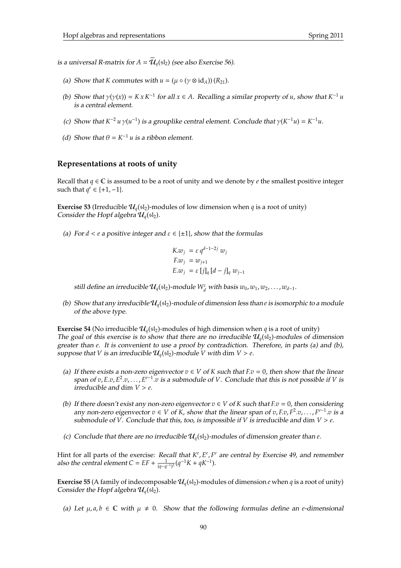is a universal R-matrix for  $A = U_q(\mathfrak{sl}_2)$  (see also Exercise 56).

- (a) Show that *K* commutes with  $u = (\mu \circ (\gamma \otimes id_A))(R_{21})$ .
- (b) Show that  $\gamma(\gamma(x)) = K x K^{-1}$  for all  $x \in A$ . Recalling a similar property of *u*, show that  $K^{-1} u$ is a central element.
- (c) Show that  $K^{-2} u \gamma(u^{-1})$  is a grouplike central element. Conclude that  $\gamma(K^{-1}u) = K^{-1}u$ .
- (d) Show that  $\theta = K^{-1}u$  is a ribbon element.

# **Representations at roots of unity**

Recall that  $q \in \mathbb{C}$  is assumed to be a root of unity and we denote by *e* the smallest positive integer such that  $q^e$  ∈ {+1, -1}.

**Exercise 53** (Irreducible  $\mathcal{U}_q(\mathfrak{sl}_2)$ -modules of low dimension when *q* is a root of unity) Consider the Hopf algebra  $\mathcal{U}_q(\mathfrak{sl}_2)$ .

(a) For  $d < e$  a positive integer and  $\varepsilon \in \{\pm 1\}$ , show that the formulas

$$
K.w_j = \varepsilon q^{d-1-2j} w_j
$$
  
\n
$$
F.w_j = w_{j+1}
$$
  
\n
$$
E.w_j = \varepsilon [j]_q [d-j]_q w_{j-1}
$$

still define an irreducible  $\mathcal{U}_q(\mathfrak{sl}_2)$ -module  $W_d^{\varepsilon}$  with basis  $w_0, w_1, w_2, \ldots, w_{d-1}$ .

(b) Show that any irreducible  $\mathcal{U}_q(\mathfrak{sl}_2)$ -module of dimension less than *e* is isomorphic to a module of the above type.

**Exercise 54** (No irreducible  $\mathcal{U}_q(\mathfrak{sl}_2)$ -modules of high dimension when *q* is a root of unity) The goal of this exercise is to show that there are no irreducible  $\mathcal{U}_q(\mathfrak{sl}_2)$ -modules of dimension greater than *e*. It is convenient to use a proof by contradiction. Therefore, in parts (a) and (b), suppose that *V* is an irreducible  $\mathcal{U}_q(\mathfrak{sl}_2)$ -module *V* with dim *V* > *e*.

- (a) If there exists a non-zero eigenvector  $v \in V$  of  $K$  such that  $F.v = 0$ , then show that the linear span of  $v$ ,  $E$ . $v$ ,  $E^2$ . $v$ , . . . ,  $E^{e-1}$ . $v$  is a submodule of *V*. Conclude that this is not possible if *V* is irreducible and dim  $V > e$ .
- (b) If there doesn't exist any non-zero eigenvector  $v \in V$  of  $K$  such that  $F.v = 0$ , then considering any non-zero eigenvector  $v \in V$  of  $\breve{K}$ , show that the linear span of  $v, F, v, F^2, v, \ldots, F^{e-1}, v$  is a submodule of *V*. Conclude that this, too, is impossible if *V* is irreducible and dim  $V > e$ .
- (c) Conclude that there are no irreducible  $\mathcal{U}_q(\mathfrak{sl}_2)$ -modules of dimension greater than *e*.

Hint for all parts of the exercise: Recall that  $K^e$ ,  $E^e$ ,  $F^e$  are central by Exercise 49, and remember also the central element  $C = EF + \frac{1}{(q-q^{-1})^2} (q^{-1}K + qK^{-1}).$ 

**Exercise 55** (A family of indecomposable  $\mathcal{U}_q(\mathfrak{sl}_2)$ -modules of dimension *e* when *q* is a root of unity) Consider the Hopf algebra  $\mathcal{U}_q(\mathfrak{sl}_2)$ .

(a) Let  $\mu$ ,  $a, b \in \mathbb{C}$  with  $\mu \neq 0$ . Show that the following formulas define an *e*-dimensional